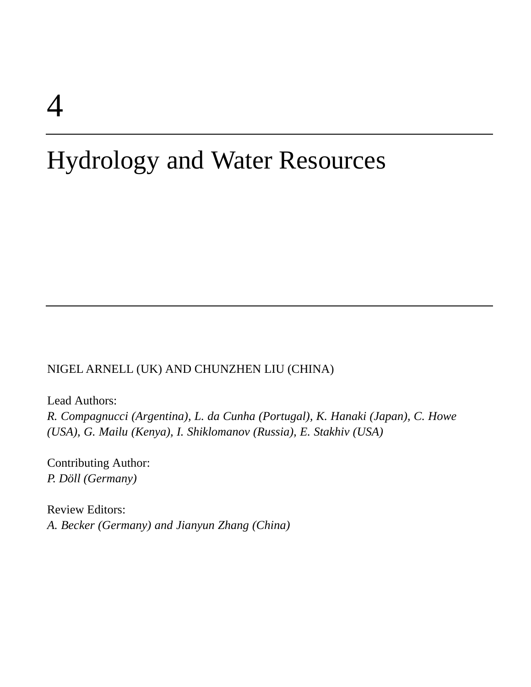# Hydrology and Water Resources

# NIGEL ARNELL (UK) AND CHUNZHEN LIU (CHINA)

Lead Authors:

*R. Compagnucci (Argentina), L. da Cunha (Portugal), K. Hanaki (Japan), C. Howe (USA), G. Mailu (Kenya), I. Shiklomanov (Russia), E. Stakhiv (USA)*

Contributing Author: *P. Döll (Germany)*

Review Editors: *A. Becker (Germany) and Jianyun Zhang (China)*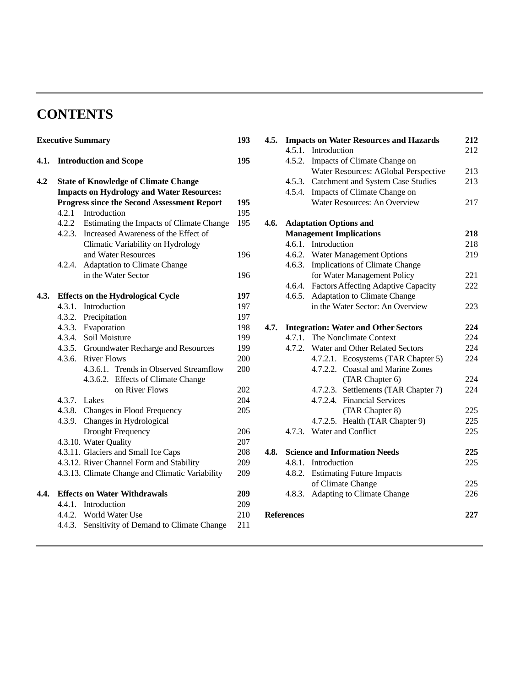# **CONTENTS**

|      | <b>Executive Summary</b>                                                                        |                                                                                                         |            |  |  |  |
|------|-------------------------------------------------------------------------------------------------|---------------------------------------------------------------------------------------------------------|------------|--|--|--|
| 4.1. |                                                                                                 | <b>Introduction and Scope</b>                                                                           | 195        |  |  |  |
| 4.2  | <b>State of Knowledge of Climate Change</b><br><b>Impacts on Hydrology and Water Resources:</b> |                                                                                                         |            |  |  |  |
|      | 4.2.1                                                                                           | <b>Progress since the Second Assessment Report</b>                                                      | 195        |  |  |  |
|      | 4.2.2                                                                                           | Introduction<br>Estimating the Impacts of Climate Change<br>4.2.3. Increased Awareness of the Effect of | 195<br>195 |  |  |  |
|      |                                                                                                 | Climatic Variability on Hydrology                                                                       |            |  |  |  |
|      | 4.2.4.                                                                                          | and Water Resources                                                                                     | 196        |  |  |  |
|      |                                                                                                 | <b>Adaptation to Climate Change</b><br>in the Water Sector                                              | 196        |  |  |  |
| 4.3. |                                                                                                 | <b>Effects on the Hydrological Cycle</b>                                                                | 197        |  |  |  |
|      |                                                                                                 | 4.3.1. Introduction                                                                                     | 197        |  |  |  |
|      |                                                                                                 | 4.3.2. Precipitation                                                                                    | 197        |  |  |  |
|      |                                                                                                 | 4.3.3. Evaporation                                                                                      | 198        |  |  |  |
|      |                                                                                                 | 4.3.4. Soil Moisture                                                                                    | 199        |  |  |  |
|      |                                                                                                 | 4.3.5. Groundwater Recharge and Resources                                                               | 199        |  |  |  |
|      |                                                                                                 | 4.3.6. River Flows                                                                                      | 200        |  |  |  |
|      |                                                                                                 | 4.3.6.1. Trends in Observed Streamflow                                                                  | 200        |  |  |  |
|      |                                                                                                 | 4.3.6.2. Effects of Climate Change                                                                      |            |  |  |  |
|      |                                                                                                 | on River Flows                                                                                          | 202        |  |  |  |
|      | 4.3.7. Lakes                                                                                    |                                                                                                         | 204        |  |  |  |
|      |                                                                                                 | 4.3.8. Changes in Flood Frequency                                                                       | 205        |  |  |  |
|      |                                                                                                 | 4.3.9. Changes in Hydrological                                                                          |            |  |  |  |
|      |                                                                                                 | Drought Frequency                                                                                       | 206        |  |  |  |
|      |                                                                                                 | 4.3.10. Water Quality                                                                                   | 207        |  |  |  |
|      |                                                                                                 | 4.3.11. Glaciers and Small Ice Caps                                                                     | 208        |  |  |  |
|      |                                                                                                 | 4.3.12. River Channel Form and Stability                                                                | 209        |  |  |  |
|      |                                                                                                 | 4.3.13. Climate Change and Climatic Variability                                                         | 209        |  |  |  |
| 4.4. |                                                                                                 | <b>Effects on Water Withdrawals</b>                                                                     | 209        |  |  |  |
|      |                                                                                                 | 4.4.1. Introduction                                                                                     | 209        |  |  |  |
|      |                                                                                                 | 4.4.2. World Water Use                                                                                  | 210        |  |  |  |
|      |                                                                                                 | 4.4.3. Sensitivity of Demand to Climate Change                                                          | 211        |  |  |  |

| 4.5. |                   | <b>Impacts on Water Resources and Hazards</b> | 212 |
|------|-------------------|-----------------------------------------------|-----|
|      | 4.5.1.            | Introduction                                  | 212 |
|      |                   | 4.5.2. Impacts of Climate Change on           |     |
|      |                   | Water Resources: AGlobal Perspective          | 213 |
|      |                   | 4.5.3. Catchment and System Case Studies      | 213 |
|      |                   | 4.5.4. Impacts of Climate Change on           |     |
|      |                   | Water Resources: An Overview                  | 217 |
|      |                   | 4.6. Adaptation Options and                   |     |
|      |                   | <b>Management Implications</b>                | 218 |
|      |                   | 4.6.1. Introduction                           | 218 |
|      |                   | 4.6.2. Water Management Options               | 219 |
|      |                   | 4.6.3. Implications of Climate Change         |     |
|      |                   | for Water Management Policy                   | 221 |
|      |                   | 4.6.4. Factors Affecting Adaptive Capacity    | 222 |
|      |                   | 4.6.5. Adaptation to Climate Change           |     |
|      |                   | in the Water Sector: An Overview              | 223 |
| 4.7. |                   | <b>Integration: Water and Other Sectors</b>   | 224 |
|      |                   | 4.7.1. The Nonclimate Context                 | 224 |
|      | 4.7.2.            | Water and Other Related Sectors               | 224 |
|      |                   | 4.7.2.1. Ecosystems (TAR Chapter 5)           | 224 |
|      |                   | 4.7.2.2. Coastal and Marine Zones             |     |
|      |                   | (TAR Chapter 6)                               | 224 |
|      |                   | 4.7.2.3. Settlements (TAR Chapter 7)          | 224 |
|      |                   | 4.7.2.4. Financial Services                   |     |
|      |                   | (TAR Chapter 8)                               | 225 |
|      |                   | 4.7.2.5. Health (TAR Chapter 9)               | 225 |
|      |                   | 4.7.3. Water and Conflict                     | 225 |
| 4.8. |                   | <b>Science and Information Needs</b>          | 225 |
|      | 4.8.1.            | Introduction                                  | 225 |
|      |                   | 4.8.2. Estimating Future Impacts              |     |
|      |                   | of Climate Change                             | 225 |
|      |                   | 4.8.3. Adapting to Climate Change             | 226 |
|      | <b>References</b> |                                               | 227 |
|      |                   |                                               |     |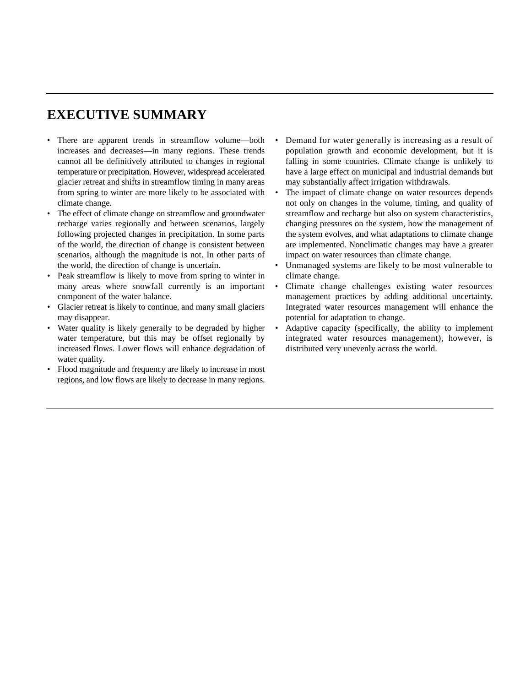# **EXECUTIVE SUMMARY**

- There are apparent trends in streamflow volume—both increases and decreases—in many regions. These trends cannot all be definitively attributed to changes in regional temperature or precipitation. However, widespread accelerated glacier retreat and shifts in streamflow timing in many areas from spring to winter are more likely to be associated with climate change.
- The effect of climate change on streamflow and groundwater recharge varies regionally and between scenarios, largely following projected changes in precipitation. In some parts of the world, the direction of change is consistent between scenarios, although the magnitude is not. In other parts of the world, the direction of change is uncertain.
- Peak streamflow is likely to move from spring to winter in many areas where snowfall currently is an important component of the water balance.
- Glacier retreat is likely to continue, and many small glaciers may disappear.
- Water quality is likely generally to be degraded by higher water temperature, but this may be offset regionally by increased flows. Lower flows will enhance degradation of water quality.
- Flood magnitude and frequency are likely to increase in most regions, and low flows are likely to decrease in many regions.
- Demand for water generally is increasing as a result of population growth and economic development, but it is falling in some countries. Climate change is unlikely to have a large effect on municipal and industrial demands but may substantially affect irrigation withdrawals.
- The impact of climate change on water resources depends not only on changes in the volume, timing, and quality of streamflow and recharge but also on system characteristics, changing pressures on the system, how the management of the system evolves, and what adaptations to climate change are implemented. Nonclimatic changes may have a greater impact on water resources than climate change.
- Unmanaged systems are likely to be most vulnerable to climate change.
- Climate change challenges existing water resources management practices by adding additional uncertainty. Integrated water resources management will enhance the potential for adaptation to change.
- Adaptive capacity (specifically, the ability to implement integrated water resources management), however, is distributed very unevenly across the world.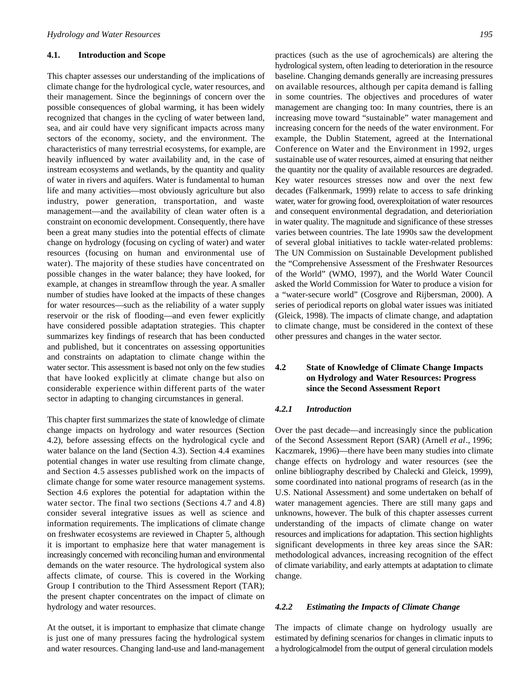# **4.1. Introduction and Scope**

This chapter assesses our understanding of the implications of climate change for the hydrological cycle, water resources, and their management. Since the beginnings of concern over the possible consequences of global warming, it has been widely recognized that changes in the cycling of water between land, sea, and air could have very significant impacts across many sectors of the economy, society, and the environment. The characteristics of many terrestrial ecosystems, for example, are heavily influenced by water availability and, in the case of instream ecosystems and wetlands, by the quantity and quality of water in rivers and aquifers. Water is fundamental to human life and many activities—most obviously agriculture but also industry, power generation, transportation, and waste management—and the availability of clean water often is a constraint on economic development. Consequently, there have been a great many studies into the potential effects of climate change on hydrology (focusing on cycling of water) and water resources (focusing on human and environmental use of water). The majority of these studies have concentrated on possible changes in the water balance; they have looked, for example, at changes in streamflow through the year. A smaller number of studies have looked at the impacts of these changes for water resources—such as the reliability of a water supply reservoir or the risk of flooding—and even fewer explicitly have considered possible adaptation strategies. This chapter summarizes key findings of research that has been conducted and published, but it concentrates on assessing opportunities and constraints on adaptation to climate change within the water sector. This assessment is based not only on the few studies that have looked explicitly at climate change but also on considerable experience within different parts of the water sector in adapting to changing circumstances in general.

This chapter first summarizes the state of knowledge of climate change impacts on hydrology and water resources (Section 4.2), before assessing effects on the hydrological cycle and water balance on the land (Section 4.3). Section 4.4 examines potential changes in water use resulting from climate change, and Section 4.5 assesses published work on the impacts of climate change for some water resource management systems. Section 4.6 explores the potential for adaptation within the water sector. The final two sections (Sections 4.7 and 4.8) consider several integrative issues as well as science and information requirements. The implications of climate change on freshwater ecosystems are reviewed in Chapter 5, although it is important to emphasize here that water management is increasingly concerned with reconciling human and environmental demands on the water resource. The hydrological system also affects climate, of course. This is covered in the Working Group I contribution to the Third Assessment Report (TAR); the present chapter concentrates on the impact of climate on hydrology and water resources.

At the outset, it is important to emphasize that climate change is just one of many pressures facing the hydrological system and water resources. Changing land-use and land-management

practices (such as the use of agrochemicals) are altering the hydrological system, often leading to deterioration in the resource baseline. Changing demands generally are increasing pressures on available resources, although per capita demand is falling in some countries. The objectives and procedures of water management are changing too: In many countries, there is an increasing move toward "sustainable" water management and increasing concern for the needs of the water environment. For example, the Dublin Statement, agreed at the International Conference on Water and the Environment in 1992, urges sustainable use of water resources, aimed at ensuring that neither the quantity nor the quality of available resources are degraded. Key water resources stresses now and over the next few decades (Falkenmark, 1999) relate to access to safe drinking water, water for growing food, overexploitation of water resources and consequent environmental degradation, and deterioriation in water quality. The magnitude and significance of these stresses varies between countries. The late 1990s saw the development of several global initiatives to tackle water-related problems: The UN Commission on Sustainable Development published the "Comprehensive Assessment of the Freshwater Resources of the World" (WMO, 1997), and the World Water Council asked the World Commission for Water to produce a vision for a "water-secure world" (Cosgrove and Rijbersman, 2000). A series of periodical reports on global water issues was initiated (Gleick, 1998). The impacts of climate change, and adaptation to climate change, must be considered in the context of these other pressures and changes in the water sector.

# **4.2 State of Knowledge of Climate Change Impacts on Hydrology and Water Resources: Progress since the Second Assessment Report**

# *4.2.1 Introduction*

Over the past decade—and increasingly since the publication of the Second Assessment Report (SAR) (Arnell *et al*., 1996; Kaczmarek, 1996)—there have been many studies into climate change effects on hydrology and water resources (see the online bibliography described by Chalecki and Gleick, 1999), some coordinated into national programs of research (as in the U.S. National Assessment) and some undertaken on behalf of water management agencies. There are still many gaps and unknowns, however. The bulk of this chapter assesses current understanding of the impacts of climate change on water resources and implications for adaptation. This section highlights significant developments in three key areas since the SAR: methodological advances, increasing recognition of the effect of climate variability, and early attempts at adaptation to climate change.

# *4.2.2 Estimating the Impacts of Climate Change*

The impacts of climate change on hydrology usually are estimated by defining scenarios for changes in climatic inputs to a hydrologicalmodel from the output of general circulation models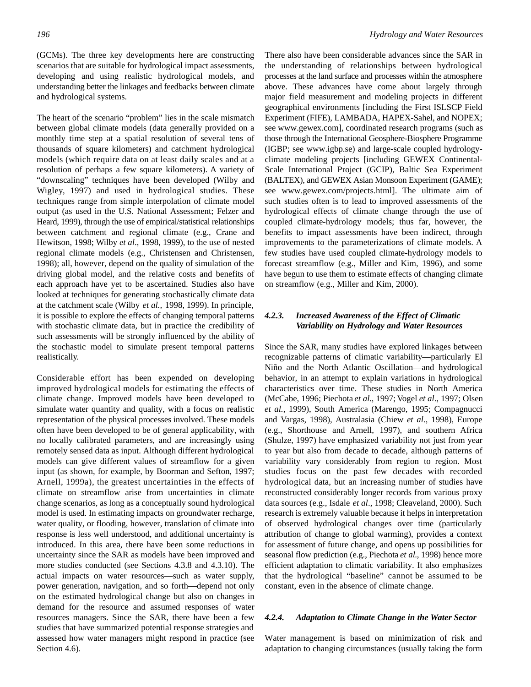(GCMs). The three key developments here are constructing scenarios that are suitable for hydrological impact assessments, developing and using realistic hydrological models, and understanding better the linkages and feedbacks between climate and hydrological systems.

The heart of the scenario "problem" lies in the scale mismatch between global climate models (data generally provided on a monthly time step at a spatial resolution of several tens of thousands of square kilometers) and catchment hydrological models (which require data on at least daily scales and at a resolution of perhaps a few square kilometers). A variety of "downscaling" techniques have been developed (Wilby and Wigley, 1997) and used in hydrological studies. These techniques range from simple interpolation of climate model output (as used in the U.S. National Assessment; Felzer and Heard, 1999), through the use of empirical/statistical relationships between catchment and regional climate (e.g., Crane and Hewitson, 1998; Wilby *et al*., 1998, 1999), to the use of nested regional climate models (e.g., Christensen and Christensen, 1998); all, however, depend on the quality of simulation of the driving global model, and the relative costs and benefits of each approach have yet to be ascertained. Studies also have looked at techniques for generating stochastically climate data at the catchment scale (Wilby *et al.,* 1998, 1999). In principle, it is possible to explore the effects of changing temporal patterns with stochastic climate data, but in practice the credibility of such assessments will be strongly influenced by the ability of the stochastic model to simulate present temporal patterns realistically.

Considerable effort has been expended on developing improved hydrological models for estimating the effects of climate change. Improved models have been developed to simulate water quantity and quality, with a focus on realistic representation of the physical processes involved. These models often have been developed to be of general applicability, with no locally calibrated parameters, and are increasingly using remotely sensed data as input. Although different hydrological models can give different values of streamflow for a given input (as shown, for example, by Boorman and Sefton, 1997; Arnell, 1999a), the greatest uncertainties in the effects of climate on streamflow arise from uncertainties in climate change scenarios, as long as a conceptually sound hydrological model is used. In estimating impacts on groundwater recharge, water quality, or flooding, however, translation of climate into response is less well understood, and additional uncertainty is introduced. In this area, there have been some reductions in uncertainty since the SAR as models have been improved and more studies conducted (see Sections 4.3.8 and 4.3.10). The actual impacts on water resources—such as water supply, power generation, navigation, and so forth—depend not only on the estimated hydrological change but also on changes in demand for the resource and assumed responses of water resources managers. Since the SAR, there have been a few studies that have summarized potential response strategies and assessed how water managers might respond in practice (see Section 4.6).

There also have been considerable advances since the SAR in the understanding of relationships between hydrological processes at the land surface and processes within the atmosphere above. These advances have come about largely through major field measurement and modeling projects in different geographical environments [including the First ISLSCP Field Experiment (FIFE), LAMBADA, HAPEX-Sahel, and NOPEX; see www.gewex.com], coordinated research programs (such as those through the International Geosphere-Biosphere Programme (IGBP; see www.igbp.se) and large-scale coupled hydrologyclimate modeling projects [including GEWEX Continental-Scale International Project (GCIP), Baltic Sea Experiment (BALTEX), and GEWEX Asian Monsoon Experiment (GAME); see www.gewex.com/projects.html]. The ultimate aim of such studies often is to lead to improved assessments of the hydrological effects of climate change through the use of coupled climate-hydrology models; thus far, however, the benefits to impact assessments have been indirect, through improvements to the parameterizations of climate models. A few studies have used coupled climate-hydrology models to forecast streamflow (e.g., Miller and Kim, 1996), and some have begun to use them to estimate effects of changing climate on streamflow (e.g., Miller and Kim, 2000).

# *4.2.3. Increased Awareness of the Effect of Climatic Variability on Hydrology and Water Resources*

Since the SAR, many studies have explored linkages between recognizable patterns of climatic variability—particularly El Niño and the North Atlantic Oscillation—and hydrological behavior, in an attempt to explain variations in hydrological characteristics over time. These studies in North America (McCabe, 1996; Piechota *et al*., 1997; Vogel *et al*., 1997; Olsen *et al.*, 1999), South America (Marengo, 1995; Compagnucci and Vargas, 1998), Australasia (Chiew *et al*., 1998), Europe (e.g., Shorthouse and Arnell, 1997), and southern Africa (Shulze, 1997) have emphasized variability not just from year to year but also from decade to decade, although patterns of variability vary considerably from region to region. Most studies focus on the past few decades with recorded hy drological data, but an increasing number of studies have reconstructed considerably longer records from various proxy data sources (e.g., Isdale *et al*., 1998; Cleaveland, 2000). Such research is extremely valuable because it helps in interpretation of observed hydrological changes over time (particularly attribution of change to global warming), provides a context for assessment of future change, and opens up possibilities for seasonal flow prediction (e.g., Piechota *et al*., 1998) hence more efficient adaptation to climatic variability. It also emphasizes that the hydrological "baseline" cannot be assumed to be constant, even in the absence of climate change.

# *4.2.4. Adaptation to Climate Change in the Water Sector*

Water management is based on minimization of risk and adaptation to changing circumstances (usually taking the form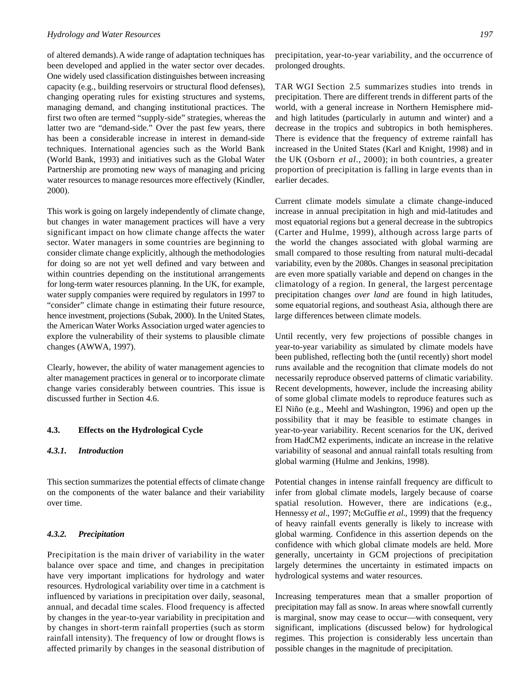# *Hydrology and Water Resources 197*

of altered demands). A wide range of adaptation techniques has been developed and applied in the water sector over decades. One widely used classification distinguishes between increasing capacity (e.g., building reservoirs or structural flood defenses), changing operating rules for existing structures and systems, managing demand, and changing institutional practices. The first two often are termed "supply-side" strategies, whereas the latter two are "demand-side." Over the past few years, there has been a considerable increase in interest in demand-side techniques. International agencies such as the World Bank (World Bank, 1993) and initiatives such as the Global Water Partnership are promoting new ways of managing and pricing water resources to manage resources more effectively (Kindler, 2000).

This work is going on largely independently of climate change, but changes in water management practices will have a very significant impact on how climate change affects the water sector. Water managers in some countries are beginning to consider climate change explicitly, although the methodologies for doing so are not yet well defined and vary between and within countries depending on the institutional arrangements for long-term water resources planning. In the UK, for example, water supply companies were required by regulators in 1997 to "consider" climate change in estimating their future resource, hence investment, projections (Subak, 2000). In the United States, the American Water Works Association urged water agencies to explore the vulnerability of their systems to plausible climate changes (AWWA, 1997).

Clearly, however, the ability of water management agencies to alter management practices in general or to incorporate climate change varies considerably between countries. This issue is discussed further in Section 4.6.

# **4.3. Effects on the Hydrological Cycle**

#### *4.3.1. Introduction*

This section summarizes the potential effects of climate change on the components of the water balance and their variability over time.

#### *4.3.2. Precipitation*

Precipitation is the main driver of variability in the water balance over space and time, and changes in precipitation have very important implications for hydrology and water resources. Hydrological variability over time in a catchment is influenced by variations in precipitation over daily, seasonal, annual, and decadal time scales. Flood frequency is affected by changes in the year-to-year variability in precipitation and by changes in short-term rainfall properties (such as storm rainfall intensity). The frequency of low or drought flows is affected primarily by changes in the seasonal distribution of precipitation, year-to-year variability, and the occurrence of prolonged droughts.

TAR WGI Section 2.5 summarizes studies into trends in precipitation. There are different trends in different parts of the world, with a general increase in Northern Hemisphere midand high latitudes (particularly in autumn and winter) and a decrease in the tropics and subtropics in both hemispheres. There is evidence that the frequency of extreme rainfall has increased in the United States (Karl and Knight, 1998) and in the UK (Osborn *et al*., 2000); in both countries, a greater proportion of precipitation is falling in large events than in earlier decades.

Current climate models simulate a climate change-induced increase in annual precipitation in high and mid-latitudes and most equatorial regions but a general decrease in the subtropics (Carter and Hulme, 1999), although across large parts of the world the changes associated with global warming are small compared to those resulting from natural multi-decadal variability, even by the 2080s. Changes in seasonal precipitation are even more spatially variable and depend on changes in the climatology of a region. In general, the largest percentage precipitation changes *over land* are found in high latitudes, some equatorial regions, and southeast Asia, although there are large differences between climate models.

Until recently, very few projections of possible changes in year-to-year variability as simulated by climate models have been published, reflecting both the (until recently) short model runs available and the recognition that climate models do not necessarily reproduce observed patterns of climatic variability. Recent developments, however, include the increasing ability of some global climate models to reproduce features such as El Niño (e.g., Meehl and Washington, 1996) and open up the possibility that it may be feasible to estimate changes in year-to-year variability. Recent scenarios for the UK, derived from HadCM2 experiments, indicate an increase in the relative variability of seasonal and annual rainfall totals resulting from global warming (Hulme and Jenkins, 1998).

Potential changes in intense rainfall frequency are difficult to infer from global climate models, largely because of coarse spatial resolution. However, there are indications (e.g., Hennessy *et al*., 1997; McGuffie *et al*., 1999) that the frequency of heavy rainfall events generally is likely to increase with global warming. Confidence in this assertion depends on the confidence with which global climate models are held. More generally, uncertainty in GCM projections of precipitation largely determines the uncertainty in estimated impacts on hydrological systems and water resources.

Increasing temperatures mean that a smaller proportion of precipitation may fall as snow. In areas where snowfall currently is marginal, snow may cease to occur—with consequent, very significant, implications (discussed below) for hydrological regimes. This projection is considerably less uncertain than possible changes in the magnitude of precipitation.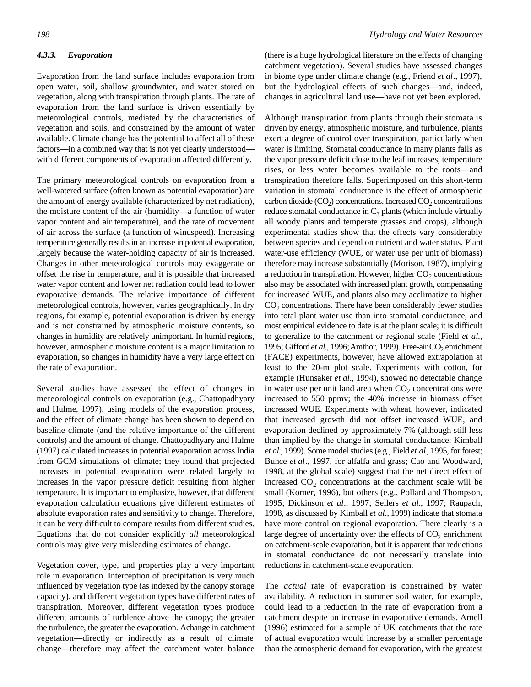#### *4.3.3. Evaporation*

Evaporation from the land surface includes evaporation from open water, soil, shallow groundwater, and water stored on vegetation, along with transpiration through plants. The rate of evaporation from the land surface is driven essentially by meteorological controls, mediated by the characteristics of vegetation and soils, and constrained by the amount of water available. Climate change has the potential to affect all of these factors—in a combined way that is not yet clearly understood with different components of evaporation affected differently.

The primary meteorological controls on evaporation from a well-watered surface (often known as potential evaporation) are the amount of energy available (characterized by net radiation), the moisture content of the air (humidity—a function of water vapor content and air temperature), and the rate of movement of air across the surface (a function of windspeed). Increasing temperature generally results in an increase in potential evaporation, largely because the water-holding capacity of air is increased. Changes in other meteorological controls may exaggerate or offset the rise in temperature, and it is possible that increased water vapor content and lower net radiation could lead to lower evaporative demands. The relative importance of different meteorological controls, however, varies geographically. In dry regions, for example, potential evaporation is driven by energy and is not constrained by atmospheric moisture contents, so changes in humidity are relatively unimportant. In humid regions, however, atmospheric moisture content is a major limitation to evaporation, so changes in humidity have a very large effect on the rate of evaporation.

Several studies have assessed the effect of changes in meteorological controls on evaporation (e.g., Chattopadhyary and Hulme, 1997), using models of the evaporation process, and the effect of climate change has been shown to depend on baseline climate (and the relative importance of the different controls) and the amount of change. Chattopadhyary and Hulme (1997) calculated increases in potential evaporation across India from GCM simulations of climate; they found that projected increases in potential evaporation were related largely to increases in the vapor pressure deficit resulting from higher temperature. It is important to emphasize, however, that different evaporation calculation equations give different estimates of absolute evaporation rates and sensitivity to change. Therefore, it can be very difficult to compare results from different studies. Equations that do not consider explicitly *all* meteorological controls may give very misleading estimates of change.

Vegetation cover, type, and properties play a very important role in evaporation. Interception of precipitation is very much influenced by vegetation type (as indexed by the canopy storage capacity), and different vegetation types have different rates of transpiration. Moreover, different vegetation types produce different amounts of turblence above the canopy; the greater the turbulence, the greater the evaporation. Achange in catchment vegetation—directly or indirectly as a result of climate change—therefore may affect the catchment water balance (there is a huge hydrological literature on the effects of changing catchment vegetation). Several studies have assessed changes in biome type under climate change (e.g., Friend *et al*., 1997), but the hydrological effects of such changes—and, indeed, changes in agricultural land use—have not yet been explored.

Although transpiration from plants through their stomata is driven by energy, atmospheric moisture, and turbulence, plants exert a degree of control over transpiration, particularly when water is limiting. Stomatal conductance in many plants falls as the vapor pressure deficit close to the leaf increases, temperature rises, or less water becomes available to the roots—and transpiration therefore falls. Superimposed on this short-term variation in stomatal conductance is the effect of atmospheric carbon dioxide  $(CO<sub>2</sub>)$  concentrations. Increased  $CO<sub>2</sub>$  concentrations reduce stomatal conductance in  $C_3$  plants (which include virtually all woody plants and temperate grasses and crops), although experimental studies show that the effects vary considerably between species and depend on nutrient and water status. Plant water-use efficiency (WUE, or water use per unit of biomass) therefore may increase substantially (Morison, 1987), implying a reduction in transpiration. However, higher  $\mathrm{CO}_2$  concentrations also may be associated with increased plant growth, compensating for increased WUE, and plants also may acclimatize to higher  $CO<sub>2</sub>$  concentrations. There have been considerably fewer studies into total plant water use than into stomatal conductance, and most empirical evidence to date is at the plant scale; it is difficult to generalize to the catchment or regional scale (Field *et al*., 1995; Gifford *et al.*, 1996; Amthor, 1999). Free-air CO<sub>2</sub> enrichment (FACE) experiments, however, have allowed extrapolation at least to the 20-m plot scale. Experiments with cotton, for example (Hunsaker *et al*., 1994), showed no detectable change in water use per unit land area when  $CO<sub>2</sub>$  concentrations were increased to 550 ppmv; the 40% increase in biomass offset increased WUE. Experiments with wheat, however, indicated that increased growth did not offset increased WUE, and evaporation declined by approximately 7% (although still less than implied by the change in stomatal conductance; Kimball *et al*., 1999). Some model studies (e.g., Field *et al*., 1995, for forest; Bunce *et al*., 1997, for alfalfa and grass; Cao and Woodward, 1998, at the global scale) suggest that the net direct effect of increased  $CO<sub>2</sub>$  concentrations at the catchment scale will be small (Korner, 1996), but others (e.g., Pollard and Thompson, 1995; Dickinson *et al*., 1997; Sellers *et al*., 1997; Raupach, 1998, as discussed by Kimball *et al.,* 1999) indicate that stomata have more control on regional evaporation. There clearly is a large degree of uncertainty over the effects of  $CO<sub>2</sub>$  enrichment on catchment-scale evaporation, but it is apparent that reductions in stomatal conductance do not necessarily translate into reductions in catchment-scale evaporation.

The *actual* rate of evaporation is constrained by water availability. A reduction in summer soil water, for example, could lead to a reduction in the rate of evaporation from a catchment despite an increase in evaporative demands. Arnell (1996) estimated for a sample of UK catchments that the rate of actual evaporation would increase by a smaller percentage than the atmospheric demand for evaporation, with the greatest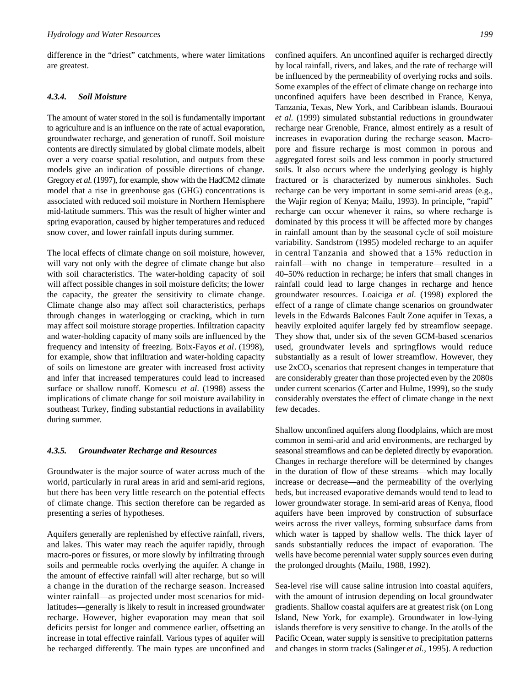difference in the "driest" catchments, where water limitations are greatest.

# *4.3.4. Soil Moisture*

The amount of water stored in the soil is fundamentally important to agriculture and is an influence on the rate of actual evaporation, groundwater recharge, and generation of runoff. Soil moisture contents are directly simulated by global climate models, albeit over a very coarse spatial resolution, and outputs from these models give an indication of possible directions of change. Gregory *et al*. (1997), for example, show with the HadCM2 climate model that a rise in greenhouse gas (GHG) concentrations is associated with reduced soil moisture in Northern Hemisphere mid-latitude summers. This was the result of higher winter and spring evaporation, caused by higher temperatures and reduced snow cover, and lower rainfall inputs during summer.

The local effects of climate change on soil moisture, however, will vary not only with the degree of climate change but also with soil characteristics. The water-holding capacity of soil will affect possible changes in soil moisture deficits; the lower the capacity, the greater the sensitivity to climate change. Climate change also may affect soil characteristics, perhaps through changes in waterlogging or cracking, which in turn may affect soil moisture storage properties. Infiltration capacity and water-holding capacity of many soils are influenced by the frequency and intensity of freezing. Boix-Fayos *et al*. (1998), for example, show that infiltration and water-holding capacity of soils on limestone are greater with increased frost activity and infer that increased temperatures could lead to increased surface or shallow runoff. Komescu *et al*. (1998) assess the implications of climate change for soil moisture availability in southeast Turkey, finding substantial reductions in availability during summer.

#### *4.3.5. Groundwater Recharge and Resources*

Groundwater is the major source of water across much of the world, particularly in rural areas in arid and semi-arid regions, but there has been very little research on the potential effects of climate change. This section therefore can be regarded as presenting a series of hypotheses.

Aquifers generally are replenished by effective rainfall, rivers, and lakes. This water may reach the aquifer rapidly, through macro-pores or fissures, or more slowly by infiltrating through soils and permeable rocks overlying the aquifer. A change in the amount of effective rainfall will alter recharge, but so will a change in the duration of the recharge season. Increased winter rainfall—as projected under most scenarios for midlatitudes—generally is likely to result in increased groundwater recharge. However, higher evaporation may mean that soil deficits persist for longer and commence earlier, offsetting an increase in total effective rainfall. Various types of aquifer will be recharged differently. The main types are unconfined and confined aquifers. An unconfined aquifer is recharged directly by local rainfall, rivers, and lakes, and the rate of recharge will be influenced by the permeability of overlying rocks and soils. Some examples of the effect of climate change on recharge into unconfined aquifers have been described in France, Kenya, Tanzania, Texas, New York, and Caribbean islands. Bouraoui *et al.* (1999) simulated substantial reductions in groundwater recharge near Grenoble, France, almost entirely as a result of increases in evaporation during the recharge season. Macropore and fissure recharge is most common in porous and aggregated forest soils and less common in poorly structured soils. It also occurs where the underlying geology is highly fractured or is characterized by numerous sinkholes. Such recharge can be very important in some semi-arid areas (e.g., the Wajir region of Kenya; Mailu, 1993). In principle, "rapid" recharge can occur whenever it rains, so where recharge is dominated by this process it will be affected more by changes in rainfall amount than by the seasonal cycle of soil moisture variability. Sandstrom (1995) modeled recharge to an aquifer in central Tanzania and showed that a 15% reduction in rainfall—with no change in temperature—resulted in a 40–50% reduction in recharge; he infers that small changes in rainfall could lead to large changes in recharge and hence groundwater resources. Loaiciga *et al*. (1998) explored the effect of a range of climate change scenarios on groundwater levels in the Edwards Balcones Fault Zone aquifer in Texas, a heavily exploited aquifer largely fed by streamflow seepage. They show that, under six of the seven GCM-based scenarios used, groundwater levels and springflows would reduce substantially as a result of lower streamflow. However, they use  $2xCO_2$  scenarios that represent changes in temperature that are considerably greater than those projected even by the 2080s under current scenarios (Carter and Hulme, 1999), so the study considerably overstates the effect of climate change in the next few decades.

Shallow unconfined aquifers along floodplains, which are most common in semi-arid and arid environments, are recharged by seasonal streamflows and can be depleted directly by evaporation. Changes in recharge therefore will be determined by changes in the duration of flow of these streams—which may locally increase or decrease—and the permeability of the overlying beds, but increased evaporative demands would tend to lead to lower groundwater storage. In semi-arid areas of Kenya, flood aquifers have been improved by construction of subsurface weirs across the river valleys, forming subsurface dams from which water is tapped by shallow wells. The thick layer of sands substantially reduces the impact of evaporation. The wells have become perennial water supply sources even during the prolonged droughts (Mailu, 1988, 1992).

Sea-level rise will cause saline intrusion into coastal aquifers, with the amount of intrusion depending on local groundwater gradients. Shallow coastal aquifers are at greatest risk (on Long Island, New York, for example). Groundwater in low-lying islands therefore is very sensitive to change. In the atolls of the Pacific Ocean, water supply is sensitive to precipitation patterns and changes in storm tracks (Salinger *et al.*, 1995). A reduction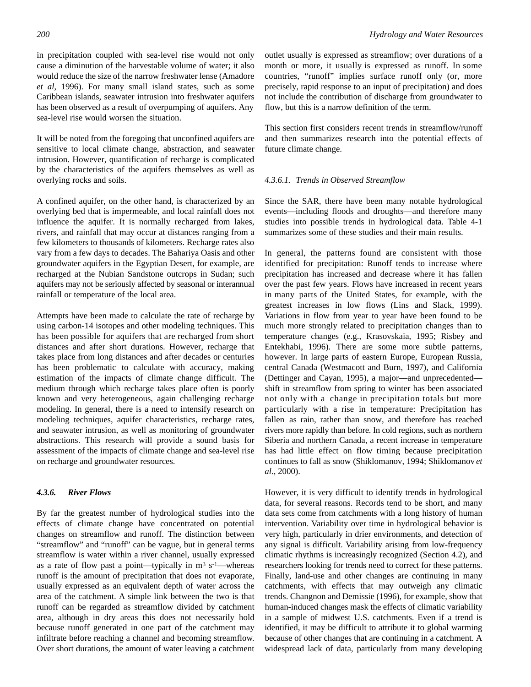in precipitation coupled with sea-level rise would not only cause a diminution of the harvestable volume of water; it also would reduce the size of the narrow freshwater lense (Amadore *et al*, 1996). For many small island states, such as some Caribbean islands, seawater intrusion into freshwater aquifers has been observed as a result of overpumping of aquifers. Any sea-level rise would worsen the situation.

It will be noted from the foregoing that unconfined aquifers are sensitive to local climate change, abstraction, and seawater intrusion. However, quantification of recharge is complicated by the characteristics of the aquifers themselves as well as overlying rocks and soils.

A confined aquifer, on the other hand, is characterized by an overlying bed that is impermeable, and local rainfall does not influence the aquifer. It is normally recharged from lakes, rivers, and rainfall that may occur at distances ranging from a few kilometers to thousands of kilometers. Recharge rates also vary from a few days to decades. The Bahariya Oasis and other groundwater aquifers in the Egyptian Desert, for example, are recharged at the Nubian Sandstone outcrops in Sudan; such aquifers may not be seriously affected by seasonal or interannual rainfall or temperature of the local area.

Attempts have been made to calculate the rate of recharge by using carbon-14 isotopes and other modeling techniques. This has been possible for aquifers that are recharged from short distances and after short durations. However, recharge that takes place from long distances and after decades or centuries has been problematic to calculate with accuracy, making estimation of the impacts of climate change difficult. The medium through which recharge takes place often is poorly known and very heterogeneous, again challenging recharge modeling. In general, there is a need to intensify research on modeling techniques, aquifer characteristics, recharge rates, and seawater intrusion, as well as monitoring of groundwater abstractions. This research will provide a sound basis for assessment of the impacts of climate change and sea-level rise on recharge and groundwater resources.

### *4.3.6. River Flows*

By far the greatest number of hydrological studies into the effects of climate change have concentrated on potential changes on streamflow and runoff. The distinction between "streamflow" and "runoff" can be vague, but in general terms streamflow is water within a river channel, usually expressed as a rate of flow past a point—typically in  $m^3$  s<sup>-1</sup>—whereas runoff is the amount of precipitation that does not evaporate, usually expressed as an equivalent depth of water across the area of the catchment. A simple link between the two is that runoff can be regarded as streamflow divided by catchment area, although in dry areas this does not necessarily hold because runoff generated in one part of the catchment may infiltrate before reaching a channel and becoming streamflow. Over short durations, the amount of water leaving a catchment outlet usually is expressed as streamflow; over durations of a month or more, it usually is expressed as runoff. In some countries, "runoff" implies surface runoff only (or, more precisely, rapid response to an input of precipitation) and does not include the contribution of discharge from groundwater to flow, but this is a narrow definition of the term.

This section first considers recent trends in streamflow/runoff and then summarizes research into the potential effects of future climate change.

#### *4.3.6.1. Trends in Observed Streamflow*

Since the SAR, there have been many notable hydrological events—including floods and droughts—and therefore many studies into possible trends in hydrological data. Table 4-1 summarizes some of these studies and their main results.

In general, the patterns found are consistent with those identified for precipitation: Runoff tends to increase where precipitation has increased and decrease where it has fallen over the past few years. Flows have increased in recent years in many parts of the United States, for example, with the greatest increases in low flows (Lins and Slack, 1999). Variations in flow from year to year have been found to be much more strongly related to precipitation changes than to temperature changes (e.g., Krasovskaia, 1995; Risbey and Entekhabi, 1996). There are some more subtle patterns, however. In large parts of eastern Europe, European Russia, central Canada (Westmacott and Burn, 1997), and California (Dettinger and Cayan, 1995), a major—and unprecedented shift in streamflow from spring to winter has been associated not only with a change in precipitation totals but more particularly with a rise in temperature: Precipitation has fallen as rain, rather than snow, and therefore has reached rivers more rapidly than before. In cold regions, such as northern Siberia and northern Canada, a recent increase in temperature has had little effect on flow timing because precipitation continues to fall as snow (Shiklomanov, 1994; Shiklomanov *et al*., 2000).

However, it is very difficult to identify trends in hydrological data, for several reasons. Records tend to be short, and many data sets come from catchments with a long history of human intervention. Variability over time in hydrological behavior is very high, particularly in drier environments, and detection of any signal is difficult. Variability arising from low-frequency climatic rhythms is increasingly recognized (Section 4.2), and researchers looking for trends need to correct for these patterns. Finally, land-use and other changes are continuing in many catchments, with effects that may outweigh any climatic trends. Changnon and Demissie (1996), for example, show that human-induced changes mask the effects of climatic variability in a sample of midwest U.S. catchments. Even if a trend is identified, it may be difficult to attribute it to global warming because of other changes that are continuing in a catchment. A widespread lack of data, particularly from many developing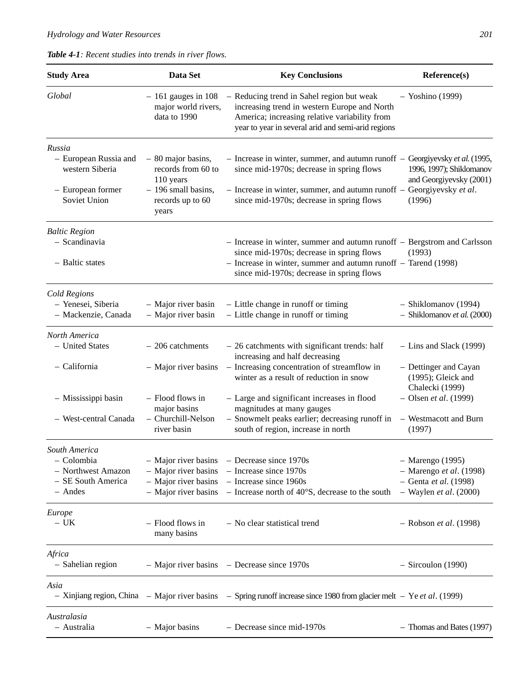| <b>Study Area</b>                                                                       | Data Set                                                                                                  | <b>Key Conclusions</b>                                                                                                                                                                                                              | Reference(s)                                                                                                       |
|-----------------------------------------------------------------------------------------|-----------------------------------------------------------------------------------------------------------|-------------------------------------------------------------------------------------------------------------------------------------------------------------------------------------------------------------------------------------|--------------------------------------------------------------------------------------------------------------------|
| Global                                                                                  | $-161$ gauges in 108<br>major world rivers,<br>data to 1990                                               | - Reducing trend in Sahel region but weak<br>increasing trend in western Europe and North<br>America; increasing relative variability from<br>year to year in several arid and semi-arid regions                                    | - Yoshino (1999)                                                                                                   |
| Russia<br>- European Russia and<br>western Siberia<br>- European former<br>Soviet Union | - 80 major basins,<br>records from 60 to<br>110 years<br>- 196 small basins,<br>records up to 60<br>years | - Increase in winter, summer, and autumn runoff -<br>since mid-1970s; decrease in spring flows<br>- Increase in winter, summer, and autumn runoff -<br>since mid-1970s; decrease in spring flows                                    | Georgiyevsky et al. (1995,<br>1996, 1997); Shiklomanov<br>and Georgiyevsky (2001)<br>Georgiyevsky et al.<br>(1996) |
| <b>Baltic Region</b><br>- Scandinavia<br>- Baltic states                                |                                                                                                           | - Increase in winter, summer and autumn runoff - Bergstrom and Carlsson<br>since mid-1970s; decrease in spring flows<br>- Increase in winter, summer and autumn runoff - Tarend (1998)<br>since mid-1970s; decrease in spring flows | (1993)                                                                                                             |
| Cold Regions<br>- Yenesei, Siberia<br>- Mackenzie, Canada                               | - Major river basin<br>- Major river basin                                                                | - Little change in runoff or timing<br>- Little change in runoff or timing                                                                                                                                                          | - Shiklomanov (1994)<br>- Shiklomanov et al. (2000)                                                                |
| North America<br>- United States<br>- California                                        | - 206 catchments<br>$-$ Major river basins                                                                | - 26 catchments with significant trends: half<br>increasing and half decreasing<br>- Increasing concentration of streamflow in<br>winter as a result of reduction in snow                                                           | - Lins and Slack (1999)<br>- Dettinger and Cayan<br>$(1995)$ ; Gleick and                                          |
| - Mississippi basin<br>- West-central Canada                                            | - Flood flows in<br>major basins<br>- Churchill-Nelson<br>river basin                                     | - Large and significant increases in flood<br>magnitudes at many gauges<br>- Snowmelt peaks earlier; decreasing runoff in<br>south of region, increase in north                                                                     | Chalecki (1999)<br>- Olsen et al. (1999)<br>- Westmacott and Burn<br>(1997)                                        |
| South America<br>- Colombia<br>- Northwest Amazon<br>- SE South America<br>- Andes      | - Major river basins<br>- Major river basins<br>- Major river basins<br>- Major river basins              | - Decrease since 1970s<br>- Increase since 1970s<br>- Increase since 1960s<br>- Increase north of $40^{\circ}$ S, decrease to the south                                                                                             | $-$ Marengo (1995)<br>$-$ Marengo <i>et al.</i> (1998)<br>- Genta et al. (1998)<br>$-$ Waylen <i>et al.</i> (2000) |
| Europe<br>$- UK$                                                                        | - Flood flows in<br>many basins                                                                           | - No clear statistical trend                                                                                                                                                                                                        | $-$ Robson et al. (1998)                                                                                           |
| Africa<br>- Sahelian region                                                             | - Major river basins                                                                                      | - Decrease since 1970s                                                                                                                                                                                                              | $-$ Sircoulon (1990)                                                                                               |
| Asia<br>$-$ Xinjiang region, China $-$ Major river basins                               |                                                                                                           | - Spring runoff increase since 1980 from glacier melt - Ye et al. (1999)                                                                                                                                                            |                                                                                                                    |
| Australasia<br>- Australia                                                              | - Major basins                                                                                            | - Decrease since mid-1970s                                                                                                                                                                                                          | - Thomas and Bates (1997)                                                                                          |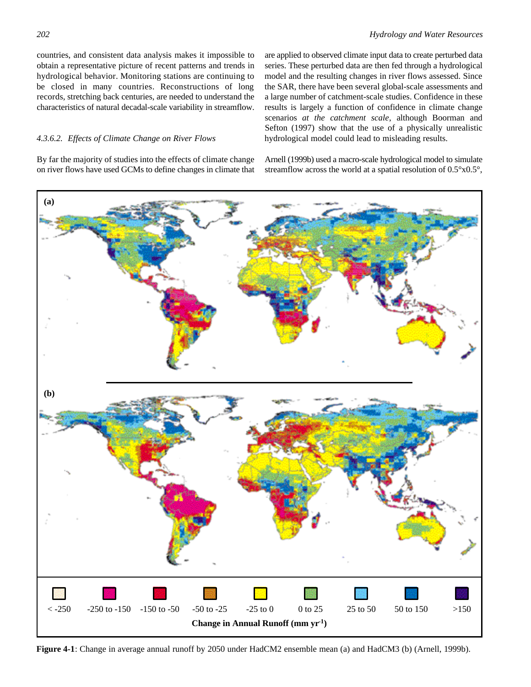countries, and consistent data analysis makes it impossible to obtain a representative picture of recent patterns and trends in hydrological behavior. Monitoring stations are continuing to be closed in many countries. Reconstructions of long records, stretching back centuries, are needed to understand the characteristics of natural decadal-scale variability in streamflow.

# *4.3.6.2. Effects of Climate Change on River Flows*

By far the majority of studies into the effects of climate change on river flows have used GCMs to define changes in climate that

are applied to observed climate input data to create perturbed data series. These perturbed data are then fed through a hydrological model and the resulting changes in river flows assessed. Since the SAR, there have been several global-scale assessments and a large number of catchment-scale studies. Confidence in these results is largely a function of confidence in climate change scenarios *at the catchment scale*, although Boorman and Sefton (1997) show that the use of a physically unrealistic hydrological model could lead to misleading results.

Arnell (1999b) used a macro-scale hydrological model to simulate streamflow across the world at a spatial resolution of 0.5°x0.5°,



**Figure 4-1**: Change in average annual runoff by 2050 under HadCM2 ensemble mean (a) and HadCM3 (b) (Arnell, 1999b).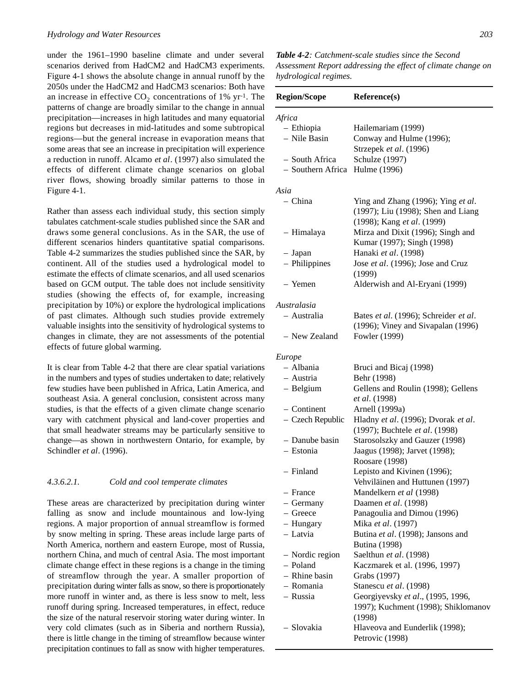under the 1961–1990 baseline climate and under several scenarios derived from HadCM2 and HadCM3 experiments. Figure 4-1 shows the absolute change in annual runoff by the 2050s under the HadCM2 and HadCM3 scenarios: Both have an increase in effective  $CO_2$  concentrations of 1% yr<sup>-1</sup>. The patterns of change are broadly similar to the change in annual precipitation—increases in high latitudes and many equatorial regions but decreases in mid-latitudes and some subtropical regions—but the general increase in evaporation means that some areas that see an increase in precipitation will experience a reduction in runoff. Alcamo *et al*. (1997) also simulated the e ffects of different climate change scenarios on global river flows, showing broadly similar patterns to those in Figure 4-1.

Rather than assess each individual study, this section simply tabulates catchment-scale studies published since the SAR and draws some general conclusions. As in the SAR, the use of different scenarios hinders quantitative spatial comparisons. Table 4-2 summarizes the studies published since the SAR, by continent. All of the studies used a hydrological model to estimate the effects of climate scenarios, and all used scenarios based on GCM output. The table does not include sensitivity studies (showing the effects of, for example, increasing precipitation by 10%) or explore the hydrological implications of past climates. Although such studies provide extremely valuable insights into the sensitivity of hydrological systems to changes in climate, they are not assessments of the potential effects of future global warming.

It is clear from Table 4-2 that there are clear spatial variations in the numbers and types of studies undertaken to date; relatively few studies have been published in Africa, Latin America, and southeast Asia. A general conclusion, consistent across many studies, is that the effects of a given climate change scenario vary with catchment physical and land-cover properties and that small headwater streams may be particularly sensitive to change—as shown in northwestern Ontario, for example, by Schindler *et al*. (1996).

# *4.3.6.2.1. Cold and cool temperate climates*

These areas are characterized by precipitation during winter falling as snow and include mountainous and low-lying regions. A major proportion of annual streamflow is formed by snow melting in spring. These areas include large parts of North America, northern and eastern Europe, most of Russia, northern China, and much of central Asia. The most important climate change effect in these regions is a change in the timing of streamflow through the year. A smaller proportion of precipitation during winter falls as snow, so there is proportionately more runoff in winter and, as there is less snow to melt, less runoff during spring. Increased temperatures, in effect, reduce the size of the natural reservoir storing water during winter. In very cold climates (such as in Siberia and northern Russia), there is little change in the timing of streamflow because winter precipitation continues to fall as snow with higher temperatures.

*Table 4-2: Catchment-scale studies since the Second Assessment Report addressing the effect of climate change on hydrological regimes.*

| <b>Region/Scope</b> | Reference(s)                                                          |
|---------------------|-----------------------------------------------------------------------|
| Africa              |                                                                       |
| - Ethiopia          | Hailemariam (1999)                                                    |
| - Nile Basin        | Conway and Hulme (1996);                                              |
|                     | Strzepek et al. (1996)                                                |
| - South Africa      | Schulze (1997)                                                        |
| - Southern Africa   | Hulme (1996)                                                          |
| Asia                |                                                                       |
| – China             | Ying and Zhang (1996); Ying et al.                                    |
|                     | (1997); Liu (1998); Shen and Liang                                    |
|                     | (1998); Kang et al. (1999)                                            |
| - Himalaya          | Mirza and Dixit (1996); Singh and                                     |
|                     | Kumar (1997); Singh (1998)                                            |
| - Japan             | Hanaki et al. (1998)                                                  |
| $-$ Philippines     | Jose et al. (1996); Jose and Cruz                                     |
|                     | (1999)                                                                |
| - Yemen             | Alderwish and Al-Eryani (1999)                                        |
| Australasia         |                                                                       |
| - Australia         | Bates et al. (1996); Schreider et al.                                 |
|                     | $(1996)$ ; Viney and Sivapalan $(1996)$                               |
| - New Zealand       | Fowler (1999)                                                         |
|                     |                                                                       |
| Europe              |                                                                       |
| - Albania           | Bruci and Bicaj (1998)                                                |
| – Austria           | Behr (1998)                                                           |
| - Belgium           | Gellens and Roulin (1998); Gellens                                    |
|                     | et al. (1998)                                                         |
| - Continent         | Arnell (1999a)                                                        |
| - Czech Republic    | Hladny et al. (1996); Dvorak et al.<br>(1997); Buchtele et al. (1998) |
| - Danube basin      | Starosolszky and Gauzer (1998)                                        |
| - Estonia           | Jaagus (1998); Jarvet (1998);                                         |
|                     | Roosare (1998)                                                        |
| - Finland           | Lepisto and Kivinen (1996);                                           |
|                     | Vehviläinen and Huttunen (1997)                                       |
| - France            | Mandelkern et al (1998)                                               |
| – Germany           | Daamen et al. (1998)                                                  |
| - Greece            | Panagoulia and Dimou (1996)                                           |
| - Hungary           | Mika et al. (1997)                                                    |
| - Latvia            | Butina et al. (1998); Jansons and                                     |
|                     | <b>Butina</b> (1998)                                                  |
| - Nordic region     | Saelthun et al. (1998)                                                |
| - Poland            | Kaczmarek et al. (1996, 1997)                                         |
| - Rhine basin       | Grabs (1997)                                                          |
| - Romania           | Stanescu et al. (1998)                                                |
| - Russia            | Georgiyevsky et al., (1995, 1996,                                     |
|                     | 1997); Kuchment (1998); Shiklomanov<br>(1998)                         |
| - Slovakia          | Hlaveova and Eunderlik (1998);                                        |
|                     | Petrovic (1998)                                                       |
|                     |                                                                       |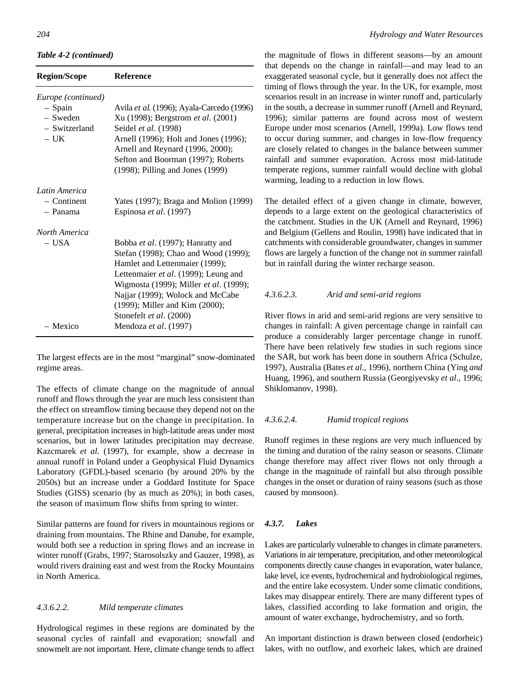# *Table 4-2 (continued)*

| <b>Region/Scope</b> | <b>Reference</b>                          |  |  |
|---------------------|-------------------------------------------|--|--|
| Europe (continued)  |                                           |  |  |
| - Spain             | Avila et al. (1996); Ayala-Carcedo (1996) |  |  |
| - Sweden            | Xu (1998); Bergstrom et al. (2001)        |  |  |
| - Switzerland       | Seidel et al. (1998)                      |  |  |
| $- UK$              | Arnell (1996); Holt and Jones (1996);     |  |  |
|                     | Arnell and Reynard (1996, 2000);          |  |  |
|                     | Sefton and Boorman (1997); Roberts        |  |  |
|                     | $(1998)$ ; Pilling and Jones $(1999)$     |  |  |
| Latin America       |                                           |  |  |
| $-$ Continent       | Yates (1997); Braga and Molion (1999)     |  |  |
| - Panama            | Espinosa et al. (1997)                    |  |  |
| North America       |                                           |  |  |
| - USA               | Bobba et al. (1997); Hanratty and         |  |  |
|                     | Stefan (1998); Chao and Wood (1999);      |  |  |
|                     | Hamlet and Lettenmaier (1999);            |  |  |
|                     | Lettenmaier et al. (1999); Leung and      |  |  |
|                     | Wigmosta (1999); Miller et al. (1999);    |  |  |
|                     | Najjar (1999); Wolock and McCabe          |  |  |
|                     | (1999); Miller and Kim (2000);            |  |  |
|                     | Stonefelt et al. (2000)                   |  |  |
| – Mexico            | Mendoza <i>et al.</i> (1997)              |  |  |

The largest effects are in the most "marginal" snow-dominated regime areas.

The effects of climate change on the magnitude of annual runoff and flows through the year are much less consistent than the effect on streamflow timing because they depend not on the temperature increase but on the change in precipitation. In general, precipitation increases in high-latitude areas under most scenarios, but in lower latitudes precipitation may decrease. Kazcmarek *et al*. (1997), for example, show a decrease in annual runoff in Poland under a Geophysical Fluid Dynamics Laboratory (GFDL)-based scenario (by around 20% by the 2050s) but an increase under a Goddard Institute for Space Studies (GISS) scenario (by as much as 20%); in both cases, the season of maximum flow shifts from spring to winter.

Similar patterns are found for rivers in mountainous regions or draining from mountains. The Rhine and Danube, for example, would both see a reduction in spring flows and an increase in winter runoff (Grabs, 1997; Starosolszky and Gauzer, 1998), as would rivers draining east and west from the Rocky Mountains in North America.

#### *4.3.6.2.2. Mild temperate climates*

Hydrological regimes in these regions are dominated by the seasonal cycles of rainfall and evaporation; snowfall and snowmelt are not important. Here, climate change tends to affect

the magnitude of flows in different seasons—by an amount that depends on the change in rainfall—and may lead to an exaggerated seasonal cycle, but it generally does not affect the timing of flows through the year. In the UK, for example, most scenarios result in an increase in winter runoff and, particularly in the south, a decrease in summer runoff (Arnell and Reynard, 1996); similar patterns are found across most of western Europe under most scenarios (Arnell, 1999a). Low flows tend to occur during summer, and changes in low-flow frequency are closely related to changes in the balance between summer rainfall and summer evaporation. Across most mid-latitude temperate regions, summer rainfall would decline with global warming, leading to a reduction in low flows.

The detailed effect of a given change in climate, however, depends to a large extent on the geological characteristics of the catchment. Studies in the UK (Arnell and Reynard, 1996) and Belgium (Gellens and Roulin, 1998) have indicated that in catchments with considerable groundwater, changes in summer flows are largely a function of the change not in summer rainfall but in rainfall during the winter recharge season.

# *4.3.6.2.3. Arid and semi-arid regions*

River flows in arid and semi-arid regions are very sensitive to changes in rainfall: A given percentage change in rainfall can produce a considerably larger percentage change in runoff. There have been relatively few studies in such regions since the SAR, but work has been done in southern Africa (Schulze, 1997), Australia (Bates *et al*., 1996), northern China (Ying *and* Huang, 1996), and southern Russia (Georgiyevsky *et al*., 1996; Shiklomanov, 1998).

# *4.3.6.2.4. Humid tropical regions*

Runoff regimes in these regions are very much influenced by the timing and duration of the rainy season or seasons. Climate change therefore may affect river flows not only through a change in the magnitude of rainfall but also through possible changes in the onset or duration of rainy seasons (such as those caused by monsoon).

# *4.3.7. Lakes*

Lakes are particularly vulnerable to changes in climate parameters. Variations in air temperature, precipitation, and other meteorological components directly cause changes in evaporation, water balance, lake level, ice events, hydrochemical and hydrobiological regimes, and the entire lake ecosystem. Under some climatic conditions, lakes may disappear entirely. There are many different types of lakes, classified according to lake formation and origin, the amount of water exchange, hydrochemistry, and so forth.

An important distinction is drawn between closed (endorheic) lakes, with no outflow, and exorheic lakes, which are drained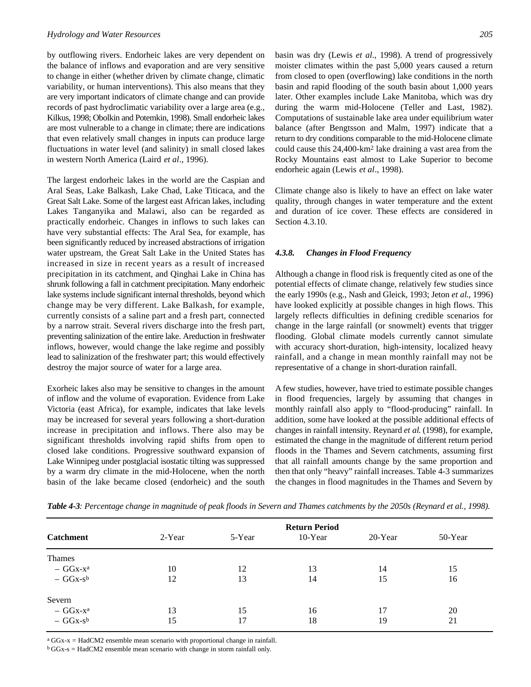by outflowing rivers. Endorheic lakes are very dependent on the balance of inflows and evaporation and are very sensitive to change in either (whether driven by climate change, climatic variability, or human interventions). This also means that they are very important indicators of climate change and can provide records of past hydroclimatic variability over a large area (e.g., Kilkus, 1998; Obolkin and Potemkin, 1998). Small endorheic lakes are most vulnerable to a change in climate; there are indications that even relatively small changes in inputs can produce large fluctuations in water level (and salinity) in small closed lakes in western North America (Laird *et al*., 1996).

The largest endorheic lakes in the world are the Caspian and Aral Seas, Lake Balkash, Lake Chad, Lake Titicaca, and the Great Salt Lake. Some of the largest east African lakes, including Lakes Tanganyika and Malawi, also can be regarded as practically endorheic. Changes in inflows to such lakes can have very substantial effects: The Aral Sea, for example, has been significantly reduced by increased abstractions of irrigation water upstream, the Great Salt Lake in the United States has increased in size in recent years as a result of increased precipitation in its catchment, and Oinghai Lake in China has shrunk following a fall in catchment precipitation. Many endorheic lake systems include significant internal thresholds, beyond which change may be very different. Lake Balkash, for example, currently consists of a saline part and a fresh part, connected by a narrow strait. Several rivers discharge into the fresh part, preventing salinization of the entire lake. Areduction in freshwater inflows, however, would change the lake regime and possibly lead to salinization of the freshwater part; this would effectively destroy the major source of water for a large area.

Exorheic lakes also may be sensitive to changes in the amount of inflow and the volume of evaporation. Evidence from Lake Victoria (east Africa), for example, indicates that lake levels may be increased for several years following a short-duration increase in precipitation and inflows. There also may be significant thresholds involving rapid shifts from open to closed lake conditions. Progressive southward expansion of Lake Winnipeg under postglacial isostatic tilting was suppressed by a warm dry climate in the mid-Holocene, when the north basin of the lake became closed (endorheic) and the south

basin was dry (Lewis *et al*., 1998). A trend of progressively moister climates within the past 5,000 years caused a return from closed to open (overflowing) lake conditions in the north basin and rapid flooding of the south basin about 1,000 years later. Other examples include Lake Manitoba, which was dry during the warm mid-Holocene (Teller and Last, 1982). Computations of sustainable lake area under equilibrium water balance (after Bengtsson and Malm, 1997) indicate that a return to dry conditions comparable to the mid-Holocene climate could cause this 24,400-km<sup>2</sup> lake draining a vast area from the Rocky Mountains east almost to Lake Superior to become endorheic again (Lewis *et al*., 1998).

Climate change also is likely to have an effect on lake water quality, through changes in water temperature and the extent and duration of ice cover. These effects are considered in Section 4.3.10.

# *4.3.8. Changes in Flood Frequency*

Although a change in flood risk is frequently cited as one of the potential effects of climate change, relatively few studies since the early 1990s (e.g., Nash and Gleick, 1993; Jeton *et al*., 1996) have looked explicitly at possible changes in high flows. This largely reflects difficulties in defining credible scenarios for change in the large rainfall (or snowmelt) events that trigger flooding. Global climate models currently cannot simulate with accuracy short-duration, high-intensity, localized heavy rainfall, and a change in mean monthly rainfall may not be representative of a change in short-duration rainfall.

A few studies, however, have tried to estimate possible changes in flood frequencies, largely by assuming that changes in monthly rainfall also apply to "flood-producing" rainfall. In addition, some have looked at the possible additional effects of changes in rainfall intensity. Reynard *et al*. (1998), for example, estimated the change in the magnitude of different return period floods in the Thames and Severn catchments, assuming first that all rainfall amounts change by the same proportion and then that only "heavy" rainfall increases. Table 4-3 summarizes the changes in flood magnitudes in the Thames and Severn by

|                        |        |        | <b>Return Period</b> |         |         |
|------------------------|--------|--------|----------------------|---------|---------|
| <b>Catchment</b>       | 2-Year | 5-Year | 10-Year              | 20-Year | 50-Year |
| <b>Thames</b>          |        |        |                      |         |         |
| $-$ GGx-x <sup>a</sup> | 10     | 12     | 13                   | 14      | 15      |
| $-$ GGx-s <sup>b</sup> | 12     | 13     | 14                   | 15      | 16      |
| Severn                 |        |        |                      |         |         |
| $-$ GGx-x <sup>a</sup> | 13     | 15     | 16                   | 17      | 20      |
| $-$ GGx-s <sup>b</sup> | 15     | 17     | 18                   | 19      | 21      |

*Table 4-3: Percentage change in magnitude of peak floods in Severn and Thames catchments by the 2050s (Reynard et al., 1998).*

a GGx-x = HadCM2 ensemble mean scenario with proportional change in rainfall.

 $b$  GGx-s = HadCM2 ensemble mean scenario with change in storm rainfall only.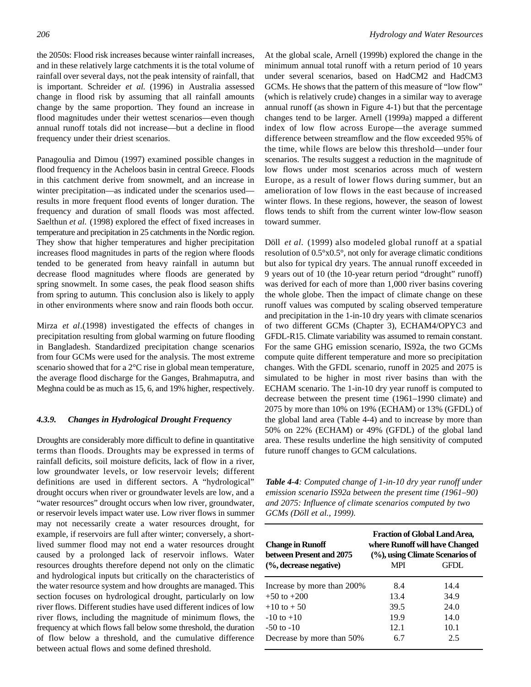the 2050s: Flood risk increases because winter rainfall increases, and in these relatively large catchments it is the total volume of rainfall over several days, not the peak intensity of rainfall, that is important. Schreider *et al*. (1996) in Australia assessed change in flood risk by assuming that all rainfall amounts change by the same proportion. They found an increase in flood magnitudes under their wettest scenarios—even though annual runoff totals did not increase—but a decline in flood frequency under their driest scenarios.

Panagoulia and Dimou (1997) examined possible changes in flood frequency in the Acheloos basin in central Greece. Floods in this catchment derive from snowmelt, and an increase in winter precipitation—as indicated under the scenarios used results in more frequent flood events of longer duration. The frequency and duration of small floods was most affected. Saelthun *et al.* (1998) explored the effect of fixed increases in temperature and precipitation in 25 catchments in the Nordic region. They show that higher temperatures and higher precipitation increases flood magnitudes in parts of the region where floods tended to be generated from heavy rainfall in autumn but decrease flood magnitudes where floods are generated by spring snowmelt. In some cases, the peak flood season shifts from spring to autumn. This conclusion also is likely to apply in other environments where snow and rain floods both occur.

Mirza *et al*.(1998) investigated the effects of changes in precipitation resulting from global warming on future flooding in Bangladesh. Standardized precipitation change scenarios from four GCMs were used for the analysis. The most extreme scenario showed that for a 2°C rise in global mean temperature, the average flood discharge for the Ganges, Brahmaputra, and Meghna could be as much as 15, 6, and 19% higher, respectively.

# *4.3.9. Changes in Hydrological Drought Frequency*

Droughts are considerably more difficult to define in quantitative terms than floods. Droughts may be expressed in terms of rainfall deficits, soil moisture deficits, lack of flow in a river, low groundwater levels, or low reservoir levels; different definitions are used in different sectors. A "hydrological" drought occurs when river or groundwater levels are low, and a "water resources" drought occurs when low river, groundwater, or reservoir levels impact water use. Low river flows in summer may not necessarily create a water resources drought, for example, if reservoirs are full after winter; conversely, a shortlived summer flood may not end a water resources drought caused by a prolonged lack of reservoir inflows. Water resources droughts therefore depend not only on the climatic and hydrological inputs but critically on the characteristics of the water resource system and how droughts are managed. This section focuses on hydrological drought, particularly on low river flows. Different studies have used different indices of low river flows, including the magnitude of minimum flows, the frequency at which flows fall below some threshold, the duration of flow below a threshold, and the cumulative difference between actual flows and some defined threshold.

At the global scale, Arnell (1999b) explored the change in the minimum annual total runoff with a return period of 10 years under several scenarios, based on HadCM2 and HadCM3 GCMs. He shows that the pattern of this measure of "low flow" (which is relatively crude) changes in a similar way to average annual runoff (as shown in Figure 4-1) but that the percentage changes tend to be larger. Arnell (1999a) mapped a different index of low flow across Europe—the average summed difference between streamflow and the flow exceeded 95% of the time, while flows are below this threshold—under four scenarios. The results suggest a reduction in the magnitude of low flows under most scenarios across much of western Europe, as a result of lower flows during summer, but an amelioration of low flows in the east because of increased winter flows. In these regions, however, the season of lowest flows tends to shift from the current winter low-flow season toward summer.

Döll *et al.* (1999) also modeled global runoff at a spatial resolution of  $0.5^{\circ}x0.5^{\circ}$ , not only for average climatic conditions but also for typical dry years. The annual runoff exceeded in 9 years out of 10 (the 10-year return period "drought" runoff) was derived for each of more than 1,000 river basins covering the whole globe. Then the impact of climate change on these runoff values was computed by scaling observed temperature and precipitation in the 1-in-10 dry years with climate scenarios of two different GCMs (Chapter 3), ECHAM4/OPYC3 and GFDL-R15. Climate variability was assumed to remain constant. For the same GHG emission scenario, IS92a, the two GCMs compute quite different temperature and more so precipitation changes. With the GFDL scenario, runoff in 2025 and 2075 is simulated to be higher in most river basins than with the ECHAM scenario. The 1-in-10 dry year runoff is computed to decrease between the present time (1961–1990 climate) and 2075 by more than 10% on 19% (ECHAM) or 13% (GFDL) of the global land area (Table 4-4) and to increase by more than 50% on 22% (ECHAM) or 49% (GFDL) of the global land area. These results underline the high sensitivity of computed future runoff changes to GCM calculations.

*Table 4-4: Computed change of 1-in-10 dry year runoff under emission scenario IS92a between the present time (1961–90) and 2075: Influence of climate scenarios computed by two GCMs (Döll et al., 1999).*

| <b>Change in Runoff</b><br>between Present and 2075<br>$(\%$ , decrease negative) | MPI  | <b>Fraction of Global Land Area,</b><br>where Runoff will have Changed<br>(%), using Climate Scenarios of<br>GFDL. |
|-----------------------------------------------------------------------------------|------|--------------------------------------------------------------------------------------------------------------------|
| Increase by more than 200%                                                        | 8.4  | 14.4                                                                                                               |
| $+50$ to $+200$                                                                   | 13.4 | 34.9                                                                                                               |
| $+10$ to $+50$                                                                    | 39.5 | 24.0                                                                                                               |
| $-10$ to $+10$                                                                    | 19.9 | 14.0                                                                                                               |
| $-50$ to $-10$                                                                    | 12.1 | 10.1                                                                                                               |
| Decrease by more than 50%                                                         | 6.7  | 2.5                                                                                                                |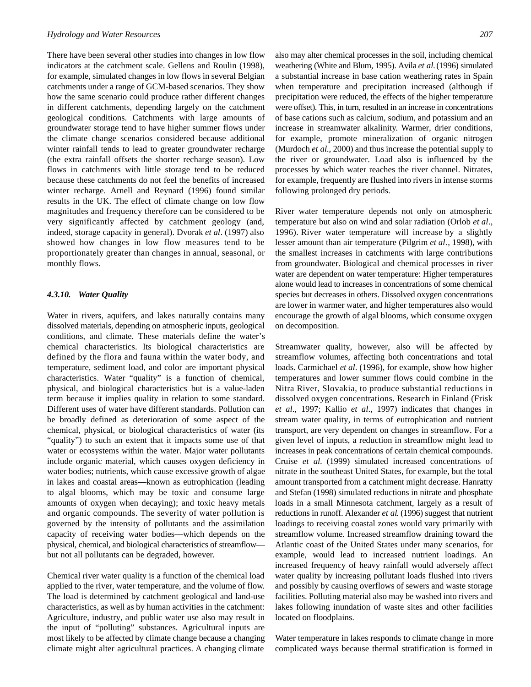There have been several other studies into changes in low flow indicators at the catchment scale. Gellens and Roulin (1998), for example, simulated changes in low flows in several Belgian catchments under a range of GCM-based scenarios. They show how the same scenario could produce rather different changes in different catchments, depending largely on the catchment geological conditions. Catchments with large amounts of groundwater storage tend to have higher summer flows under the climate change scenarios considered because additional winter rainfall tends to lead to greater groundwater recharge (the extra rainfall offsets the shorter recharge season). Low flows in catchments with little storage tend to be reduced because these catchments do not feel the benefits of increased winter recharge. Arnell and Reynard (1996) found similar results in the UK. The effect of climate change on low flow magnitudes and frequency therefore can be considered to be very significantly affected by catchment geology (and, indeed, storage capacity in general). Dvorak *et al*. (1997) also showed how changes in low flow measures tend to be proportionately greater than changes in annual, seasonal, or monthly flows.

#### *4.3.10. Water Quality*

Water in rivers, aquifers, and lakes naturally contains many dissolved materials, depending on atmospheric inputs, geological conditions, and climate. These materials define the water's chemical characteristics. Its biological characteristics are defined by the flora and fauna within the water body, and temperature, sediment load, and color are important physical characteristics. Water "quality" is a function of chemical, physical, and biological characteristics but is a value-laden term because it implies quality in relation to some standard. Different uses of water have different standards. Pollution can be broadly defined as deterioration of some aspect of the chemical, physical, or biological characteristics of water (its "quality") to such an extent that it impacts some use of that water or ecosystems within the water. Major water pollutants include organic material, which causes oxygen deficiency in water bodies; nutrients, which cause excessive growth of algae in lakes and coastal areas—known as eutrophication (leading to algal blooms, which may be toxic and consume large amounts of oxygen when decaying); and toxic heavy metals and organic compounds. The severity of water pollution is governed by the intensity of pollutants and the assimilation capacity of receiving water bodies—which depends on the physical, chemical, and biological characteristics of streamflow but not all pollutants can be degraded, however.

Chemical river water quality is a function of the chemical load applied to the river, water temperature, and the volume of flow. The load is determined by catchment geological and land-use characteristics, as well as by human activities in the catchment: Agriculture, industry, and public water use also may result in the input of "polluting" substances. Agricultural inputs are most likely to be affected by climate change because a changing climate might alter agricultural practices. A changing climate

also may alter chemical processes in the soil, including chemical weathering (White and Blum, 1995). Avila *et al.*(1996) simulated a substantial increase in base cation weathering rates in Spain when temperature and precipitation increased (although if precipitation were reduced, the effects of the higher temperature were offset). This, in turn, resulted in an increase in concentrations of base cations such as calcium, sodium, and potassium and an increase in streamwater alkalinity. Warmer, drier conditions, for example, promote mineralization of organic nitrogen (Murdoch *et al*., 2000) and thus increase the potential supply to the river or groundwater. Load also is influenced by the processes by which water reaches the river channel. Nitrates, for example, frequently are flushed into rivers in intense storms following prolonged dry periods.

River water temperature depends not only on atmospheric temperature but also on wind and solar radiation (Orlob *et al.*, 1996). River water temperature will increase by a slightly lesser amount than air temperature (Pilgrim *et al.*, 1998), with the smallest increases in catchments with large contributions from groundwater. Biological and chemical processes in river water are dependent on water temperature: Higher temperatures alone would lead to increases in concentrations of some chemical species but decreases in others. Dissolved oxygen concentrations are lower in warmer water, and higher temperatures also would encourage the growth of algal blooms, which consume oxygen on decomposition.

Streamwater quality, however, also will be affected by streamflow volumes, affecting both concentrations and total loads. Carmichael *et al*. (1996), for example, show how higher temperatures and lower summer flows could combine in the Nitra River, Slovakia, to produce substantial reductions in dissolved oxygen concentrations. Research in Finland (Frisk) *et al*., 1997; Kallio *et al*., 1997) indicates that changes in stream water quality, in terms of eutrophication and nutrient transport, are very dependent on changes in streamflow. For a given level of inputs, a reduction in streamflow might lead to increases in peak concentrations of certain chemical compounds. Cruise *et al*. (1999) simulated increased concentrations of nitrate in the southeast United States, for example, but the total amount transported from a catchment might decrease. Hanratty and Stefan (1998) simulated reductions in nitrate and phosphate loads in a small Minnesota catchment, largely as a result of reductions in runoff. Alexander *et al*. (1996) suggest that nutrient loadings to receiving coastal zones would vary primarily with streamflow volume. Increased streamflow draining toward the Atlantic coast of the United States under many scenarios, for example, would lead to increased nutrient loadings. An increased frequency of heavy rainfall would adversely affect water quality by increasing pollutant loads flushed into rivers and possibly by causing overflows of sewers and waste storage facilities. Polluting material also may be washed into rivers and lakes following inundation of waste sites and other facilities located on floodplains.

Water temperature in lakes responds to climate change in more complicated ways because thermal stratification is formed in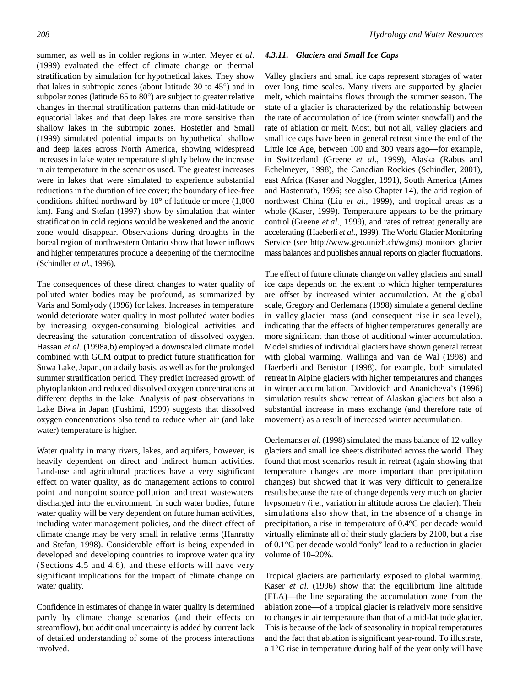summer, as well as in colder regions in winter. Meyer *et al*. (1999) evaluated the effect of climate change on thermal stratification by simulation for hypothetical lakes. They show that lakes in subtropic zones (about latitude 30 to 45°) and in subpolar zones (latitude 65 to 80°) are subject to greater relative changes in thermal stratification patterns than mid-latitude or equatorial lakes and that deep lakes are more sensitive than shallow lakes in the subtropic zones. Hostetler and Small (1999) simulated potential impacts on hypothetical shallow and deep lakes across North America, showing widespread increases in lake water temperature slightly below the increase in air temperature in the scenarios used. The greatest increases were in lakes that were simulated to experience substantial reductions in the duration of ice cover; the boundary of ice-free conditions shifted northward by 10° of latitude or more (1,000 km). Fang and Stefan (1997) show by simulation that winter stratification in cold regions would be weakened and the anoxic zone would disappear. Observations during droughts in the boreal region of northwestern Ontario show that lower inflows and higher temperatures produce a deepening of the thermocline (Schindler *et al*., 1996).

The consequences of these direct changes to water quality of polluted water bodies may be profound, as summarized by Varis and Somlyody (1996) for lakes. Increases in temperature would deteriorate water quality in most polluted water bodies by increasing oxygen-consuming biological activities and decreasing the saturation concentration of dissolved oxygen. Hassan *et al.* (1998a,b) employed a downscaled climate model combined with GCM output to predict future stratification for Suwa Lake, Japan, on a daily basis, as well as for the prolonged summer stratification period. They predict increased growth of phytoplankton and reduced dissolved oxygen concentrations at different depths in the lake. Analysis of past observations in Lake Biwa in Japan (Fushimi, 1999) suggests that dissolved oxygen concentrations also tend to reduce when air (and lake water) temperature is higher.

Water quality in many rivers, lakes, and aquifers, however, is heavily dependent on direct and indirect human activities. Land-use and agricultural practices have a very significant effect on water quality, as do management actions to control point and nonpoint source pollution and treat wastewaters discharged into the environment. In such water bodies, future water quality will be very dependent on future human activities, including water management policies, and the direct effect of climate change may be very small in relative terms (Hanratty and Stefan, 1998). Considerable effort is being expended in developed and developing countries to improve water quality (Sections 4.5 and 4.6), and these efforts will have very significant implications for the impact of climate change on water quality.

Confidence in estimates of change in water quality is determined partly by climate change scenarios (and their effects on streamflow), but additional uncertainty is added by current lack of detailed understanding of some of the process interactions involved.

#### *4.3.11. Glaciers and Small Ice Caps*

Valley glaciers and small ice caps represent storages of water over long time scales. Many rivers are supported by glacier melt, which maintains flows through the summer season. The state of a glacier is characterized by the relationship between the rate of accumulation of ice (from winter snowfall) and the rate of ablation or melt. Most, but not all, valley glaciers and small ice caps have been in general retreat since the end of the Little Ice Age, between 100 and 300 years ago—for example, in Switzerland (Greene *et al*., 1999), Alaska (Rabus and Echelmeyer, 1998), the Canadian Rockies (Schindler, 2001), east Africa (Kaser and Noggler, 1991), South America (Ames and Hastenrath, 1996; see also Chapter 14), the arid region of northwest China (Liu *et al*., 1999), and tropical areas as a whole (Kaser, 1999). Temperature appears to be the primary control (Greene *et al*., 1999), and rates of retreat generally are accelerating (Haeberli *et al*., 1999). The World Glacier Monitoring Service (see http://www.geo.unizh.ch/wgms) monitors glacier mass balances and publishes annual reports on glacier fluctuations.

The effect of future climate change on valley glaciers and small ice caps depends on the extent to which higher temperatures are offset by increased winter accumulation. At the global scale, Gregory and Oerlemans (1998) simulate a general decline in valley glacier mass (and consequent rise in sea level), indicating that the effects of higher temperatures generally are more significant than those of additional winter accumulation. Model studies of individual glaciers have shown general retreat with global warming. Wallinga and van de Wal (1998) and Haerberli and Beniston (1998), for example, both simulated retreat in Alpine glaciers with higher temperatures and changes in winter accumulation. Davidovich and Ananicheva's (1996) simulation results show retreat of Alaskan glaciers but also a substantial increase in mass exchange (and therefore rate of movement) as a result of increased winter accumulation.

Oerlemans *et al*. (1998) simulated the mass balance of 12 valley glaciers and small ice sheets distributed across the world. They found that most scenarios result in retreat (again showing that temperature changes are more important than precipitation changes) but showed that it was very difficult to generalize results because the rate of change depends very much on glacier hypsometry (i.e., variation in altitude across the glacier). Their simulations also show that, in the absence of a change in precipitation, a rise in temperature of  $0.4^{\circ}$ C per decade would virtually eliminate all of their study glaciers by 2100, but a rise of 0.1°C per decade would "only" lead to a reduction in glacier volume of 10–20%.

Tropical glaciers are particularly exposed to global warming. Kaser *et al*. (1996) show that the equilibrium line altitude (ELA)—the line separating the accumulation zone from the ablation zone—of a tropical glacier is relatively more sensitive to changes in air temperature than that of a mid-latitude glacier. This is because of the lack of seasonality in tropical temperatures and the fact that ablation is significant year-round. To illustrate, a 1°C rise in temperature during half of the year only will have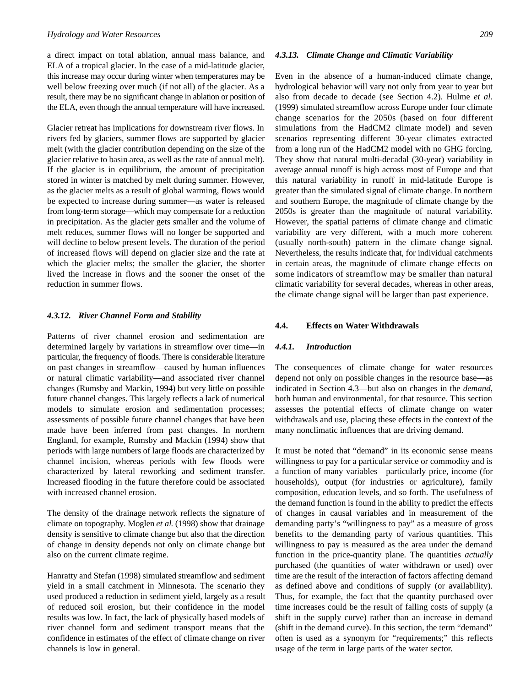a direct impact on total ablation, annual mass balance, and ELA of a tropical glacier. In the case of a mid-latitude glacier, this increase may occur during winter when temperatures may be well below freezing over much (if not all) of the glacier. As a result, there may be no significant change in ablation or position of the ELA, even though the annual temperature will have increased.

Glacier retreat has implications for downstream river flows. In rivers fed by glaciers, summer flows are supported by glacier melt (with the glacier contribution depending on the size of the glacier relative to basin area, as well as the rate of annual melt). If the glacier is in equilibrium, the amount of precipitation stored in winter is matched by melt during summer. However, as the glacier melts as a result of global warming, flows would be expected to increase during summer—as water is released from long-term storage—which may compensate for a reduction in precipitation. As the glacier gets smaller and the volume of melt reduces, summer flows will no longer be supported and will decline to below present levels. The duration of the period of increased flows will depend on glacier size and the rate at which the glacier melts; the smaller the glacier, the shorter lived the increase in flows and the sooner the onset of the reduction in summer flows.

#### *4.3.12. River Channel Form and Stability*

Patterns of river channel erosion and sedimentation are determined largely by variations in streamflow over time—in particular, the frequency of floods. There is considerable literature on past changes in streamflow—caused by human influences or natural climatic variability—and associated river channel changes (Rumsby and Mackin, 1994) but very little on possible future channel changes. This largely reflects a lack of numerical models to simulate erosion and sedimentation processes; assessments of possible future channel changes that have been made have been inferred from past changes. In northern England, for example, Rumsby and Mackin (1994) show that periods with large numbers of large floods are characterized by channel incision, whereas periods with few floods were characterized by lateral reworking and sediment transfer. Increased flooding in the future therefore could be associated with increased channel erosion.

The density of the drainage network reflects the signature of climate on topography. Moglen *et al*. (1998) show that drainage density is sensitive to climate change but also that the direction of change in density depends not only on climate change but also on the current climate regime.

Hanratty and Stefan (1998) simulated streamflow and sediment yield in a small catchment in Minnesota. The scenario they used produced a reduction in sediment yield, largely as a result of reduced soil erosion, but their confidence in the model results was low. In fact, the lack of physically based models of river channel form and sediment transport means that the confidence in estimates of the effect of climate change on river channels is low in general.

# *4.3.13. Climate Change and Climatic Variability*

Even in the absence of a human-induced climate change, hydrological behavior will vary not only from year to year but also from decade to decade (see Section 4.2). Hulme *et al*. (1999) simulated streamflow across Europe under four climate change scenarios for the 2050s (based on four different simulations from the HadCM2 climate model) and seven scenarios representing different 30-year climates extracted from a long run of the HadCM2 model with no GHG forcing. They show that natural multi-decadal (30-year) variability in average annual runoff is high across most of Europe and that this natural variability in runoff in mid-latitude Europe is greater than the simulated signal of climate change. In northern and southern Europe, the magnitude of climate change by the 2050s is greater than the magnitude of natural variability. However, the spatial patterns of climate change and climatic variability are very different, with a much more coherent (usually north-south) pattern in the climate change signal. Nevertheless, the results indicate that, for individual catchments in certain areas, the magnitude of climate change effects on some indicators of streamflow may be smaller than natural climatic variability for several decades, whereas in other areas, the climate change signal will be larger than past experience.

# **4.4. Effects on Water Withdrawals**

#### *4.4.1. Introduction*

The consequences of climate change for water resources depend not only on possible changes in the resource base—as indicated in Section 4.3—but also on changes in the *demand*, both human and environmental*,* for that resource. This section assesses the potential effects of climate change on water withdrawals and use, placing these effects in the context of the many nonclimatic influences that are driving demand.

It must be noted that "demand" in its economic sense means willingness to pay for a particular service or commodity and is a function of many variables—particularly price, income (for households), output (for industries or agriculture), family composition, education levels, and so forth. The usefulness of the demand function is found in the ability to predict the effects of changes in causal variables and in measurement of the demanding party's "willingness to pay" as a measure of gross benefits to the demanding party of various quantities. This willingness to pay is measured as the area under the demand function in the price-quantity plane. The quantities *actually* purchased (the quantities of water withdrawn or used) over time are the result of the interaction of factors affecting demand as defined above and conditions of supply (or availability). Thus, for example, the fact that the quantity purchased over time increases could be the result of falling costs of supply (a shift in the supply curve) rather than an increase in demand (shift in the demand curve). In this section, the term "demand" often is used as a synonym for "requirements;" this reflects usage of the term in large parts of the water sector.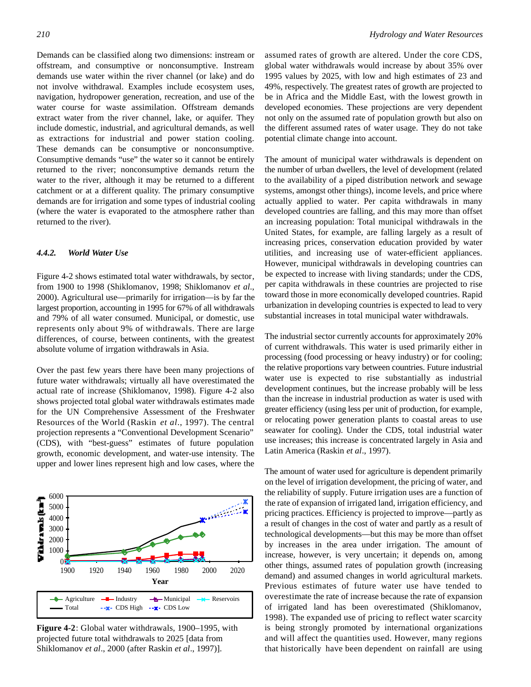Demands can be classified along two dimensions: instream or offstream, and consumptive or nonconsumptive. Instream demands use water within the river channel (or lake) and do not involve withdrawal. Examples include ecosystem uses, navigation, hydropower generation, recreation, and use of the water course for waste assimilation. Offstream demands extract water from the river channel, lake, or aquifer. They include domestic, industrial, and agricultural demands, as well as extractions for industrial and power station cooling. These demands can be consumptive or nonconsumptive. Consumptive demands "use" the water so it cannot be entirely returned to the river; nonconsumptive demands return the water to the river, although it may be returned to a different catchment or at a different quality. The primary consumptive demands are for irrigation and some types of industrial cooling (where the water is evaporated to the atmosphere rather than returned to the river).

# *4.4.2. World Water Use*

Figure 4-2 shows estimated total water withdrawals, by sector, from 1900 to 1998 (Shiklomanov, 1998; Shiklomanov *et al*., 2000). Agricultural use—primarily for irrigation—is by far the largest proportion, accounting in 1995 for 67% of all withdrawals and 79% of all water consumed. Municipal, or domestic, use represents only about 9% of withdrawals. There are large differences, of course, between continents, with the greatest absolute volume of irrgation withdrawals in Asia.

Over the past few years there have been many projections of future water withdrawals; virtually all have overestimated the actual rate of increase (Shiklomanov, 1998). Figure 4-2 also shows projected total global water withdrawals estimates made for the UN Comprehensive Assessment of the Freshwater Resources of the World (Raskin *et al*., 1997). The central projection represents a "Conventional Development Scenario" (CDS), with "best-guess" estimates of future population growth, economic development, and water-use intensity. The upper and lower lines represent high and low cases, where the



**Figure 4-2**: Global water withdrawals, 1900–1995, with projected future total withdrawals to 2025 [data from Shiklomanov *et al*., 2000 (after Raskin *et al*., 1997)].

assumed rates of growth are altered. Under the core CDS, global water withdrawals would increase by about 35% over 1995 values by 2025, with low and high estimates of 23 and 49%, respectively. The greatest rates of growth are projected to be in Africa and the Middle East, with the lowest growth in developed economies. These projections are very dependent not only on the assumed rate of population growth but also on the different assumed rates of water usage. They do not take potential climate change into account.

The amount of municipal water withdrawals is dependent on the number of urban dwellers, the level of development (related to the availability of a piped distribution network and sewage systems, amongst other things), income levels, and price where actually applied to water. Per capita withdrawals in many developed countries are falling, and this may more than offset an increasing population: Total municipal withdrawals in the United States, for example, are falling largely as a result of increasing prices, conservation education provided by water utilities, and increasing use of water-efficient appliances. However, municipal withdrawals in developing countries can be expected to increase with living standards; under the CDS, per capita withdrawals in these countries are projected to rise toward those in more economically developed countries. Rapid urbanization in developing countries is expected to lead to very substantial increases in total municipal water withdrawals.

The industrial sector currently accounts for approximately 20% of current withdrawals. This water is used primarily either in processing (food processing or heavy industry) or for cooling; the relative proportions vary between countries. Future industrial water use is expected to rise substantially as industrial development continues, but the increase probably will be less than the increase in industrial production as water is used with greater efficiency (using less per unit of production, for example, or relocating power generation plants to coastal areas to use seawater for cooling). Under the CDS, total industrial water use increases; this increase is concentrated largely in Asia and Latin America (Raskin *et al*., 1997).

The amount of water used for agriculture is dependent primarily on the level of irrigation development, the pricing of water, and the reliability of supply. Future irrigation uses are a function of the rate of expansion of irrigated land, irrigation efficiency, and pricing practices. Efficiency is projected to improve—partly as a result of changes in the cost of water and partly as a result of technological developments—but this may be more than offset by increases in the area under irrigation. The amount of increase, however, is very uncertain; it depends on, among other things, assumed rates of population growth (increasing demand) and assumed changes in world agricultural markets. Previous estimates of future water use have tended to overestimate the rate of increase because the rate of expansion of irrigated land has been overestimated (Shiklomanov, 1998). The expanded use of pricing to reflect water scarcity is being strongly promoted by international organizations and will affect the quantities used. However, many regions that historically have been dependent on rainfall are using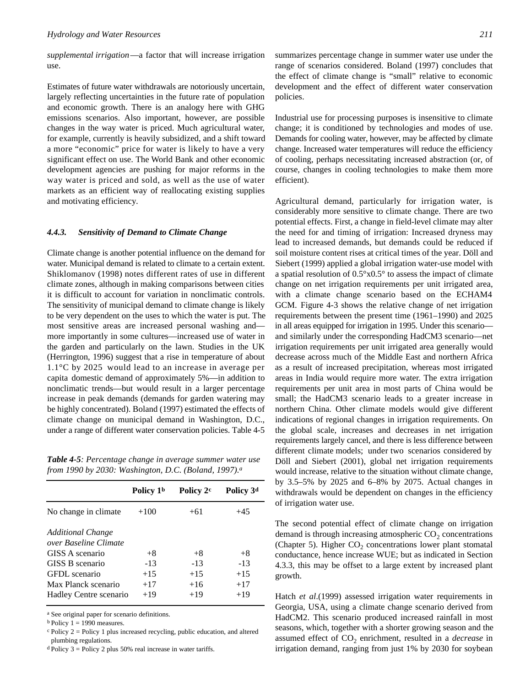*supplemental irrigation—a* factor that will increase irrigation use.

Estimates of future water withdrawals are notoriously uncertain, largely reflecting uncertainties in the future rate of population and economic growth. There is an analogy here with GHG emissions scenarios. Also important, however, are possible changes in the way water is priced. Much agricultural water, for example, currently is heavily subsidized, and a shift toward a more "economic" price for water is likely to have a very significant effect on use. The World Bank and other economic development agencies are pushing for major reforms in the way water is priced and sold, as well as the use of water markets as an efficient way of reallocating existing supplies and motivating efficiency.

# *4.4.3. Sensitivity of Demand to Climate Change*

Climate change is another potential influence on the demand for water. Municipal demand is related to climate to a certain extent. Shiklomanov (1998) notes different rates of use in different climate zones, although in making comparisons between cities it is difficult to account for variation in nonclimatic controls. The sensitivity of municipal demand to climate change is likely to be very dependent on the uses to which the water is put. The most sensitive areas are increased personal washing and more importantly in some cultures—increased use of water in the garden and particularly on the lawn. Studies in the UK (Herrington, 1996) suggest that a rise in temperature of about 1.1°C by 2025 would lead to an increase in average per capita domestic demand of approximately 5%—in addition to nonclimatic trends—but would result in a larger percentage increase in peak demands (demands for garden watering may be highly concentrated). Boland (1997) estimated the effects of climate change on municipal demand in Washington, D.C., under a range of different water conservation policies. Table 4-5

*Table 4-5: Percentage change in average summer water use f rom 1990 by 2030: Washington, D.C. (Boland, 1997).<sup>a</sup>*

|                                                   | Policy 1 <sup>b</sup> | Policy 2 <sup>c</sup> | Policy 3 <sup>d</sup> |
|---------------------------------------------------|-----------------------|-----------------------|-----------------------|
| No change in climate                              | $+100$                | $+61$                 | $+45$                 |
| <b>Additional Change</b><br>over Baseline Climate |                       |                       |                       |
| GISS A scenario                                   | $+8$                  | $+8$                  | $+8$                  |
| GISS B scenario                                   | $-13$                 | $-13$                 | $-13$                 |
| <b>GFDL</b> scenario                              | $+15$                 | $+15$                 | $+15$                 |
| Max Planck scenario                               | $+17$                 | $+16$                 | $+17$                 |
| Hadley Centre scenario                            | $+19$                 | $+19$                 | $+19$                 |

a See original paper for scenario definitions.

 $<sup>b</sup>$  Policy 1 = 1990 measures.</sup>

 $c$  Policy 2 = Policy 1 plus increased recycling, public education, and altered plumbing regulations.

 $d$  Policy 3 = Policy 2 plus 50% real increase in water tariffs.

summarizes percentage change in summer water use under the range of scenarios considered. Boland (1997) concludes that the effect of climate change is "small" relative to economic development and the effect of different water conservation policies.

Industrial use for processing purposes is insensitive to climate change; it is conditioned by technologies and modes of use. Demands for cooling water, however, may be affected by climate change. Increased water temperatures will reduce the efficiency of cooling, perhaps necessitating increased abstraction (or, of course, changes in cooling technologies to make them more efficient).

Agricultural demand, particularly for irrigation water, is considerably more sensitive to climate change. There are two potential effects. First, a change in field-level climate may alter the need for and timing of irrigation: Increased dryness may lead to increased demands, but demands could be reduced if soil moisture content rises at critical times of the year. Döll and Siebert (1999) applied a global irrigation water-use model with a spatial resolution of 0.5°x0.5° to assess the impact of climate change on net irrigation requirements per unit irrigated area, with a climate change scenario based on the ECHAM4 GCM. Figure 4-3 shows the relative change of net irrigation requirements between the present time (1961–1990) and 2025 in all areas equipped for irrigation in 1995. Under this scenario and similarly under the corresponding HadCM3 scenario—net irrigation requirements per unit irrigated area generally would decrease across much of the Middle East and northern Africa as a result of increased precipitation, whereas most irrigated areas in India would require more water. The extra irrigation requirements per unit area in most parts of China would be small; the HadCM3 scenario leads to a greater increase in northern China. Other climate models would give different indications of regional changes in irrigation requirements. On the global scale, increases and decreases in net irrigation requirements largely cancel, and there is less difference between different climate models; under two scenarios considered by Döll and Siebert (2001), global net irrigation requirements would increase, relative to the situation without climate change, by 3.5–5% by 2025 and 6–8% by 2075. Actual changes in withdrawals would be dependent on changes in the efficiency of irrigation water use.

The second potential effect of climate change on irrigation demand is through increasing atmospheric  $CO_2$  concentrations (Chapter 5). Higher  $CO<sub>2</sub>$  concentrations lower plant stomatal conductance, hence increase WUE; but as indicated in Section 4.3.3, this may be offset to a large extent by increased plant growth.

Hatch *et al*.(1999) assessed irrigation water requirements in Georgia, USA, using a climate change scenario derived from HadCM2. This scenario produced increased rainfall in most seasons, which, together with a shorter growing season and the assumed effect of CO<sub>2</sub> enrichment, resulted in a *decrease* in irrigation demand, ranging from just 1% by 2030 for soybean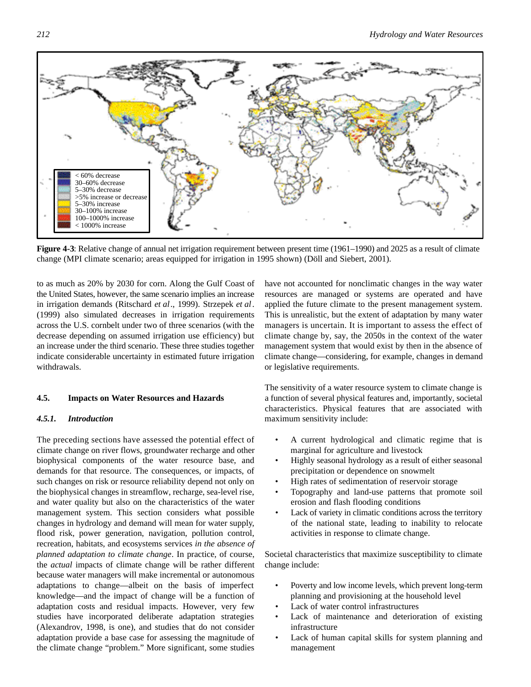

**Figure 4-3**: Relative change of annual net irrigation requirement between present time (1961–1990) and 2025 as a result of climate change (MPI climate scenario; areas equipped for irrigation in 1995 shown) (Döll and Siebert, 2001).

to as much as 20% by 2030 for corn. Along the Gulf Coast of the United States, however, the same scenario implies an increase in irrigation demands (Ritschard *et al*., 1999). Strzepek *et al*. (1999) also simulated decreases in irrigation requirements across the U.S. cornbelt under two of three scenarios (with the decrease depending on assumed irrigation use efficiency) but an increase under the third scenario. These three studies together indicate considerable uncertainty in estimated future irrigation withdrawals.

# **4.5. Impacts on Water Resources and Hazards**

#### *4.5.1. Introduction*

The preceding sections have assessed the potential effect of climate change on river flows, groundwater recharge and other biophysical components of the water resource base, and demands for that resource. The consequences, or impacts, of such changes on risk or resource reliability depend not only on the biophysical changes in streamflow, recharge, sea-level rise, and water quality but also on the characteristics of the water management system. This section considers what possible changes in hydrology and demand will mean for water supply, flood risk, power generation, navigation, pollution control, recreation, habitats, and ecosystems services *in the absence of planned adaptation to climate change*. In practice, of course, the *actual* impacts of climate change will be rather different because water managers will make incremental or autonomous adaptations to change—albeit on the basis of imperfect knowledge—and the impact of change will be a function of adaptation costs and residual impacts. However, very few studies have incorporated deliberate adaptation strategies (Alexandrov, 1998, is one), and studies that do not consider adaptation provide a base case for assessing the magnitude of the climate change "problem." More significant, some studies

have not accounted for nonclimatic changes in the way water resources are managed or systems are operated and have applied the future climate to the present management system. This is unrealistic, but the extent of adaptation by many water managers is uncertain. It is important to assess the effect of climate change by, say, the 2050s in the context of the water management system that would exist by then in the absence of climate change—considering, for example, changes in demand or legislative requirements.

The sensitivity of a water resource system to climate change is a function of several physical features and, importantly, societal characteristics. Physical features that are associated with maximum sensitivity include:

- A current hydrological and climatic regime that is marginal for agriculture and livestock
- Highly seasonal hydrology as a result of either seasonal precipitation or dependence on snowmelt
- High rates of sedimentation of reservoir storage
- Topography and land-use patterns that promote soil erosion and flash flooding conditions
- Lack of variety in climatic conditions across the territory of the national state, leading to inability to relocate activities in response to climate change.

Societal characteristics that maximize susceptibility to climate change include:

- Poverty and low income levels, which prevent long-term planning and provisioning at the household level
- Lack of water control infrastructures
- Lack of maintenance and deterioration of existing infrastructure
- Lack of human capital skills for system planning and management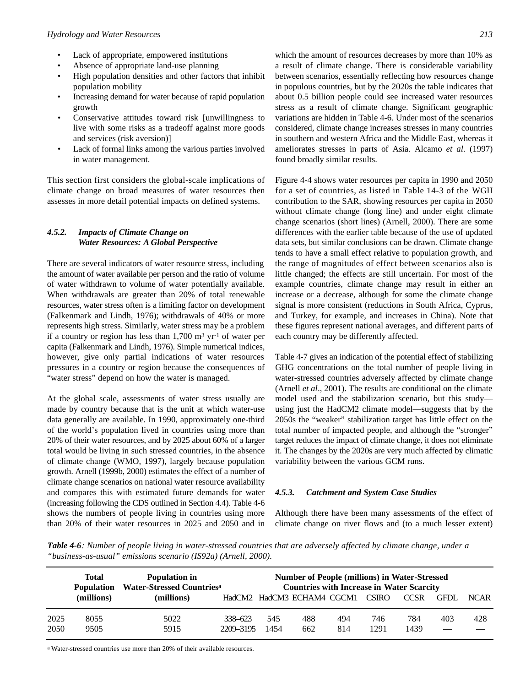- Lack of appropriate, empowered institutions
- Absence of appropriate land-use planning
- High population densities and other factors that inhibit population mobility
- Increasing demand for water because of rapid population growth
- Conservative attitudes toward risk [unwillingness to live with some risks as a tradeoff against more goods and services (risk aversion)]
- Lack of formal links among the various parties involved in water management.

This section first considers the global-scale implications of climate change on broad measures of water resources then assesses in more detail potential impacts on defined systems.

# *4.5.2. Impacts of Climate Change on Water Resources: A Global Perspective*

There are several indicators of water resource stress, including the amount of water available per person and the ratio of volume of water withdrawn to volume of water potentially available. When withdrawals are greater than 20% of total renewable resources, water stress often is a limiting factor on development (Falkenmark and Lindh, 1976); withdrawals of 40% or more represents high stress. Similarly, water stress may be a problem if a country or region has less than  $1,700$  m<sup>3</sup> yr<sup>-1</sup> of water per capita (Falkenmark and Lindh, 1976). Simple numerical indices, however, give only partial indications of water resources pressures in a country or region because the consequences of "water stress" depend on how the water is managed.

At the global scale, assessments of water stress usually are made by country because that is the unit at which water-use data generally are available. In 1990, approximately one-third of the world's population lived in countries using more than 20% of their water resources, and by 2025 about 60% of a larger total would be living in such stressed countries, in the absence of climate change (WMO, 1997), largely because population growth. Arnell (1999b, 2000) estimates the effect of a number of climate change scenarios on national water resource availability and compares this with estimated future demands for water (increasing following the CDS outlined in Section 4.4). Table 4-6 shows the numbers of people living in countries using more than 20% of their water resources in 2025 and 2050 and in

which the amount of resources decreases by more than 10% as a result of climate change. There is considerable variability between scenarios, essentially reflecting how resources change in populous countries, but by the 2020s the table indicates that about 0.5 billion people could see increased water resources stress as a result of climate change. Significant geographic variations are hidden in Table 4-6. Under most of the scenarios considered, climate change increases stresses in many countries in southern and western Africa and the Middle East, whereas it ameliorates stresses in parts of Asia. Alcamo *et al*. (1997) found broadly similar results.

Figure 4-4 shows water resources per capita in 1990 and 2050 for a set of countries, as listed in Table 14-3 of the WGII contribution to the SAR, showing resources per capita in 2050 without climate change (long line) and under eight climate change scenarios (short lines) (Arnell, 2000). There are some differences with the earlier table because of the use of updated data sets, but similar conclusions can be drawn. Climate change tends to have a small effect relative to population growth, and the range of magnitudes of effect between scenarios also is little changed; the effects are still uncertain. For most of the example countries, climate change may result in either an increase or a decrease, although for some the climate change signal is more consistent (reductions in South Africa, Cyprus, and Turkey, for example, and increases in China). Note that these figures represent national averages, and different parts of each country may be differently affected.

Table 4-7 gives an indication of the potential effect of stabilizing GHG concentrations on the total number of people living in water-stressed countries adversely affected by climate change (Arnell *et al*., 2001). The results are conditional on the climate model used and the stabilization scenario, but this study using just the HadCM2 climate model—suggests that by the 2050s the "weaker" stabilization target has little effect on the total number of impacted people, and although the "stronger" target reduces the impact of climate change, it does not eliminate it. The changes by the 2020s are very much affected by climatic variability between the various GCM runs.

# *4.5.3. Catchment and System Case Studies*

Although there have been many assessments of the effect of climate change on river flows and (to a much lesser extent)

**Table 4-6***:* Number of people living in water-stressed countries that are adversely affected by climate change, under a *"*business-as-usual" emissions scenario (IS92a) (Arnell, 2000).

|      | Total<br><b>Population</b> | <b>Population in</b><br><b>Water-Stressed Countriesa</b> | <b>Number of People (millions) in Water-Stressed</b><br><b>Countries with Increase in Water Scarcity</b> |      |                            |     |              |             |      |             |
|------|----------------------------|----------------------------------------------------------|----------------------------------------------------------------------------------------------------------|------|----------------------------|-----|--------------|-------------|------|-------------|
|      | (millions)                 | (millions)                                               |                                                                                                          |      | HadCM2 HadCM3 ECHAM4 CGCM1 |     | <b>CSIRO</b> | <b>CCSR</b> | GFDL | <b>NCAR</b> |
| 2025 | 8055                       | 5022                                                     | 338-623                                                                                                  | 545  | 488                        | 494 | 746          | 784         | 403  | 428         |
| 2050 | 9505                       | 5915                                                     | 2209-3195                                                                                                | 1454 | 662                        | 814 | 1291         | 1439        |      |             |

a Water-stressed countries use more than 20% of their available resources.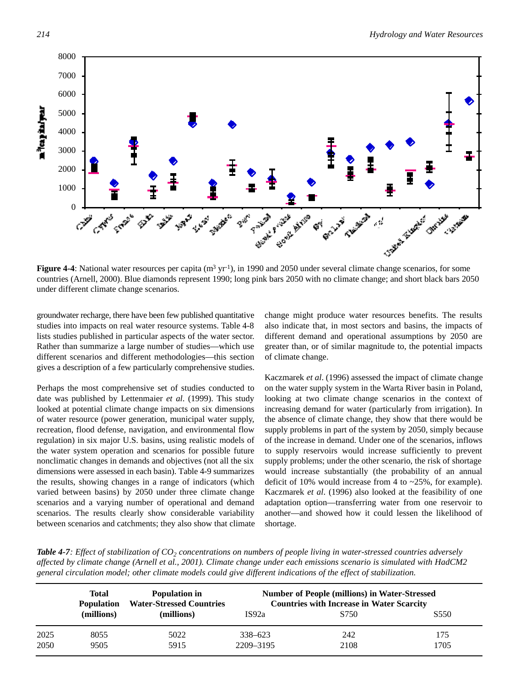

countries (Arnell, 2000). Blue diamonds represent 1990; long pink bars 2050 with no climate change; and short black bars 2050 under different climate change scenarios.

groundwater recharge, there have been few published quantitative studies into impacts on real water resource systems. Table 4-8 lists studies published in particular aspects of the water sector. Rather than summarize a large number of studies—which use different scenarios and different methodologies—this section gives a description of a few particularly comprehensive studies.

Perhaps the most comprehensive set of studies conducted to date was published by Lettenmaier *et al*. (1999). This study looked at potential climate change impacts on six dimensions of water resource (power generation, municipal water supply, recreation, flood defense, navigation, and environmental flow regulation) in six major U.S. basins, using realistic models of the water system operation and scenarios for possible future nonclimatic changes in demands and objectives (not all the six dimensions were assessed in each basin). Table 4-9 summarizes the results, showing changes in a range of indicators (which varied between basins) by 2050 under three climate change scenarios and a varying number of operational and demand scenarios. The results clearly show considerable variability between scenarios and catchments; they also show that climate change might produce water resources benefits. The results also indicate that, in most sectors and basins, the impacts of different demand and operational assumptions by 2050 are greater than, or of similar magnitude to, the potential impacts of climate change.

Kaczmarek *et al*. (1996) assessed the impact of climate change on the water supply system in the Warta River basin in Poland, looking at two climate change scenarios in the context of increasing demand for water (particularly from irrigation). In the absence of climate change, they show that there would be supply problems in part of the system by 2050, simply because of the increase in demand. Under one of the scenarios, inflows to supply reservoirs would increase sufficiently to prevent supply problems; under the other scenario, the risk of shortage would increase substantially (the probability of an annual deficit of 10% would increase from 4 to ~25%, for example). Kaczmarek *et al*. (1996) also looked at the feasibility of one adaptation option—transferring water from one reservoir to another—and showed how it could lessen the likelihood of shortage.

*Table 4-7: Effect of stabilization of CO<sup>2</sup> concentrations on numbers of people living in water-stressed countries adversely affected by climate change (Arnell et al., 2001). Climate change under each emissions scenario is simulated with HadCM2 general circulation model; other climate models could give different indications of the effect of stabilization.*

|      | <b>Total</b><br><b>Population in</b><br><b>Water-Stressed Countries</b><br><b>Population</b> |            | <b>Number of People (millions) in Water-Stressed</b><br><b>Countries with Increase in Water Scarcity</b> |      |                  |
|------|----------------------------------------------------------------------------------------------|------------|----------------------------------------------------------------------------------------------------------|------|------------------|
|      | (millions)                                                                                   | (millions) | IS92a                                                                                                    | S750 | S <sub>550</sub> |
| 2025 | 8055                                                                                         | 5022       | 338-623                                                                                                  | 242  | 175              |
| 2050 | 9505                                                                                         | 5915       | 2209-3195                                                                                                | 2108 | 1705             |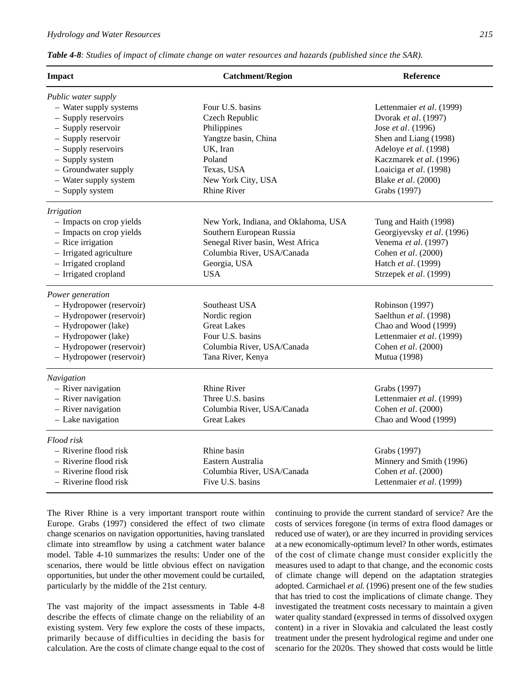| <b>Impact</b>            | <b>Catchment/Region</b>              | Reference                  |
|--------------------------|--------------------------------------|----------------------------|
| Public water supply      |                                      |                            |
| - Water supply systems   | Four U.S. basins                     | Lettenmaier et al. (1999)  |
| - Supply reservoirs      | Czech Republic                       | Dvorak et al. (1997)       |
| - Supply reservoir       | Philippines                          | Jose et al. (1996)         |
| - Supply reservoir       | Yangtze basin, China                 | Shen and Liang (1998)      |
| - Supply reservoirs      | UK, Iran                             | Adeloye et al. (1998)      |
| - Supply system          | Poland                               | Kaczmarek et al. (1996)    |
| - Groundwater supply     | Texas, USA                           | Loaiciga et al. (1998)     |
| - Water supply system    | New York City, USA                   | Blake et al. (2000)        |
| - Supply system          | <b>Rhine River</b>                   | Grabs (1997)               |
| <b>Irrigation</b>        |                                      |                            |
| - Impacts on crop yields | New York, Indiana, and Oklahoma, USA | Tung and Haith (1998)      |
| - Impacts on crop yields | Southern European Russia             | Georgiyevsky et al. (1996) |
| $-$ Rice irrigation      | Senegal River basin, West Africa     | Venema et al. (1997)       |
| - Irrigated agriculture  | Columbia River, USA/Canada           | Cohen et al. (2000)        |
| - Irrigated cropland     | Georgia, USA                         | Hatch et al. (1999)        |
| - Irrigated cropland     | <b>USA</b>                           | Strzepek et al. (1999)     |
| Power generation         |                                      |                            |
| - Hydropower (reservoir) | Southeast USA                        | Robinson (1997)            |
| - Hydropower (reservoir) | Nordic region                        | Saelthun et al. (1998)     |
| - Hydropower (lake)      | <b>Great Lakes</b>                   | Chao and Wood (1999)       |
| - Hydropower (lake)      | Four U.S. basins                     | Lettenmaier et al. (1999)  |
| - Hydropower (reservoir) | Columbia River, USA/Canada           | Cohen et al. (2000)        |
| - Hydropower (reservoir) | Tana River, Kenya                    | Mutua (1998)               |
| Navigation               |                                      |                            |
| - River navigation       | <b>Rhine River</b>                   | Grabs (1997)               |
| - River navigation       | Three U.S. basins                    | Lettenmaier et al. (1999)  |
| - River navigation       | Columbia River, USA/Canada           | Cohen et al. (2000)        |
| - Lake navigation        | <b>Great Lakes</b>                   | Chao and Wood (1999)       |
| Flood risk               |                                      |                            |
| - Riverine flood risk    | Rhine basin                          | Grabs (1997)               |
| - Riverine flood risk    | Eastern Australia                    | Minnery and Smith (1996)   |
| - Riverine flood risk    | Columbia River, USA/Canada           | Cohen et al. (2000)        |
| - Riverine flood risk    | Five U.S. basins                     | Lettenmaier et al. (1999)  |
|                          |                                      |                            |

**Table 4-8***: Studies of impact of climate change on water resources and hazards (published since the SAR).* 

The River Rhine is a very important transport route within Europe. Grabs (1997) considered the effect of two climate change scenarios on navigation opportunities, having translated climate into streamflow by using a catchment water balance model. Table 4-10 summarizes the results: Under one of the scenarios, there would be little obvious effect on navigation opportunities, but under the other movement could be curtailed, particularly by the middle of the 21st century.

The vast majority of the impact assessments in Table 4-8 describe the effects of climate change on the reliability of an existing system. Very few explore the costs of these impacts, primarily because of difficulties in deciding the basis for calculation. Are the costs of climate change equal to the cost of continuing to provide the current standard of service? Are the costs of services foregone (in terms of extra flood damages or reduced use of water), or are they incurred in providing services at a new economically-optimum level? In other words, estimates of the cost of climate change must consider explicitly the measures used to adapt to that change, and the economic costs of climate change will depend on the adaptation strategies adopted. Carmichael *et al*. (1996) present one of the few studies that has tried to cost the implications of climate change. They investigated the treatment costs necessary to maintain a given water quality standard (expressed in terms of dissolved oxygen content) in a river in Slovakia and calculated the least costly treatment under the present hydrological regime and under one scenario for the 2020s. They showed that costs would be little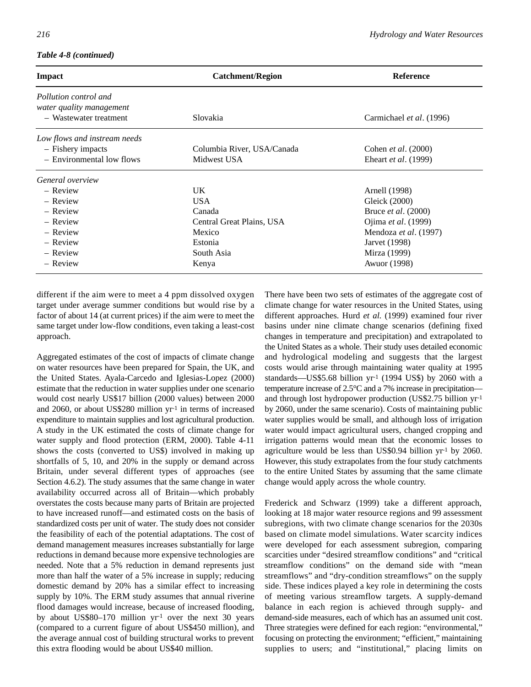# *Table 4-8 (continued)*

| Impact                       | <b>Catchment/Region</b>    | <b>Reference</b>            |  |  |
|------------------------------|----------------------------|-----------------------------|--|--|
| Pollution control and        |                            |                             |  |  |
| water quality management     |                            |                             |  |  |
| - Wastewater treatment       | Slovakia                   | Carmichael et al. (1996)    |  |  |
| Low flows and instream needs |                            |                             |  |  |
| - Fishery impacts            | Columbia River, USA/Canada | Cohen et al. (2000)         |  |  |
| - Environmental low flows    | Midwest USA                | Eheart <i>et al.</i> (1999) |  |  |
| General overview             |                            |                             |  |  |
| - Review                     | <b>UK</b>                  | Arnell (1998)               |  |  |
| $-$ Review                   | <b>USA</b>                 | Gleick (2000)               |  |  |
| $-$ Review                   | Canada                     | Bruce <i>et al.</i> (2000)  |  |  |
| $-$ Review                   | Central Great Plains, USA  | Ojima et al. (1999)         |  |  |
| $-$ Review                   | Mexico                     | Mendoza et al. (1997)       |  |  |
| $-$ Review                   | Estonia                    | Jarvet (1998)               |  |  |
| - Review                     | South Asia                 | Mirza (1999)                |  |  |
| – Review                     | Kenya                      | Awuor (1998)                |  |  |

different if the aim were to meet a 4 ppm dissolved oxygen target under average summer conditions but would rise by a factor of about 14 (at current prices) if the aim were to meet the same target under low-flow conditions, even taking a least-cost approach.

Aggregated estimates of the cost of impacts of climate change on water resources have been prepared for Spain, the UK, and the United States. Ayala-Carcedo and Iglesias-Lopez (2000) estimate that the reduction in water supplies under one scenario would cost nearly US\$17 billion (2000 values) between 2000 and 2060, or about US\$280 million yr-1 in terms of increased expenditure to maintain supplies and lost agricultural production. A study in the UK estimated the costs of climate change for water supply and flood protection (ERM, 2000). Table 4-11 shows the costs (converted to US\$) involved in making up shortfalls of 5, 10, and 20% in the supply or demand across Britain, under several different types of approaches (see Section 4.6.2). The study assumes that the same change in water availability occurred across all of Britain—which probably overstates the costs because many parts of Britain are projected to have increased runoff—and estimated costs on the basis of standardized costs per unit of water. The study does not consider the feasibility of each of the potential adaptations. The cost of demand management measures increases substantially for large reductions in demand because more expensive technologies are needed. Note that a 5% reduction in demand represents just more than half the water of a 5% increase in supply; reducing domestic demand by 20% has a similar effect to increasing supply by 10%. The ERM study assumes that annual riverine flood damages would increase, because of increased flooding, by about US\$80–170 million  $yr^{-1}$  over the next 30 years (compared to a current figure of about US\$450 million), and the average annual cost of building structural works to prevent this extra flooding would be about US\$40 million.

There have been two sets of estimates of the aggregate cost of climate change for water resources in the United States, using different approaches. Hurd *et al*. (1999) examined four river basins under nine climate change scenarios (defining fixed changes in temperature and precipitation) and extrapolated to the United States as a whole. Their study uses detailed economic and hydrological modeling and suggests that the largest costs would arise through maintaining water quality at 1995 standards—US\$5.68 billion  $yr<sup>-1</sup>$  (1994 US\$) by 2060 with a temperature increase of 2.5°C and a 7% increase in precipitation and through lost hydropower production (US\$2.75 billion yr-1 by 2060, under the same scenario). Costs of maintaining public water supplies would be small, and although loss of irrigation water would impact agricultural users, changed cropping and irrigation patterns would mean that the economic losses to agriculture would be less than US\$0.94 billion  $yr<sup>1</sup>$  by 2060. However, this study extrapolates from the four study catchments to the entire United States by assuming that the same climate change would apply across the whole country.

Frederick and Schwarz (1999) take a different approach, looking at 18 major water resource regions and 99 assessment subregions, with two climate change scenarios for the 2030s based on climate model simulations. Water scarcity indices were developed for each assessment subregion, comparing scarcities under "desired streamflow conditions" and "critical streamflow conditions" on the demand side with "mean streamflows" and "dry-condition streamflows" on the supply side. These indices played a key role in determining the costs of meeting various streamflow targets. A supply-demand balance in each region is achieved through supply- and demand-side measures, each of which has an assumed unit cost. Three strategies were defined for each region: "environmental," focusing on protecting the environment; "efficient," maintaining supplies to users; and "institutional," placing limits on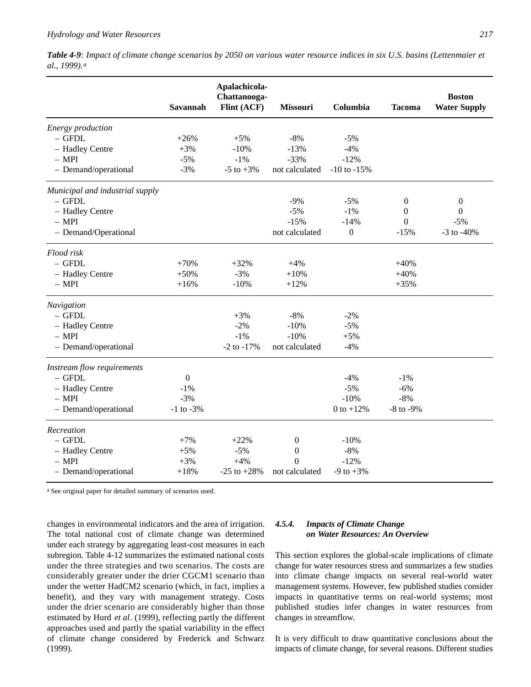**Table 4-9***: Impact of climate change scenarios by 2050 on various water resource indices in six U.S. basins (Lettenmaier et al., 1999).<sup>a</sup>*

|                                 | Savannah      | Apalachicola-<br>Chattanooga-<br>Flint (ACF) | Missouri         | Columbia         | <b>Tacoma</b>    | <b>Boston</b><br><b>Water Supply</b> |
|---------------------------------|---------------|----------------------------------------------|------------------|------------------|------------------|--------------------------------------|
| Energy production               |               |                                              |                  |                  |                  |                                      |
| $-$ GFDL                        | $+26%$        | $+5%$                                        | $-8%$            | $-5%$            |                  |                                      |
| - Hadley Centre                 | $+3%$         | $-10%$                                       | $-13%$           | $-4%$            |                  |                                      |
| $-$ MPI                         | $-5%$         | $-1\%$                                       | $-33%$           | $-12%$           |                  |                                      |
| - Demand/operational            | $-3%$         | $-5$ to $+3\%$                               | not calculated   | $-10$ to $-15%$  |                  |                                      |
| Municipal and industrial supply |               |                                              |                  |                  |                  |                                      |
| $-$ GFDL                        |               |                                              | $-9%$            | $-5%$            | $\boldsymbol{0}$ | $\boldsymbol{0}$                     |
| - Hadley Centre                 |               |                                              | $-5%$            | $-1\%$           | $\boldsymbol{0}$ | $\mathbf{0}$                         |
| $-$ MPI                         |               |                                              | $-15%$           | $-14%$           | $\mathbf{0}$     | $-5%$                                |
| - Demand/Operational            |               |                                              | not calculated   | $\boldsymbol{0}$ | $-15%$           | $-3$ to $-40%$                       |
| Flood risk                      |               |                                              |                  |                  |                  |                                      |
| $-$ GFDL                        | $+70%$        | $+32%$                                       | $+4%$            |                  | $+40%$           |                                      |
| - Hadley Centre                 | $+50%$        | $-3%$                                        | $+10%$           |                  | $+40%$           |                                      |
| $-$ MPI                         | $+16%$        | $-10%$                                       | $+12%$           |                  | $+35%$           |                                      |
| Navigation                      |               |                                              |                  |                  |                  |                                      |
| $-$ GFDL                        |               | $+3%$                                        | $-8%$            | $-2%$            |                  |                                      |
| - Hadley Centre                 |               | $-2\%$                                       | $-10%$           | $-5%$            |                  |                                      |
| $-$ MPI                         |               | $-1\%$                                       | $-10%$           | $+5%$            |                  |                                      |
| - Demand/operational            |               | $-2$ to $-17%$                               | not calculated   | $-4%$            |                  |                                      |
| Instream flow requirements      |               |                                              |                  |                  |                  |                                      |
| $-$ GFDL                        | $\mathbf{0}$  |                                              |                  | $-4%$            | $-1\%$           |                                      |
| - Hadley Centre                 | $-1%$         |                                              |                  | $-5%$            | $-6%$            |                                      |
| $-$ MPI                         | $-3%$         |                                              |                  | $-10%$           | $-8%$            |                                      |
| - Demand/operational            | $-1$ to $-3%$ |                                              |                  | 0 to $+12%$      | $-8$ to $-9\%$   |                                      |
| Recreation                      |               |                                              |                  |                  |                  |                                      |
| - GFDL                          | $+7%$         | $+22%$                                       | $\boldsymbol{0}$ | $-10%$           |                  |                                      |
| - Hadley Centre                 | $+5%$         | $-5%$                                        | $\boldsymbol{0}$ | $-8%$            |                  |                                      |
| $-$ MPI                         | $+3%$         | $+4%$                                        | $\theta$         | $-12%$           |                  |                                      |
| - Demand/operational            | $+18%$        | $-25$ to $+28%$                              | not calculated   | $-9$ to $+3\%$   |                  |                                      |

a See original paper for detailed summary of scenarios used.

changes in environmental indicators and the area of irrigation. The total national cost of climate change was determined under each strategy by aggregating least-cost measures in each subregion. Table 4-12 summarizes the estimated national costs under the three strategies and two scenarios. The costs are considerably greater under the drier CGCM1 scenario than under the wetter HadCM2 scenario (which, in fact, implies a benefit), and they vary with management strategy. Costs under the drier scenario are considerably higher than those estimated by Hurd *et al.* (1999), reflecting partly the different approaches used and partly the spatial variability in the effect of climate change considered by Frederick and Schwarz  $(1999).$ 

# *4.5.4. Impacts of Climate Change on Water Resources: An Overview*

This section explores the global-scale implications of climate change for water resources stress and summarizes a few studies into climate change impacts on several real-world water management systems. However, few published studies consider impacts in quantitative terms on real-world systems; most published studies infer changes in water resources from changes in streamflow.

It is very difficult to draw quantitative conclusions about the impacts of climate change, for several reasons. Different studies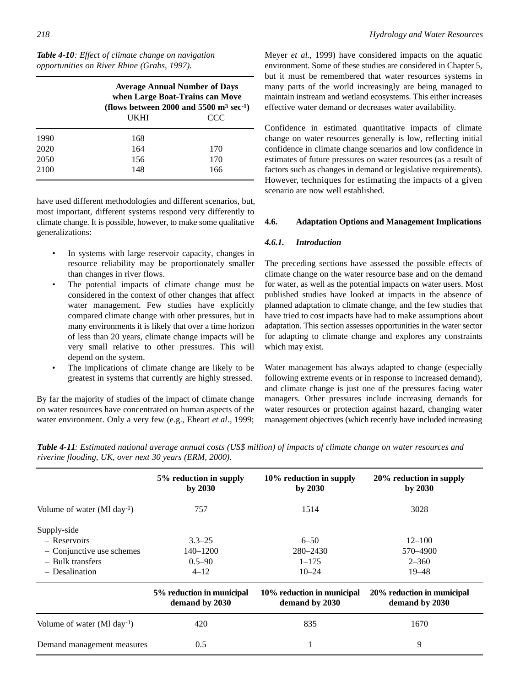|      | <b>Average Annual Number of Days</b><br>when Large Boat-Trains can Move<br>(flows between 2000 and 5500 $m^3$ sec-1) |     |  |  |  |
|------|----------------------------------------------------------------------------------------------------------------------|-----|--|--|--|
|      | UKHI                                                                                                                 | CCC |  |  |  |
| 1990 | 168                                                                                                                  |     |  |  |  |
| 2020 | 164                                                                                                                  | 170 |  |  |  |
| 2050 | 156                                                                                                                  | 170 |  |  |  |
| 2100 | 148                                                                                                                  | 166 |  |  |  |

*Table 4-10: Effect of climate change on navigation opportunities on River Rhine (Grabs, 1997).*

have used different methodologies and different scenarios, but, most important, different systems respond very differently to climate change. It is possible, however, to make some qualitative generalizations:

- In systems with large reservoir capacity, changes in resource reliability may be proportionately smaller than changes in river flows.
- The potential impacts of climate change must be considered in the context of other changes that affect water management. Few studies have explicitly compared climate change with other pressures, but in many environments it is likely that over a time horizon of less than 20 years, climate change impacts will be very small relative to other pressures. This will depend on the system.
- The implications of climate change are likely to be greatest in systems that currently are highly stressed.

By far the majority of studies of the impact of climate change on water resources have concentrated on human aspects of the water environment. Only a very few (e.g., Eheart *et al*., 1999;

Meyer *et al*., 1999) have considered impacts on the aquatic environment. Some of these studies are considered in Chapter 5, but it must be remembered that water resources systems in many parts of the world increasingly are being managed to maintain instream and wetland ecosystems. This either increases effective water demand or decreases water availability.

Confidence in estimated quantitative impacts of climate change on water resources generally is low, reflecting initial confidence in climate change scenarios and low confidence in estimates of future pressures on water resources (as a result of factors such as changes in demand or legislative requirements). However, techniques for estimating the impacts of a given scenario are now well established.

# **4 . 6 . Adaptation Options and Management Implications**

# *4.6.1. Introduction*

The preceding sections have assessed the possible effects of climate change on the water resource base and on the demand for water, as well as the potential impacts on water users. Most published studies have looked at impacts in the absence of planned adaptation to climate change, and the few studies that have tried to cost impacts have had to make assumptions about adaptation. This section assesses opportunities in the water sector for adapting to climate change and explores any constraints which may exist.

Water management has always adapted to change (especially following extreme events or in response to increased demand), and climate change is just one of the pressures facing water managers. Other pressures include increasing demands for water resources or protection against hazard, changing water management objectives (which recently have included increasing

**Table 4-11***: Estimated national average annual costs (US\$ million) of impacts of climate change on water resources and* riverine flooding, UK, over next 30 years (ERM, 2000).

|                                    | 5% reduction in supply<br>by 2030           | 10% reduction in supply<br>by 2030           | 20% reduction in supply<br>by 2030           |
|------------------------------------|---------------------------------------------|----------------------------------------------|----------------------------------------------|
| Volume of water $(Ml \, day^{-1})$ | 757                                         | 1514                                         | 3028                                         |
| Supply-side                        |                                             |                                              |                                              |
| $-$ Reservoirs                     | $3.3 - 25$                                  | $6 - 50$                                     | $12 - 100$                                   |
| $-$ Conjunctive use schemes        | $140 - 1200$                                | $280 - 2430$                                 | 570-4900                                     |
| - Bulk transfers                   | $0.5 - 90$                                  | $1 - 175$                                    | $2 - 360$                                    |
| - Desalination                     | $4 - 12$                                    | $10 - 24$                                    | $19 - 48$                                    |
|                                    | 5% reduction in municipal<br>demand by 2030 | 10% reduction in municipal<br>demand by 2030 | 20% reduction in municipal<br>demand by 2030 |
| Volume of water $(Ml \, day^{-1})$ | 420                                         | 835                                          | 1670                                         |
| Demand management measures         | 0.5                                         |                                              | 9                                            |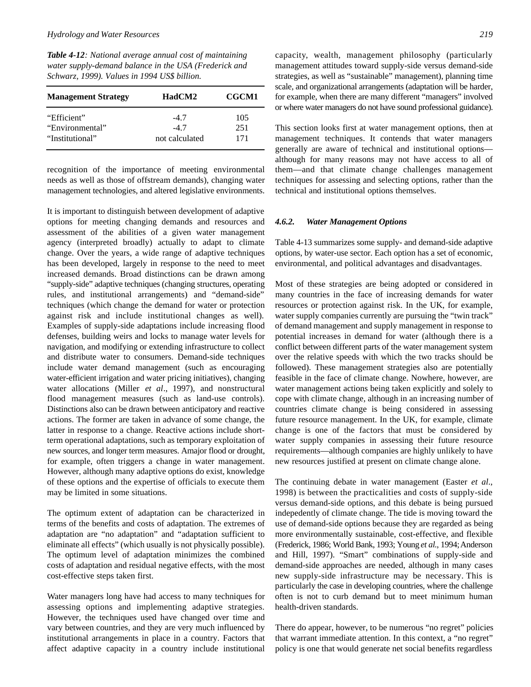*Table 4-12: National average annual cost of maintaining water supply-demand balance in the USA (Frederick and Schwarz, 1999). Values in 1994 US\$ billion.*

| <b>Management Strategy</b> | HadCM2         | <b>CGCM1</b> |
|----------------------------|----------------|--------------|
| "Efficient"                | $-4.7$         | 105          |
| "Environmental"            | -47            | 251          |
| "Institutional"            | not calculated | 171          |

recognition of the importance of meeting environmental needs as well as those of offstream demands), changing water management technologies, and altered legislative environments.

It is important to distinguish between development of adaptive options for meeting changing demands and resources and assessment of the abilities of a given water management agency (interpreted broadly) actually to adapt to climate change. Over the years, a wide range of adaptive techniques has been developed, largely in response to the need to meet increased demands. Broad distinctions can be drawn among "supply-side" adaptive techniques (changing structures, operating rules, and institutional arrangements) and "demand-side" techniques (which change the demand for water or protection against risk and include institutional changes as well). Examples of supply-side adaptations include increasing flood defenses, building weirs and locks to manage water levels for navigation, and modifying or extending infrastructure to collect and distribute water to consumers. Demand-side techniques include water demand management (such as encouraging water-efficient irrigation and water pricing initiatives), changing water allocations (Miller *et al*., 1997), and nonstructural flood management measures (such as land-use controls). Distinctions also can be drawn between anticipatory and reactive actions. The former are taken in advance of some change, the latter in response to a change. Reactive actions include shortterm operational adaptations, such as temporary exploitation of new sources, and longer term measures. Amajor flood or drought, for example, often triggers a change in water management. However, although many adaptive options do exist, knowledge of these options and the expertise of officials to execute them may be limited in some situations.

The optimum extent of adaptation can be characterized in terms of the benefits and costs of adaptation. The extremes of adaptation are "no adaptation" and "adaptation sufficient to eliminate all effects" (which usually is not physically possible). The optimum level of adaptation minimizes the combined costs of adaptation and residual negative effects, with the most cost-effective steps taken first.

Water managers long have had access to many techniques for assessing options and implementing adaptive strategies. However, the techniques used have changed over time and vary between countries, and they are very much influenced by institutional arrangements in place in a country. Factors that affect adaptive capacity in a country include institutional capacity, wealth, management philosophy (particularly management attitudes toward supply-side versus demand-side strategies, as well as "sustainable" management), planning time scale, and organizational arrangements (adaptation will be harder, for example, when there are many different "managers" involved or where water managers do not have sound professional guidance).

This section looks first at water management options, then at management techniques. It contends that water managers generally are aware of technical and institutional options although for many reasons may not have access to all of them—and that climate change challenges management techniques for assessing and selecting options, rather than the technical and institutional options themselves.

#### *4.6.2. Water Management Options*

Table 4-13 summarizes some supply- and demand-side adaptive options, by water-use sector. Each option has a set of economic, environmental, and political advantages and disadvantages.

Most of these strategies are being adopted or considered in many countries in the face of increasing demands for water resources or protection against risk. In the UK, for example, water supply companies currently are pursuing the "twin track" of demand management and supply management in response to potential increases in demand for water (although there is a conflict between different parts of the water management system over the relative speeds with which the two tracks should be followed). These management strategies also are potentially feasible in the face of climate change. Nowhere, however, are water management actions being taken explicitly and solely to cope with climate change, although in an increasing number of countries climate change is being considered in assessing future resource management. In the UK, for example, climate change is one of the factors that must be considered by water supply companies in assessing their future resource requirements—although companies are highly unlikely to have new resources justified at present on climate change alone.

The continuing debate in water management (Easter *et al*., 1998) is between the practicalities and costs of supply-side versus demand-side options, and this debate is being pursued indepedently of climate change. The tide is moving toward the use of demand-side options because they are regarded as being more environmentally sustainable, cost-effective, and flexible (Frederick, 1986; World Bank, 1993; Young et al., 1994; Anderson and Hill, 1997). "Smart" combinations of supply-side and demand-side approaches are needed, although in many cases new supply-side infrastructure may be necessary. This is particularly the case in developing countries, where the challenge often is not to curb demand but to meet minimum human health-driven standards.

There do appear, however, to be numerous "no regret" policies that warrant immediate attention. In this context, a "no regret" policy is one that would generate net social benefits regardless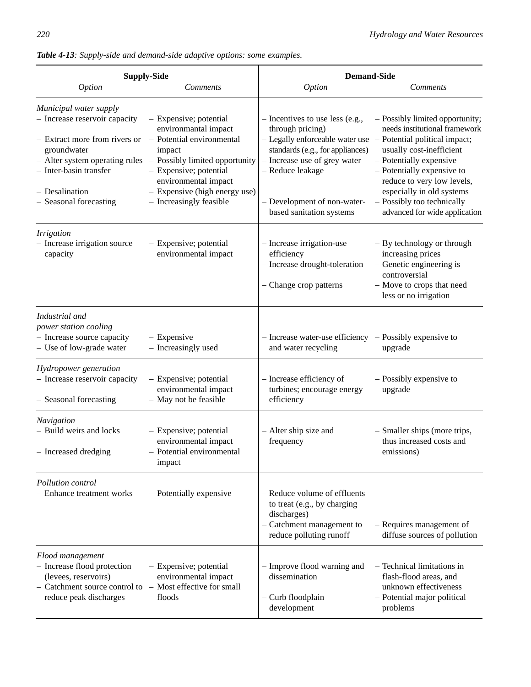| <i>Option</i>                                                                                                                                                                 | <b>Supply-Side</b><br><b>Comments</b>                                                                                                                                                                                                                                | <b>Demand-Side</b><br>Comments                                                                                                                                                                                                                                          |                                                                                                                                                                                                                                                                                 |  |  |  |
|-------------------------------------------------------------------------------------------------------------------------------------------------------------------------------|----------------------------------------------------------------------------------------------------------------------------------------------------------------------------------------------------------------------------------------------------------------------|-------------------------------------------------------------------------------------------------------------------------------------------------------------------------------------------------------------------------------------------------------------------------|---------------------------------------------------------------------------------------------------------------------------------------------------------------------------------------------------------------------------------------------------------------------------------|--|--|--|
|                                                                                                                                                                               |                                                                                                                                                                                                                                                                      | <i>Option</i>                                                                                                                                                                                                                                                           |                                                                                                                                                                                                                                                                                 |  |  |  |
| Municipal water supply<br>- Increase reservoir capacity<br>- Extract more from rivers or<br>groundwater<br>- Inter-basin transfer<br>- Desalination<br>- Seasonal forecasting | - Expensive; potential<br>environmantal impact<br>- Potential environmental<br>impact<br>- Alter system operating rules - Possibly limited opportunity<br>- Expensive; potential<br>environmental impact<br>- Expensive (high energy use)<br>- Increasingly feasible | - Incentives to use less (e.g.,<br>through pricing)<br>- Legally enforceable water use - Potential political impact;<br>standards (e.g., for appliances)<br>- Increase use of grey water<br>- Reduce leakage<br>- Development of non-water-<br>based sanitation systems | - Possibly limited opportunity;<br>needs institutional framework<br>usually cost-inefficient<br>- Potentially expensive<br>- Potentially expensive to<br>reduce to very low levels,<br>especially in old systems<br>- Possibly too technically<br>advanced for wide application |  |  |  |
| <i>Irrigation</i><br>- Increase irrigation source<br>capacity                                                                                                                 | - Expensive; potential<br>environmental impact                                                                                                                                                                                                                       | - Increase irrigation-use<br>efficiency<br>- Increase drought-toleration<br>- Change crop patterns                                                                                                                                                                      | - By technology or through<br>increasing prices<br>- Genetic engineering is<br>controversial<br>- Move to crops that need<br>less or no irrigation                                                                                                                              |  |  |  |
| Industrial and<br>power station cooling<br>- Increase source capacity<br>- Use of low-grade water                                                                             | - Expensive<br>- Increasingly used                                                                                                                                                                                                                                   | - Increase water-use efficiency - Possibly expensive to<br>and water recycling                                                                                                                                                                                          | upgrade                                                                                                                                                                                                                                                                         |  |  |  |
| Hydropower generation<br>- Increase reservoir capacity<br>- Seasonal forecasting                                                                                              | - Expensive; potential<br>environmental impact<br>- May not be feasible                                                                                                                                                                                              | - Increase efficiency of<br>turbines; encourage energy<br>efficiency                                                                                                                                                                                                    | - Possibly expensive to<br>upgrade                                                                                                                                                                                                                                              |  |  |  |
| Navigation<br>- Build weirs and locks<br>- Increased dredging                                                                                                                 | - Expensive; potential<br>environmental impact<br>- Potential environmental<br>impact                                                                                                                                                                                | - Alter ship size and<br>frequency                                                                                                                                                                                                                                      | - Smaller ships (more trips,<br>thus increased costs and<br>emissions)                                                                                                                                                                                                          |  |  |  |
| Pollution control<br>- Enhance treatment works                                                                                                                                | - Potentially expensive                                                                                                                                                                                                                                              | - Reduce volume of effluents<br>to treat (e.g., by charging<br>discharges)<br>- Catchment management to<br>reduce polluting runoff                                                                                                                                      | - Requires management of<br>diffuse sources of pollution                                                                                                                                                                                                                        |  |  |  |
| Flood management<br>- Increase flood protection<br>(levees, reservoirs)<br>- Catchment source control to<br>reduce peak discharges                                            | - Expensive; potential<br>environmental impact<br>- Most effective for small<br>floods                                                                                                                                                                               | - Improve flood warning and<br>dissemination<br>- Curb floodplain<br>development                                                                                                                                                                                        | - Technical limitations in<br>flash-flood areas, and<br>unknown effectiveness<br>- Potential major political<br>problems                                                                                                                                                        |  |  |  |

*Table 4-13: Supply-side and demand-side adaptive options: some examples.*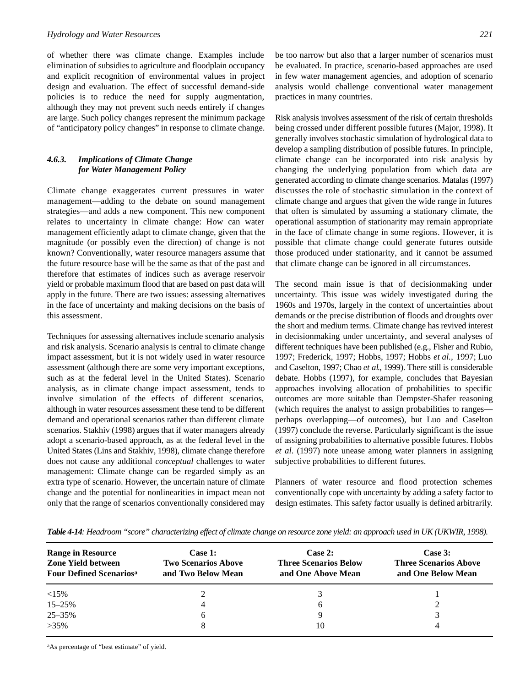of whether there was climate change. Examples include elimination of subsidies to agriculture and floodplain occupancy and explicit recognition of environmental values in project design and evaluation. The effect of successful demand-side policies is to reduce the need for supply augmentation, although they may not prevent such needs entirely if changes are large. Such policy changes represent the minimum package of "anticipatory policy changes" in response to climate change.

# *4.6.3. Implications of Climate Change for Water Management Policy*

Climate change exaggerates current pressures in water management—adding to the debate on sound management strategies—and adds a new component. This new component relates to uncertainty in climate change: How can water management efficiently adapt to climate change, given that the magnitude (or possibly even the direction) of change is not known? Conventionally, water resource managers assume that the future resource base will be the same as that of the past and therefore that estimates of indices such as average reservoir yield or probable maximum flood that are based on past data will apply in the future. There are two issues: assessing alternatives in the face of uncertainty and making decisions on the basis of this assessment.

Techniques for assessing alternatives include scenario analysis and risk analysis. Scenario analysis is central to climate change impact assessment, but it is not widely used in water resource assessment (although there are some very important exceptions, such as at the federal level in the United States). Scenario analysis, as in climate change impact assessment, tends to involve simulation of the effects of different scenarios, although in water resources assessment these tend to be different demand and operational scenarios rather than different climate scenarios. Stakhiv (1998) argues that if water managers already adopt a scenario-based approach, as at the federal level in the United States (Lins and Stakhiv, 1998), climate change therefore does not cause any additional *conceptual* challenges to water management: Climate change can be regarded simply as an extra type of scenario. However, the uncertain nature of climate change and the potential for nonlinearities in impact mean not only that the range of scenarios conventionally considered may

be too narrow but also that a larger number of scenarios must be evaluated. In practice, scenario-based approaches are used in few water management agencies, and adoption of scenario analysis would challenge conventional water management practices in many countries.

Risk analysis involves assessment of the risk of certain thresholds being crossed under different possible futures (Major, 1998). It generally involves stochastic simulation of hydrological data to develop a sampling distribution of possible futures. In principle, climate change can be incorporated into risk analysis by changing the underlying population from which data are generated according to climate change scenarios. Matalas (1997) discusses the role of stochastic simulation in the context of climate change and argues that given the wide range in futures that often is simulated by assuming a stationary climate, the operational assumption of stationarity may remain appropriate in the face of climate change in some regions. However, it is possible that climate change could generate futures outside those produced under stationarity, and it cannot be assumed that climate change can be ignored in all circumstances.

The second main issue is that of decisionmaking under uncertainty. This issue was widely investigated during the 1960s and 1970s, largely in the context of uncertainties about demands or the precise distribution of floods and droughts over the short and medium terms. Climate change has revived interest in decisionmaking under uncertainty, and several analyses of different techniques have been published (e.g., Fisher and Rubio, 1997; Frederick, 1997; Hobbs, 1997; Hobbs *et al.,* 1997; Luo and Caselton, 1997; Chao *et al*., 1999). There still is considerable debate. Hobbs (1997), for example, concludes that Bayesian approaches involving allocation of probabilities to specific outcomes are more suitable than Dempster-Shafer reasoning (which requires the analyst to assign probabilities to ranges perhaps overlapping—of outcomes), but Luo and Caselton  $(1997)$  conclude the reverse. Particularly significant is the issue of assigning probabilities to alternative possible futures. Hobbs *et al*. (1997) note unease among water planners in assigning subjective probabilities to different futures.

Planners of water resource and flood protection schemes conventionally cope with uncertainty by adding a safety factor to design estimates. This safety factor usually is defined arbitrarily.

| Table 4-14: Headroom "score" characterizing effect of climate change on resource zone yield: an approach used in UK (UKWIR, 1998). |  |  |  |  |  |  |  |  |  |  |  |
|------------------------------------------------------------------------------------------------------------------------------------|--|--|--|--|--|--|--|--|--|--|--|
|------------------------------------------------------------------------------------------------------------------------------------|--|--|--|--|--|--|--|--|--|--|--|

| <b>Range in Resource</b><br>Zone Yield between<br><b>Four Defined Scenariosa</b> | Case 1:<br><b>Two Scenarios Above</b><br>and Two Below Mean | Case 2:<br><b>Three Scenarios Below</b><br>and One Above Mean | Case 3:<br><b>Three Scenarios Above</b><br>and One Below Mean |
|----------------------------------------------------------------------------------|-------------------------------------------------------------|---------------------------------------------------------------|---------------------------------------------------------------|
| ${<}15\%$                                                                        |                                                             |                                                               |                                                               |
| 15-25%                                                                           | 4                                                           | 6                                                             |                                                               |
| $25 - 35%$                                                                       | 6                                                           | 9                                                             |                                                               |
| $>35\%$                                                                          | 8                                                           | 10                                                            |                                                               |

aAs percentage of "best estimate" of yield.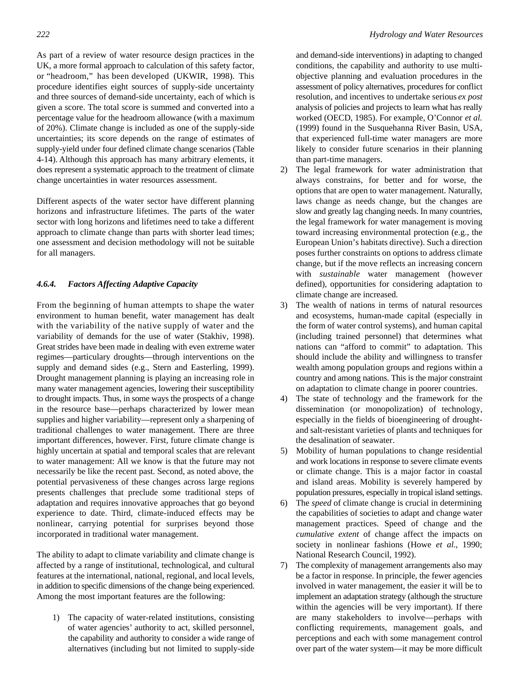As part of a review of water resource design practices in the UK, a more formal approach to calculation of this safety factor, or "headroom," has been developed (UKWIR, 1998). This procedure identifies eight sources of supply-side uncertainty and three sources of demand-side uncertainty, each of which is given a score. The total score is summed and converted into a percentage value for the headroom allowance (with a maximum of 20%). Climate change is included as one of the supply-side uncertainties; its score depends on the range of estimates of supply-yield under four defined climate change scenarios (Table 4-14). Although this approach has many arbitrary elements, it does represent a systematic approach to the treatment of climate change uncertainties in water resources assessment.

Different aspects of the water sector have different planning horizons and infrastructure lifetimes. The parts of the water sector with long horizons and lifetimes need to take a different approach to climate change than parts with shorter lead times; one assessment and decision methodology will not be suitable for all managers.

# *4.6.4. Factors Affecting Adaptive Capacity*

From the beginning of human attempts to shape the water environment to human benefit, water management has dealt with the variability of the native supply of water and the variability of demands for the use of water (Stakhiv, 1998). Great strides have been made in dealing with even extreme water regimes—particulary droughts—through interventions on the supply and demand sides (e.g., Stern and Easterling, 1999). Drought management planning is playing an increasing role in many water management agencies, lowering their susceptibility to drought impacts. Thus, in some ways the prospects of a change in the resource base—perhaps characterized by lower mean supplies and higher variability—represent only a sharpening of traditional challenges to water management. There are three important differences, however. First, future climate change is highly uncertain at spatial and temporal scales that are relevant to water management: All we know is that the future may not necessarily be like the recent past. Second, as noted above, the potential pervasiveness of these changes across large regions presents challenges that preclude some traditional steps of adaptation and requires innovative approaches that go beyond experience to date. Third, climate-induced effects may be nonlinear, carrying potential for surprises beyond those incorporated in traditional water management.

The ability to adapt to climate variability and climate change is affected by a range of institutional, technological, and cultural features at the international, national, regional, and local levels, in addition to specific dimensions of the change being experienced. Among the most important features are the following:

1) The capacity of water-related institutions, consisting of water agencies' authority to act, skilled personnel, the capability and authority to consider a wide range of alternatives (including but not limited to supply-side

and demand-side interventions) in adapting to changed conditions, the capability and authority to use multiobjective planning and evaluation procedures in the assessment of policy alternatives, procedures for conflict resolution, and incentives to undertake serious *ex post* analysis of policies and projects to learn what has really worked (OECD, 1985). For example, O'Connor *et al.* (1999) found in the Susquehanna River Basin, USA, that experienced full-time water managers are more likely to consider future scenarios in their planning than part-time managers.

- 2) The legal framework for water administration that always constrains, for better and for worse, the options that are open to water management. Naturally, laws change as needs change, but the changes are slow and greatly lag changing needs. In many countries, the legal framework for water management is moving toward increasing environmental protection (e.g., the European Union's habitats directive). Such a direction poses further constraints on options to address climate change, but if the move reflects an increasing concern with *sustainable* water management (however defined), opportunities for considering adaptation to climate change are increased.
- 3) The wealth of nations in terms of natural resources and ecosystems, human-made capital (especially in the form of water control systems), and human capital (including trained personnel) that determines what nations can "afford to commit" to adaptation. This should include the ability and willingness to transfer wealth among population groups and regions within a country and among nations. This is the major constraint on adaptation to climate change in poorer countries.
- 4) The state of technology and the framework for the dissemination (or monopolization) of technology, especially in the fields of bioengineering of droughtand salt-resistant varieties of plants and techniques for the desalination of seawater.
- 5) Mobility of human populations to change residential and work locations in response to severe climate events or climate change. This is a major factor in coastal and island areas. Mobility is severely hampered by population pressures, especially in tropical island settings.
- 6) The *speed* of climate change is crucial in determining the capabilities of societies to adapt and change water management practices. Speed of change and the *cumulative extent* of change affect the impacts on society in nonlinear fashions (Howe *et al*., 1990; National Research Council, 1992).
- 7) The complexity of management arrangements also may be a factor in response. In principle, the fewer agencies involved in water management, the easier it will be to implement an adaptation strategy (although the structure within the agencies will be very important). If there are many stakeholders to involve—perhaps with conflicting requirements, management goals, and perceptions and each with some management control over part of the water system—it may be more difficult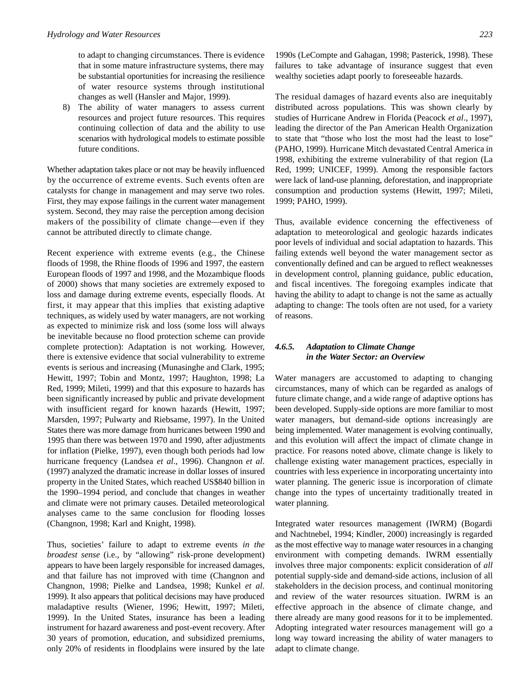to adapt to changing circumstances. There is evidence that in some mature infrastructure systems, there may be substantial oportunities for increasing the resilience of water resource systems through institutional changes as well (Hansler and Major, 1999).

8) The ability of water managers to assess current resources and project future resources. This requires continuing collection of data and the ability to use scenarios with hydrological models to estimate possible future conditions.

Whether adaptation takes place or not may be heavily influenced by the occurrence of extreme events. Such events often are catalysts for change in management and may serve two roles. First, they may expose failings in the current water management system. Second, they may raise the perception among decision makers of the possibility of climate change—even if they cannot be attributed directly to climate change.

Recent experience with extreme events (e.g., the Chinese floods of 1998, the Rhine floods of 1996 and 1997, the eastern European floods of 1997 and 1998, and the Mozambique floods of 2000) shows that many societies are extremely exposed to loss and damage during extreme events, especially floods. At first, it may appear that this implies that existing adaptive techniques, as widely used by water managers, are not working as expected to minimize risk and loss (some loss will always be inevitable because no flood protection scheme can provide complete protection): Adaptation is not working. However, there is extensive evidence that social vulnerability to extreme events is serious and increasing (Munasinghe and Clark, 1995; Hewitt, 1997; Tobin and Montz, 1997; Haughton, 1998; La Red, 1999; Mileti, 1999) and that this exposure to hazards has been significantly increased by public and private development with insufficient regard for known hazards (Hewitt, 1997; Marsden, 1997; Pulwarty and Riebsame, 1997). In the United States there was more damage from hurricanes between 1990 and 1995 than there was between 1970 and 1990, after adjustments for inflation (Pielke, 1997), even though both periods had low hurricane frequency (Landsea *et al*., 1996). Changnon *et al*. (1997) analyzed the dramatic increase in dollar losses of insured property in the United States, which reached US\$840 billion in the 1990–1994 period, and conclude that changes in weather and climate were not primary causes. Detailed meteorological analyses came to the same conclusion for flooding losses (Changnon, 1998; Karl and Knight, 1998).

Thus, societies' failure to adapt to extreme events *in the broadest sense* (i.e., by "allowing" risk-prone development) appears to have been largely responsible for increased damages, and that failure has not improved with time (Changnon and Changnon, 1998; Pielke and Landsea, 1998; Kunkel *et al*. 1999). It also appears that political decisions may have produced maladaptive results (Wiener, 1996; Hewitt, 1997; Mileti, 1999). In the United States, insurance has been a leading instrument for hazard awareness and post-event recovery. After 30 years of promotion, education, and subsidized premiums, only 20% of residents in floodplains were insured by the late

1990s (LeCompte and Gahagan, 1998; Pasterick, 1998). These failures to take advantage of insurance suggest that even wealthy societies adapt poorly to foreseeable hazards.

The residual damages of hazard events also are inequitably distributed across populations. This was shown clearly by studies of Hurricane Andrew in Florida (Peacock et al., 1997), leading the director of the Pan American Health Organization to state that "those who lost the most had the least to lose" (PAHO, 1999). Hurricane Mitch devastated Central America in 1998, exhibiting the extreme vulnerability of that region (La Red, 1999; UNICEF, 1999). Among the responsible factors were lack of land-use planning, deforestation, and inappropriate consumption and production systems (Hewitt, 1997; Mileti, 1999; PAHO, 1999).

Thus, available evidence concerning the effectiveness of adaptation to meteorological and geologic hazards indicates poor levels of individual and social adaptation to hazards. This failing extends well beyond the water management sector as conventionally defined and can be argued to reflect weaknesses in development control, planning guidance, public education, and fiscal incentives. The foregoing examples indicate that having the ability to adapt to change is not the same as actually adapting to change: The tools often are not used, for a variety of reasons.

# *4.6.5. Adaptation to Climate Change in the Water Sector: an Overview*

Water managers are accustomed to adapting to changing circumstances, many of which can be regarded as analogs of future climate change, and a wide range of adaptive options has been developed. Supply-side options are more familiar to most water managers, but demand-side options increasingly are being implemented. Water management is evolving continually, and this evolution will affect the impact of climate change in practice. For reasons noted above, climate change is likely to challenge existing water management practices, especially in countries with less experience in incorporating uncertainty into water planning. The generic issue is incorporation of climate change into the types of uncertainty traditionally treated in water planning.

Integrated water resources management (IWRM) (Bogardi and Nachtnebel, 1994; Kindler, 2000) increasingly is regarded as the most effective way to manage water resources in a changing environment with competing demands. IWRM essentially involves three major components: explicit consideration of *all* potential supply-side and demand-side actions, inclusion of all stakeholders in the decision process, and continual monitoring and review of the water resources situation. IWRM is an effective approach in the absence of climate change, and there already are many good reasons for it to be implemented. Adopting integrated water resources management will go a long way toward increasing the ability of water managers to adapt to climate change.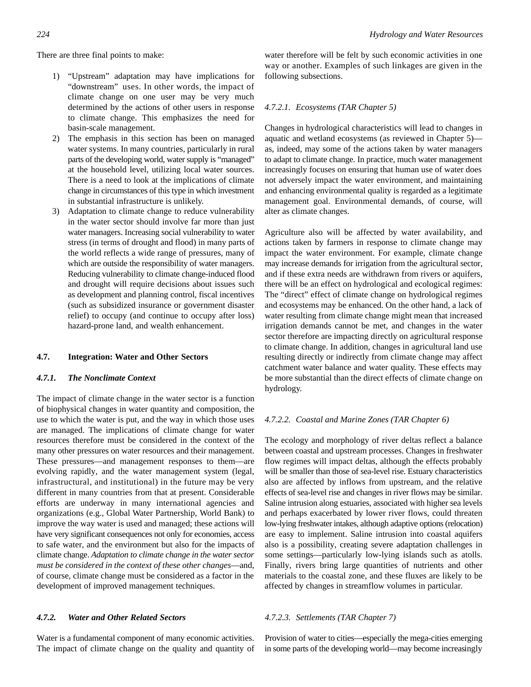There are three final points to make:

- 1) "Upstream" adaptation may have implications for "downstream" uses. In other words, the impact of climate change on one user may be very much determined by the actions of other users in response to climate change. This emphasizes the need for basin-scale management.
- 2) The emphasis in this section has been on managed water systems. In many countries, particularly in rural parts of the developing world, water supply is "managed" at the household level, utilizing local water sources. There is a need to look at the implications of climate change in circumstances of this type in which investment in substantial infrastructure is unlikely.
- 3) Adaptation to climate change to reduce vulnerability in the water sector should involve far more than just water managers. Increasing social vulnerability to water stress (in terms of drought and flood) in many parts of the world reflects a wide range of pressures, many of which are outside the responsibility of water managers. Reducing vulnerability to climate change-induced flood and drought will require decisions about issues such as development and planning control, fiscal incentives (such as subsidized insurance or government disaster relief) to occupy (and continue to occupy after loss) hazard-prone land, and wealth enhancement.

# **4.7. Integration: Water and Other Sectors**

# *4.7.1. The Nonclimate Context*

The impact of climate change in the water sector is a function of biophysical changes in water quantity and composition, the use to which the water is put, and the way in which those uses are managed. The implications of climate change for water resources therefore must be considered in the context of the many other pressures on water resources and their management. These pressures—and management responses to them—are evolving rapidly, and the water management system (legal, infrastructural, and institutional) in the future may be very different in many countries from that at present. Considerable e fforts are underway in many international agencies and organizations (e.g., Global Water Partnership, World Bank) to improve the way water is used and managed; these actions will have very significant consequences not only for economies, access to safe water, and the environment but also for the impacts of climate change. *Adaptation to climate change in the water sector must be considered in the context of these other changes*—and, of course, climate change must be considered as a factor in the development of improved management techniques.

# *4.7.2. Water and Other Related Sectors*

Water is a fundamental component of many economic activities. The impact of climate change on the quality and quantity of water therefore will be felt by such economic activities in one way or another. Examples of such linkages are given in the following subsections.

#### *4.7.2.1. Ecosystems (TAR Chapter 5)*

Changes in hydrological characteristics will lead to changes in aquatic and wetland ecosystems (as reviewed in Chapter 5) as, indeed, may some of the actions taken by water managers to adapt to climate change. In practice, much water management increasingly focuses on ensuring that human use of water does not adversely impact the water environment, and maintaining and enhancing environmental quality is regarded as a legitimate management goal. Environmental demands, of course, will alter as climate changes.

Agriculture also will be affected by water availability, and actions taken by farmers in response to climate change may impact the water environment. For example, climate change may increase demands for irrigation from the agricultural sector, and if these extra needs are withdrawn from rivers or aquifers, there will be an effect on hydrological and ecological regimes: The "direct" effect of climate change on hydrological regimes and ecosystems may be enhanced. On the other hand, a lack of water resulting from climate change might mean that increased irrigation demands cannot be met, and changes in the water sector therefore are impacting directly on agricultural response to climate change. In addition, changes in agricultural land use resulting directly or indirectly from climate change may affect catchment water balance and water quality. These effects may be more substantial than the direct effects of climate change on hydrology.

# *4.7.2.2. Coastal and Marine Zones (TAR Chapter 6)*

The ecology and morphology of river deltas reflect a balance between coastal and upstream processes. Changes in freshwater flow regimes will impact deltas, although the effects probably will be smaller than those of sea-level rise. Estuary characteristics also are affected by inflows from upstream, and the relative e ffects of sea-level rise and changes in river flows may be similar. Saline intrusion along estuaries, associated with higher sea levels and perhaps exacerbated by lower river flows, could threaten low-lying freshwater intakes, although adaptive options (relocation) are easy to implement. Saline intrusion into coastal aquifers also is a possibility, creating severe adaptation challenges in some settings—particularly low-lying islands such as atolls. Finally, rivers bring large quantities of nutrients and other materials to the coastal zone, and these fluxes are likely to be affected by changes in streamflow volumes in particular.

#### *4.7.2.3. Settlements (TAR Chapter 7)*

Provision of water to cities—especially the mega-cities emerging in some parts of the developing world—may become increasingly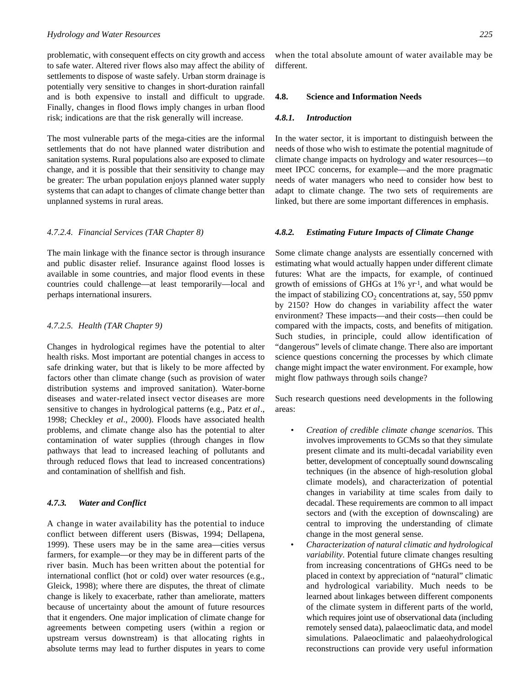problematic, with consequent effects on city growth and access to safe water. Altered river flows also may affect the ability of settlements to dispose of waste safely. Urban storm drainage is potentially very sensitive to changes in short-duration rainfall and is both expensive to install and difficult to upgrade. Finally, changes in flood flows imply changes in urban flood risk; indications are that the risk generally will increase.

The most vulnerable parts of the mega-cities are the informal settlements that do not have planned water distribution and sanitation systems. Rural populations also are exposed to climate change, and it is possible that their sensitivity to change may be greater: The urban population enjoys planned water supply systems that can adapt to changes of climate change better than unplanned systems in rural areas.

#### *4.7.2.4. Financial Services (TAR Chapter 8)*

The main linkage with the finance sector is through insurance and public disaster relief. Insurance against flood losses is available in some countries, and major flood events in these countries could challenge—at least temporarily—local and perhaps international insurers.

# *4.7.2.5. Health (TAR Chapter 9)*

Changes in hydrological regimes have the potential to alter health risks. Most important are potential changes in access to safe drinking water, but that is likely to be more affected by factors other than climate change (such as provision of water distribution systems and improved sanitation). Water-borne diseases and water-related insect vector diseases are more sensitive to changes in hydrological patterns (e.g., Patz *et al.*, 1998; Checkley *et al*., 2000). Floods have associated health problems, and climate change also has the potential to alter contamination of water supplies (through changes in flow pathways that lead to increased leaching of pollutants and through reduced flows that lead to increased concentrations) and contamination of shellfish and fish.

# *4.7.3. Water and Conflict*

A change in water availability has the potential to induce conflict between different users (Biswas, 1994; Dellapena, 1999). These users may be in the same area—cities versus farmers, for example—or they may be in different parts of the river basin. Much has been written about the potential for international conflict (hot or cold) over water resources (e.g., Gleick, 1998); where there are disputes, the threat of climate change is likely to exacerbate, rather than ameliorate, matters because of uncertainty about the amount of future resources that it engenders. One major implication of climate change for agreements between competing users (within a region or upstream versus downstream) is that allocating rights in absolute terms may lead to further disputes in years to come when the total absolute amount of water available may be different.

# **4.8. Science and Information Needs**

#### *4.8.1. Introduction*

In the water sector, it is important to distinguish between the needs of those who wish to estimate the potential magnitude of climate change impacts on hydrology and water resources—to meet IPCC concerns, for example—and the more pragmatic needs of water managers who need to consider how best to adapt to climate change. The two sets of requirements are linked, but there are some important differences in emphasis.

# *4.8.2. Estimating Future Impacts of Climate Change*

Some climate change analysts are essentially concerned with estimating what would actually happen under different climate futures: What are the impacts, for example, of continued growth of emissions of GHGs at 1% yr-1, and what would be the impact of stabilizing  $CO_2$  concentrations at, say, 550 ppmv by 2150? How do changes in variability affect the water environment? These impacts—and their costs—then could be compared with the impacts, costs, and benefits of mitigation. Such studies, in principle, could allow identification of "dangerous" levels of climate change. There also are important science questions concerning the processes by which climate change might impact the water environment. For example, how might flow pathways through soils change?

Such research questions need developments in the following areas:

- *Creation of credible climate change scenarios*. This involves improvements to GCMs so that they simulate present climate and its multi-decadal variability even better, development of conceptually sound downscaling techniques (in the absence of high-resolution global climate models), and characterization of potential changes in variability at time scales from daily to decadal. These requirements are common to all impact sectors and (with the exception of downscaling) are central to improving the understanding of climate change in the most general sense.
- *Characterization of natural climatic and hydrological variability*. Potential future climate changes resulting from increasing concentrations of GHGs need to be placed in context by appreciation of "natural" climatic and hydrological variability. Much needs to be learned about linkages between different components of the climate system in different parts of the world, which requires joint use of observational data (including remotely sensed data), palaeoclimatic data, and model simulations. Palaeoclimatic and palaeohydrological reconstructions can provide very useful information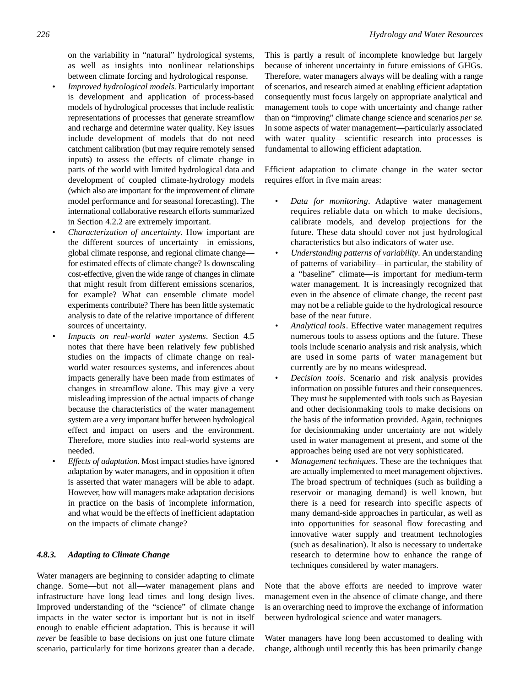on the variability in "natural" hydrological systems, as well as insights into nonlinear relationships between climate forcing and hydrological response.

- *Improved hydrological models.*Particularly important is development and application of process-based models of hydrological processes that include realistic representations of processes that generate streamflow and recharge and determine water quality. Key issues include development of models that do not need catchment calibration (but may require remotely sensed inputs) to assess the effects of climate change in parts of the world with limited hydrological data and development of coupled climate-hydrology models (which also are important for the improvement of climate model performance and for seasonal forecasting). The international collaborative research efforts summarized in Section 4.2.2 are extremely important.
- *Characterization of uncertainty*. How important are the different sources of uncertainty—in emissions, global climate response, and regional climate change for estimated effects of climate change? Is downscaling cost-effective, given the wide range of changes in climate that might result from different emissions scenarios, for example? What can ensemble climate model experiments contribute? There has been little systematic analysis to date of the relative importance of different sources of uncertainty.
- *Impacts on real-world water systems*. Section 4.5 notes that there have been relatively few published studies on the impacts of climate change on realworld water resources systems, and inferences about impacts generally have been made from estimates of changes in streamflow alone. This may give a very misleading impression of the actual impacts of change because the characteristics of the water management system are a very important buffer between hydrological effect and impact on users and the environment. Therefore, more studies into real-world systems are needed.
- *Effects of adaptation*. Most impact studies have ignored adaptation by water managers, and in opposition it often is asserted that water managers will be able to adapt. However, how will managers make adaptation decisions in practice on the basis of incomplete information, and what would be the effects of inefficient adaptation on the impacts of climate change?

# *4.8.3. Adapting to Climate Change*

Water managers are beginning to consider adapting to climate change. Some—but not all—water management plans and infrastructure have long lead times and long design lives. Improved understanding of the "science" of climate change impacts in the water sector is important but is not in itself enough to enable efficient adaptation. This is because it will *never* be feasible to base decisions on just one future climate scenario, particularly for time horizons greater than a decade.

This is partly a result of incomplete knowledge but largely because of inherent uncertainty in future emissions of GHGs. Therefore, water managers always will be dealing with a range of scenarios, and research aimed at enabling efficient adaptation consequently must focus largely on appropriate analytical and management tools to cope with uncertainty and change rather than on "improving" climate change science and scenarios *per se*. In some aspects of water management—particularly associated with water quality—scientific research into processes is fundamental to allowing efficient adaptation.

Efficient adaptation to climate change in the water sector requires effort in five main areas:

- *Data for monitoring*. Adaptive water management requires reliable data on which to make decisions, calibrate models, and develop projections for the future. These data should cover not just hydrological characteristics but also indicators of water use.
- *Understanding patterns of variability*. An understanding of patterns of variability—in particular, the stability of a "baseline" climate—is important for medium-term water management. It is increasingly recognized that even in the absence of climate change, the recent past may not be a reliable guide to the hydrological resource base of the near future.
- *Analytical tools*. Effective water management requires numerous tools to assess options and the future. These tools include scenario analysis and risk analysis, which are used in some parts of water management but currently are by no means widespread.
- *Decision tools*. Scenario and risk analysis provides information on possible futures and their consequences. They must be supplemented with tools such as Bayesian and other decisionmaking tools to make decisions on the basis of the information provided. Again, techniques for decisionmaking under uncertainty are not widely used in water management at present, and some of the approaches being used are not very sophisticated.
- *Management techniques*. These are the techniques that are actually implemented to meet management objectives. The broad spectrum of techniques (such as building a reservoir or managing demand) is well known, but there is a need for research into specific aspects of many demand-side approaches in particular, as well as into opportunities for seasonal flow forecasting and innovative water supply and treatment technologies (such as desalination). It also is necessary to undertake research to determine how to enhance the range of techniques considered by water managers.

Note that the above efforts are needed to improve water management even in the absence of climate change, and there is an overarching need to improve the exchange of information between hydrological science and water managers.

Water managers have long been accustomed to dealing with change, although until recently this has been primarily change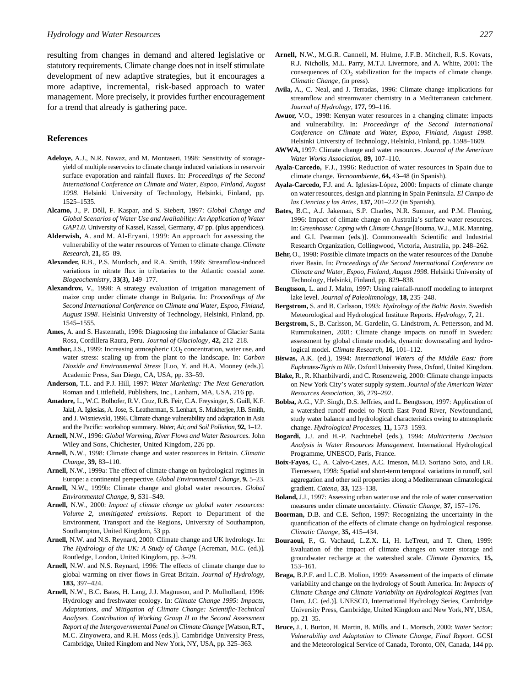resulting from changes in demand and altered legislative or statutory requirements. Climate change does not in itself stimulate development of new adaptive strategies, but it encourages a more adaptive, incremental, risk-based approach to water management. More precisely, it provides further encouragement for a trend that already is gathering pace.

#### **References**

- **Adeloye,** A.J., N.R. Nawaz, and M. Montaseri, 1998: Sensitivity of storageyield of multiple reservoirs to climate change induced variations in reservoir surface evaporation and rainfall fluxes. In: *Proceedings of the Second International Conference on Climate and Water, Espoo, Finland, August* 1998. Helsinki University of Technology, Helsinki, Finland, pp. 1525–1535.
- **Alcamo,** J., P. Döll, F. Kaspar, and S. Siebert, 1997: *Global Change and Global Scenarios of Water Use and Availability: An Application of Water* GAP1.0. University of Kassel, Kassel, Germany, 47 pp. (plus appendices).
- Alderwish, A. and M. Al-Eryani, 1999: An approach for assessing the vulnerability of the water resources of Yemen to climate change. *Climate Research*, **21,** 85–89.
- **Alexander,** R.B., P.S. Murdoch, and R.A. Smith, 1996: Streamflow-induced variations in nitrate flux in tributaries to the Atlantic coastal zone. *Biogeochemistry*, **33(3),** 149–177.
- **Alexandrov,** V., 1998: A strategy evaluation of irrigation management of maize crop under climate change in Bulgaria. In: *Proceedings of the Second International Conference on Climate and Water, Espoo, Finland, August 1998*. Helsinki University of Technology, Helsinki, Finland, pp. 1545–1555.
- **Ames,** A. and S. Hastenrath, 1996: Diagnosing the imbalance of Glacier Santa Rosa, Cordillera Raura, Peru. *Journal of Glaciology*, **42,** 212–218.
- Amthor, J.S., 1999: Increasing atmospheric CO<sub>2</sub> concentration, water use, and water stress: scaling up from the plant to the landscape. In: *Carbon Dioxide and Environmental Stress* [Luo, Y. and H.A. Mooney (eds.)]. Academic Press, San Diego, CA, USA, pp. 33–59.
- **Anderson,** T.L. and P.J. Hill, 1997: *Water Marketing: The Next Generation*. Roman and Littlefield, Publishers, Inc., Lanham, MA, USA, 216 pp.
- Amadore, L., W.C. Bolhofer, R.V. Cruz, R.B. Feir, C.A. Freysinger, S. Guill, K.F. Jalal, A. Iglesias, A. Jose, S. Leatherman, S. Lenhart, S. Mukherjee, J.B. Smith, and J. Wisniewski, 1996. Climate change vulnerability and adaptation in Asia and the Pacific: workshop summary. *Water, Air, and Soil Pollution*, 92, 1-12.
- **Arnell,** N.W., 1996: *Global Warming, River Flows and Water Resources*. John Wiley and Sons, Chichester, United Kingdom, 226 pp.
- **Arnell,** N.W., 1998: Climate change and water resources in Britain. *Climatic Change*, **39,** 83–110.
- **Arnell,** N.W., 1999a: The effect of climate change on hydrological regimes in Europe: a continental perspective. *Global Environmental Change*, **9**, 5–23.
- **Arnell,** N.W., 1999b: Climate change and global water resources. *Global Environmental Change*, **9,** S31–S49.
- **Arnell,** N.W., 2000: *Impact of climate change on global water resources: Volume 2, unmitigated emissions.* Report to Department of the Environment, Transport and the Regions, University of Southampton, Southampton, United Kingdom, 53 pp.
- **Arnell,** N.W. and N.S. Reynard, 2000: Climate change and UK hydrology. In: *The Hydrology of the UK: A Study of Change* [Acreman, M.C. (ed.)]*.* Routledge, London, United Kingdom, pp. 3–29.
- **Arnell,** N.W. and N.S. Reynard, 1996: The effects of climate change due to global warming on river flows in Great Britain. *Journal of Hydrology*, **183,** 397–424.
- **Arnell,** N.W., B.C. Bates, H. Lang, J.J. Magnuson, and P. Mulholland, 1996: Hydrology and freshwater ecology. In: *Climate Change 1995: Impacts, Adaptations, and Mitigation of Climate Change: Scientific-Technical Analyses. Contribution of Working Group II to the Second Assessment Report of the Intergovernmental Panel on Climate Change* [Watson, R.T., M.C. Zinyowera, and R.H. Moss (eds.)]. Cambridge University Press, Cambridge, United Kingdom and New York, NY, USA, pp. 325–363.
- Arnell, N.W., M.G.R. Cannell, M. Hulme, J.F.B. Mitchell, R.S. Kovats, R.J. Nicholls, M.L. Parry, M.T.J. Livermore, and A. White, 2001: The consequences of  $CO<sub>2</sub>$  stabilization for the impacts of climate change. *Climatic Change*, (in press).
- **Avila,** A., C. Neal, and J. Terradas, 1996: Climate change implications for streamflow and streamwater chemistry in a Mediterranean catchment. *Journal of Hydrology*, **177,** 99–116.
- **Awuor,** V.O., 1998: Kenyan water resources in a changing climate: impacts and vulnerability. In: Proceedings of the Second International Conference on Climate and Water, Espoo, Finland, August 1998. Helsinki University of Technology, Helsinki, Finland, pp. 1598–1609.
- **AWWA,** 1997: Climate change and water resources*. Journal of the American Water Works Association*, **89,** 107–110.
- Ayala-Carcedo, F.J., 1996: Reduction of water resources in Spain due to climate change. *Tecnoambiente*, **64**, 43-48 (in Spanish).
- **Ayala-Carcedo,** F.J. and A. Iglesias-López, 2000: Impacts of climate change on water resources, design and planning in Spain Peninsula. *El Campo de las Ciencias y las Artes*, **137,** 201–222 (in Spanish).
- **Bates,** B.C., A.J. Jakeman, S.P. Charles, N.R. Sumner, and P.M. Fleming, 1996: Impact of climate change on Australia's surface water resources. In: *G reenhouse: Coping with Climate Change* [Bouma, W.J., M.R. Manning, and G.I. Pearman (eds.)]. Commonwealth Scientific and Industrial Research Organization, Collingwood, Victoria, Australia, pp. 248–262.
- **Behr,** O., 1998: Possible climate impacts on the water resources of the Danube river Basin. In: *Proceedings of the Second International Conference on Climate and Water, Espoo, Finland, August 1998*. Helsinki University of Technology, Helsinki, Finland, pp. 829–838.
- **Bengtsson,** L. and J. Malm, 1997: Using rainfall-runoff modeling to interpret lake level. *Journal of Paleolimnology*, **18,** 235–248.
- **Bergstrom,** S. and B. Carlsson, 1993: *Hydrology of the Baltic Basin*. Swedish Meteorological and Hydrological Institute Reports. *Hydrology*, **7,** 21.
- **Bergstrom,** S., B. Carlsson, M. Gardelin, G. Lindstrom, A. Pettersson, and M. Rummukainen, 2001: Climate change impacts on runoff in Sweden: assessment by global climate models, dynamic downscaling and hydrological model. *Climate Research*, **16,** 101–112.
- **Biswas,** A.K. (ed.), 1994: *International Waters of the Middle East: from Euphrates-Tigris to Nile*. Oxford University Press, Oxford, United Kingdom.
- **Blake,** R., R. Khanbilvardi, and C. Rosenzweig, 2000: Climate change impacts on New York City's water supply system. *Journal of the American Water Resources Association*, 36, 279–292.
- **Bobba,** A.G., V.P. Singh, D.S. Jeffries, and L. Bengtsson, 1997: Application of a watershed runoff model to North East Pond River, Newfoundland, study water balance and hydrological characteristics owing to atmospheric change. *Hydrological Processes*, **11,** 1573–1593.
- **Bogardi,** J.J. and H.-P. Nachtnebel (eds.), 1994: *Multicriteria Decision Analysis in Water Resources Management.* International Hydrological Programme, UNESCO, Paris, France.
- **Boix-Fayos,** C., A. Calvo-Cases, A.C. Imeson, M.D. Soriano Soto, and I.R. Tiemessen, 1998: Spatial and short-term temporal variations in runoff, soil aggregation and other soil properties along a Mediterranean climatological gradient. *Catena*, **33,** 123–138.
- Boland, J.J., 1997: Assessing urban water use and the role of water conservation measures under climate uncertainty. *Climatic Change*, **37,** 157–176.
- **Boorman,** D.B. and C.E. Sefton, 1997: Recognizing the uncertainty in the quantification of the effects of climate change on hydrological response. *Climatic Change*, **35,** 415–434.
- **Bouraoui,** F., G. Vachaud, L.Z.X. Li, H. LeTreut, and T. Chen, 1999: Evaluation of the impact of climate changes on water storage and groundwater recharge at the watershed scale. *Climate Dynamics*, **15,** 153–161.
- **Braga,** B.P.F. and L.C.B. Molion, 1999: Assessment of the impacts of climate variability and change on the hydrology of South America. In: *Impacts of Climate Change and Climate Variability on Hydrological Regimes* [van Dam, J.C. (ed.)]. UNESCO, International Hydrology Series, Cambridge University Press, Cambridge, United Kingdom and New York, NY, USA, pp. 21–35.
- **Bruce,** J., I. Burton, H. Martin, B. Mills, and L. Mortsch, 2000: *Water Sector: Vulnerability and Adaptation to Climate Change, Final Report*. GCSI and the Meteorological Service of Canada, Toronto, ON, Canada, 144 pp.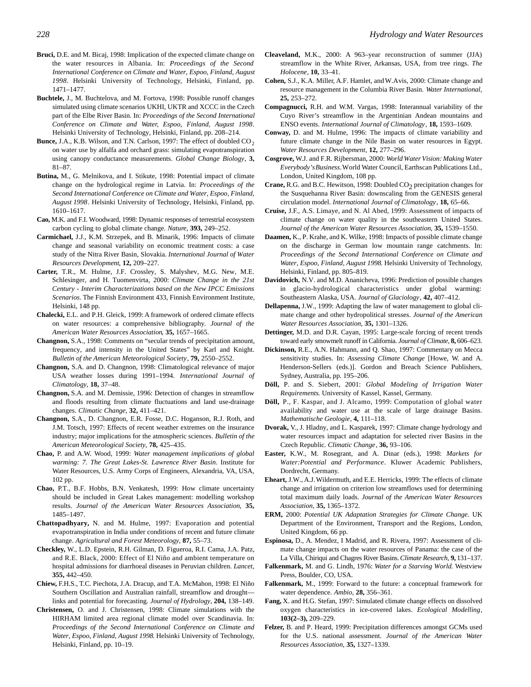- **Bruci,** D.E. and M. Bicaj, 1998: Implication of the expected climate change on the water resources in Albania. In: Proceedings of the Second *International Conference on Climate and Water, Espoo, Finland, August* 1998. Helsinki University of Technology, Helsinki, Finland, pp. 1471–1477.
- **Buchtele,** J., M. Buchtelova, and M. Fortova, 1998: Possible runoff changes simulated using climate scenarios UKHI, UKTR and XCCC in the Czech part of the Elbe River Basin. In: *Proceedings of the Second International* Conference on Climate and Water, Espoo, Finland, August 1998. Helsinki University of Technology, Helsinki, Finland, pp. 208–214.
- **Bunce,** J.A., K.B. Wilson, and T.N. Carlson, 1997: The effect of doubled CO<sub>2</sub> on water use by alfalfa and orchard grass: simulating evapotranspiration using canopy conductance measurements. *Global Change Biology*, **3,** 81–87.
- **Butina,** M., G. Melnikova, and I. Stikute, 1998: Potential impact of climate change on the hydrological regime in Latvia. In: *Proceedings of the Second International Conference on Climate and Water, Espoo, Finland, August 1998*. Helsinki University of Technology, Helsinki, Finland, pp. 1610–1617.
- Cao, M.K. and F.I. Woodward, 1998: Dynamic responses of terrestrial ecosystem carbon cycling to global climate change. *Nature*, **393,** 249–252.
- **Carmichael,** J.J., K.M. Strzepek, and B. Minarik, 1996: Impacts of climate change and seasonal variability on economic treatment costs: a case study of the Nitra River Basin, Slovakia. *International Journal of Water Resources Development*, **12,** 209–227.
- **Carter,** T.R., M. Hulme, J.F. Crossley, S. Malyshev, M.G. New, M.E. Schlesinger, and H. Tuomenvirta, 2000: *Climate Change in the 21st Century - Interim Characterizations based on the New IPCC Emissions Scenarios*. The Finnish Environment 433, Finnish Environment Institute, Helsinki, 148 pp.
- **Chalecki,** E.L. and P.H. Gleick, 1999: A framework of ordered climate effects on water resources: a comprehensive bibliography*. Journal of the American Water Resources Association*, **35,** 1657–1665.
- **Changnon,** S.A., 1998: Comments on "secular trends of precipitation amount, frequency, and intensity in the United States" by Karl and Knight. *Bulletin of the American Meteorological Society*, **79,** 2550–2552.
- **Changnon,** S.A. and D. Changnon, 1998: Climatological relevance of major USA weather losses during 1991–1994. *International Journal of Climatology*, **18,** 37–48.
- **Changnon,** S.A. and M. Demissie, 1996: Detection of changes in streamflow and floods resulting from climate fluctuations and land use-drainage changes. *Climatic Change*, **32,** 411–421.
- **Changnon,** S.A., D. Changnon, E.R. Fosse, D.C. Hoganson, R.J. Roth, and J.M. Totsch, 1997: Effects of recent weather extremes on the insurance industry; major implications for the atmospheric sciences. *Bulletin of the American Meteorological Society*, **78,** 425–435.
- **Chao,** P. and A.W. Wood, 1999: *Water management implications of global warming: 7. The Great Lakes-St. Lawrence River Basin*. Institute for Water Resources, U.S. Army Corps of Engineers, Alexandria, VA, USA, 102 pp.
- **Chao,** P.T., B.F. Hobbs, B.N. Venkatesh, 1999: How climate uncertainty should be included in Great Lakes management: modelling workshop results. *Journal of the American Water Resources Association*, **35,** 1485–1497.
- Chattopadhyary, N. and M. Hulme, 1997: Evaporation and potential evapotranspiration in India under conditions of recent and future climate change*. Agricultural and Forest Meteorology*, **87,** 55–73.
- **Checkley,** W., L.D. Epstein, R.H. Gilman, D. Figueroa, R.I. Cama, J.A. Patz, and R.E. Black, 2000: Effect of El Niño and ambient temperature on hospital admissions for diarrhoeal diseases in Peruvian children. *Lancet*, **355,** 442–450.
- **Chiew,** F.H.S., T.C. Piechota, J.A. Dracup, and T.A. McMahon, 1998: El Niño Southern Oscillation and Australian rainfall, streamflow and drought links and potential for forecasting. *Journal of Hydrology*, **204,** 138–149.
- **Christensen,** O. and J. Christensen, 1998: Climate simulations with the HIRHAM limited area regional climate model over Scandinavia. In: *Proceedings of the Second International Conference on Climate and Water, Espoo, Finland, August 1998*. Helsinki University of Technology, Helsinki, Finland, pp. 10–19.
- **Cleaveland,** M.K., 2000: A 963-year reconstruction of summer (JJA) streamflow in the White River, Arkansas, USA, from tree rings. *The Holocene*, **10,** 33–41.
- **Cohen,** S.J., K.A. Miller, A.F. Hamlet, and W.Avis, 2000: Climate change and resource management in the Columbia River Basin. *Water International*, **25,** 253–272.
- **Compagnucci,** R.H. and W.M. Vargas, 1998: Interannual variability of the Cuyo River's streamflow in the Argentinian Andean mountains and ENSO events. *International Journal of Climatology*, **18,** 1593–1609.
- **Conway,** D. and M. Hulme, 1996: The impacts of climate variability and future climate change in the Nile Basin on water resources in Egypt. *Water Resources Development*, **12,** 277–296.
- **Cosgrove,** W.J. and F.R. Rijbersman, 2000: *World Water Vision: Making Water Everybody's Business*.World Water Council, Earthscan Publications Ltd., London, United Kingdom, 108 pp.
- Crane, R.G. and B.C. Hewitson, 1998: Doubled CO<sub>2</sub> precipitation changes for the Susquehanna River Basin: downscaling from the GENESIS general circulation model. *International Journal of Climatology*, **18,** 65–66.
- **Cruise, J.F., A.S. Limaye, and N. Al Abed, 1999: Assessment of impacts of** climate change on water quality in the southeastern United States. *Journal of the American Water Resources Association*, **35,** 1539–1550.
- **Daamen,** K., P. Krahe, and K. Wilke, 1998: Impacts of possible climate change on the discharge in German low mountain range catchments. In: *Proceedings of the Second International Conference on Climate and Water, Espoo, Finland, August 1998*. Helsinki University of Technology, Helsinki, Finland, pp. 805–819.
- **Davidovich,** N.V. and M.D. Ananicheva, 1996: Prediction of possible changes in glacio-hydrological characteristics under global warming: Southeastern Alaska, USA*. Journal of Glaciology*, **42,** 407–412.
- **Dellapenna,** J.W., 1999: Adapting the law of water management to global climate change and other hydropolitical stresses. *Journal of the American Water Resources Association*, **35,** 1301–1326.
- **Dettinger,** M.D. and D.R. Cayan, 1995: Large-scale forcing of recent trends toward early smowmelt runoff in California. *Journal of Climate*, 8,606–623.
- **Dickinson,** R.E., A.N. Hahmann, and Q. Shao, 1997: Commentary on Mecca sensitivity studies. In: *Assessing Climate Change* [Howe, W. and A. Henderson-Sellers (eds.)]. Gordon and Breach Science Publishers, Sydney, Australia, pp. 195–206.
- Döll, P. and S. Siebert, 2001: *Global Modeling of Irrigation Water Requirements*. University of Kassel, Kassel, Germany.
- Döll, P., F. Kaspar, and J. Alcamo, 1999: Computation of global water availability and water use at the scale of large drainage Basins. *Mathematische Geologie*, **4,** 111–118.
- **Dvorak,** V., J. Hladny, and L. Kasparek, 1997: Climate change hydrology and water resources impact and adaptation for selected river Basins in the Czech Republic*. Climatic Change*, **36,** 93–106.
- Easter, K.W., M. Rosegrant, and A. Dinar (eds.), 1998: Markets for *Water:Potential and Performance*. Kluwer Academic Publishers, Dordrecht, Germany.
- **Eheart,** J.W., A.J. Wildermuth, and E.E. Herricks, 1999: The effects of climate change and irrigation on criterion low streamflows used for determining total maximum daily loads. *Journal of the American Water Resources Association*, **35,** 1365–1372.
- **ERM,** 2000: *Potential UK Adaptation Strategies for Climate Change*. UK Department of the Environment, Transport and the Regions, London, United Kingdom, 66 pp.
- **Espinosa,** D., A. Mendez, I Madrid, and R. Rivera, 1997: Assessment of climate change impacts on the water resources of Panama: the case of the La Villa, Chiriqui and Chagres River Basins. *Climate Research*, 9, 131-137.
- **Falkenmark,** M. and G. Lindh, 1976: *Water for a Starving World*. Westview Press, Boulder, CO, USA.
- **Falkenmark,** M., 1999: Forward to the future: a conceptual framework for water dependence. *Ambio,* **28,** 356–361.
- Fang, X. and H.G. Stefan, 1997: Simulated climate change effects on dissolved oxygen characteristics in ice-covered lakes. *Ecological Modelling*, **103(2–3),** 209–229.
- **Felzer,** B. and P. Heard, 1999: Precipitation differences amongst GCMs used for the U.S. national assessment. *Journal of the American Water Resources Association*, **35,** 1327–1339.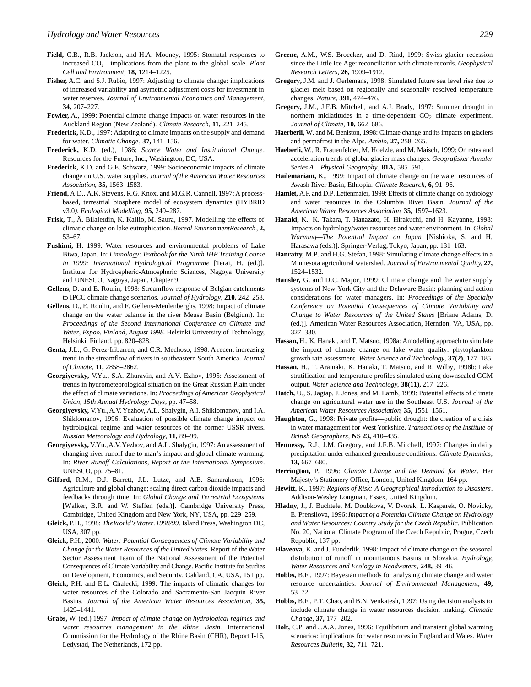- **Field,** C.B., R.B. Jackson, and H.A. Mooney, 1995: Stomatal responses to increased CO<sub>2</sub>—implications from the plant to the global scale. *Plant Cell and Environment*, **18,** 1214–1225.
- **Fisher,** A.C. and S.J. Rubio, 1997: Adjusting to climate change: implications of increased variability and asymetric adjustment costs for investment in water reserves*. Journal of Environmental Economics and Management*, **34,** 207–227.
- **Fowler,** A., 1999: Potential climate change impacts on water resources in the Auckland Region (New Zealand). *Climate Research*, **11,** 221–245.
- **Frederick,** K.D., 1997: Adapting to climate impacts on the supply and demand for water. *Climatic Change*, **37,** 141–156.
- Frederick, K.D. (ed.), 1986: *Scarce Water and Institutional Change*. Resources for the Future, Inc., Washington, DC, USA.
- **Frederick,** K.D. and G.E. Schwarz, 1999: Socioeconomic impacts of climate change on U.S. water supplies. *Journal of the American Water Resources Association*, **35,** 1563–1583.
- **Friend,** A.D., A.K. Stevens, R.G. Knox, and M.G.R. Cannell, 1997: A processbased, terrestrial biosphere model of ecosystem dynamics (HYBRID v3.0*). Ecological Modelling*, **95,** 249–287.
- Frisk, T., Ä. Bilaletdin, K. Kallio, M. Saura, 1997. Modelling the effects of climatic change on lake eutrophication. *Boreal EnvironmentResearch*, 2, 53–67.
- **Fushimi,** H. 1999: Water resources and environmental problems of Lake Biwa, Japan. In: *Limnology*: *Textbook for the Ninth IHP Training Course in 1999: International Hydrological Programme* [Terai, H. (ed.)]. Institute for Hydrospheric-Atmospheric Sciences, Nagoya University and UNESCO, Nagoya, Japan, Chapter 9.
- **Gellens,** D. and E. Roulin, 1998: Streamflow response of Belgian catchments to IPCC climate change scenarios. *Journal of Hydrology*, **210,** 242–258.
- **Gellens,** D., E. Roulin, and F. Gellens-Meulenberghs, 1998: Impact of climate change on the water balance in the river Meuse Basin (Belgium). In: *Proceedings of the Second International Conference on Climate and Water, Espoo, Finland, August 1998*. Helsinki University of Technology, Helsinki, Finland, pp. 820–828.
- **Genta,** J.L., G. Perez-Iribarren, and C.R. Mechoso, 1998. A recent increasing trend in the streamflow of rivers in southeastern South America. *Journal of Climate*, **11,** 2858–2862.
- **Georgiyevsky,** V.Yu., S.A. Zhuravin, and A.V. Ezhov, 1995: Assessment of trends in hydrometeorological situation on the Great Russian Plain under the effect of climate variations. In: *Proceedings of American Geophysical Union, 15th Annual Hydrology Days*, pp. 47–58.
- **Georgiyevsky,** V.Yu., A.V. Yezhov, A.L. Shalygin, A.I. Shiklomanov, and I.A. Shiklomanov, 1996: Evaluation of possible climate change impact on hydrological regime and water resources of the former USSR rivers. *Russian Meteorology and Hydrology*, **11,** 89–99.
- **Georgiyevsky,** V.Yu., A.V.Yezhov, and A.L. Shalygin, 1997: An assessment of changing river runoff due to man's impact and global climate warming. In: *River Runoff Calculations, Report at the International Symposium*. UNESCO, pp. 75–81.
- Gifford, R.M., D.J. Barrett, J.L. Lutze, and A.B. Samarakoon, 1996: Agriculture and global change: scaling direct carbon dioxide impacts and feedbacks through time. In: *Global Change and Terrestrial Ecosystems* [Walker, B.R. and W. Steffen (eds.)]. Cambridge University Press, Cambridge, United Kingdom and New York, NY, USA, pp. 229–259.
- **Gleick,** P.H., 1998: *The World's Water. 1998/99*. Island Press, Washington DC, USA, 307 pp.
- **Gleick,** P.H., 2000: *Water: Potential Consequences of Climate Variability and Change for the Water Resources of the United States*. Report of the Water Sector Assessment Team of the National Assessment of the Potential Consequences of Climate Variability and Change. Pacific Institute for Studies on Development, Economics, and Security, Oakland, CA, USA, 151 pp.
- **Gleick,** P.H. and E.L. Chalecki, 1999: The impacts of climatic changes for water resources of the Colorado and Sacramento-San Jaoquin River Basins. *Journal of the American Water Resources Association*, **35,** 1429–1441.
- **Grabs,** W. (ed.) 1997: *Impact of climate change on hydrological regimes and* water resources management in the Rhine Basin. International Commission for the Hydrology of the Rhine Basin (CHR), Report I-16, Ledystad, The Netherlands, 172 pp.
- **Greene,** A.M., W.S. Broecker, and D. Rind, 1999: Swiss glacier recession since the Little Ice Age: reconciliation with climate records. *Geophysical Research Letters*, **26,** 1909–1912.
- **Gregory,** J.M. and J. Oerlemans, 1998: Simulated future sea level rise due to glacier melt based on regionally and seasonally resolved temperature changes. *Nature*, **391,** 474–476.
- **Gregory,** J.M., J.F.B. Mitchell, and A.J. Brady, 1997: Summer drought in northern midlatitudes in a time-dependent  $CO<sub>2</sub>$  climate experiment. *Journal of Climate*, **10,** 662–686.
- Haerberli, W. and M. Beniston, 1998: Climate change and its impacts on glaciers and permafrost in the Alps. *Ambio*, **27,** 258–265.
- **Haeberli,** W., R. Frauenfelder, M. Hoelzle, and M. Maisch, 1999: On rates and acceleration trends of global glacier mass changes. *Geografisker Annaler Series A – Physical Geography*, **81A,** 585–591.
- **Hailemariam,** K., 1999: Impact of climate change on the water resources of Awash River Basin, Ethiopia. *Climate Research*, **6,** 91–96.
- Hamlet, A.F. and D.P. Lettenmaier, 1999: Effects of climate change on hydrology and water resources in the Columbia River Basin. *Journal of the American Water Resources Association*, **35,** 1597–1623.
- **Hanaki,** K., K. Takara, T. Hanazato, H. Hirakuchi, and H. Kayanne, 1998: Impacts on hydrology/water resources and water environment. In: *Global Warming—The Potential Impact on Japan* [Nishioka, S. and H. Harasawa (eds.)]. Springer-Verlag, Tokyo, Japan, pp. 131–163.
- **Hanratty,** M.P. and H.G. Stefan, 1998: Simulating climate change effects in a Minnesota agricultural watershed. *Journal of Environmental Quality*, **27,** 1524–1532.
- Hansler, G. and D.C. Major, 1999: Climate change and the water supply systems of New York City and the Delaware Basin: planning and action considerations for water managers. In: *Proceedings of the Specialty* Conference on Potential Consequences of Climate Variability and *Change to Water Resources of the United States* [Briane Adams, D. (ed.)]. American Water Resources Association, Herndon, VA, USA, pp. 327–330.
- Hassan, H., K. Hanaki, and T. Matsuo, 1998a: Amodelling approach to simulate the impact of climate change on lake water quality: phytoplankton growth rate assessment. *Water Science and Technology*, **37(2),** 177–185.
- **Hassan,** H., T. Aramaki, K. Hanaki, T. Matsuo, and R. Wilby, 1998b: Lake stratification and temperature profiles simulated using downscaled GCM output. *Water Science and Technology*, **38(11),** 217–226.
- **Hatch,** U., S. Jagtap, J. Jones, and M. Lamb, 1999: Potential effects of climate change on agricultural water use in the Southeast U.S. *Journal of the American Water Resources Association*, **35,** 1551–1561.
- **Haughton,** G., 1998: Private profits—public drought: the creation of a crisis in water management for West Yorkshire. *Transactions of the Institute of British Geographers*, **NS 23,** 410–435.
- Hennessy, R.J., J.M. Gregory, and J.F.B. Mitchell, 1997: Changes in daily precipitation under enhanced greenhouse conditions. *Climate Dynamics*, **13,** 667–680.
- **Herrington,** P., 1996: *Climate Change and the Demand for Water*. Her Majesty's Stationery Office, London, United Kingdom, 164 pp.
- **Hewitt,** K., 1997: *Regions of Risk: A Geographical Introduction to Disasters*. Addison-Wesley Longman, Essex, United Kingdom.
- **Hladny,** J., J. Buchtele, M. Doubkova, V. Dvorak, L. Kasparek, O. Novicky, E. Prensilova, 1996: *Impact of a Potential Climate Change on Hydrology and Water Resources: Country Study for the Czech Republic.* Publication No. 20, National Climate Program of the Czech Republic, Prague, Czech Republic, 137 pp.
- Hlaveova, K. and J. Eunderlik, 1998: Impact of climate change on the seasonal distribution of runoff in mountainous Basins in Slovakia. *Hydrology, Water Resources and Ecology in Headwaters*, **248,** 39–46.
- **Hobbs,** B.F., 1997: Bayesian methods for analysing climate change and water resource uncertainties. *Journal of Environmental Management*, 49, 53–72.
- **Hobbs,** B.F., P.T. Chao, and B.N. Venkatesh, 1997: Using decision analysis to include climate change in water resources decision making. *Climatic Change*, **37,** 177–202.
- **Holt,** C.P. and J.A.A. Jones, 1996: Equilibrium and transient global warming scenarios: implications for water resources in England and Wales*. Water Resources Bulletin*, **32,** 711–721.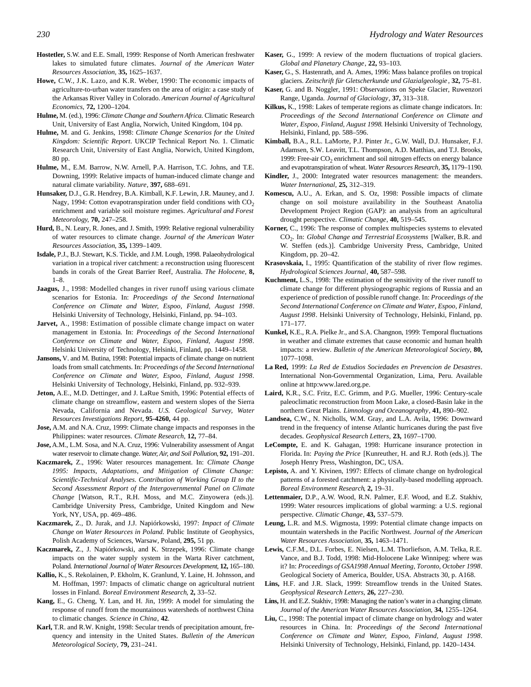- Hostetler, S.W. and E.E. Small, 1999: Response of North American freshwater lakes to simulated future climates. *Journal of the American Water Resources Association*, **35,** 1625–1637.
- Howe, C.W., J.K. Lazo, and K.R. Weber, 1990: The economic impacts of agriculture-to-urban water transfers on the area of origin: a case study of the Arkansas River Valley in Colorado. *American Journal of Agricultural Economics*, **72,** 1200–1204.
- Hulme, M. (ed.), 1996: *Climate Change and Southern Africa*. Climatic Research Unit, University of East Anglia, Norwich, United Kingdom, 104 pp.
- **Hulme,** M. and G. Jenkins, 1998: *Climate Change Scenarios for the United Kingdom: Scientific Report*. UKCIP Technical Report No. 1. Climatic Research Unit, University of East Anglia, Norwich, United Kingdom, 80 pp.
- **Hulme,** M., E.M. Barrow, N.W. Arnell, P.A. Harrison, T.C. Johns, and T.E. Downing, 1999: Relative impacts of human-induced climate change and natural climate variability. *Nature*, **397,** 688–691.
- **Hunsaker,** D.J., G.R. Hendrey, B.A. Kimball, K.F. Lewin, J.R. Mauney, and J. Nagy, 1994: Cotton evapotranspiration under field conditions with  $CO<sub>2</sub>$ enrichment and variable soil moisture regimes. *Agricultural and Forest Meteorology*, **70,** 247–258.
- Hurd, B., N. Leary, R. Jones, and J. Smith, 1999: Relative regional vulnerability of water resources to climate change. *Journal of the American Water Resources Association*, **35,** 1399–1409.
- Isdale, P.J., B.J. Stewart, K.S. Tickle, and J.M. Lough, 1998. Palaeohydrological variation in a tropical river catchment: a reconstruction using fluorescent bands in corals of the Great Barrier Reef, Australia. *The Holocene*, **8,** 1–8.
- **Jaagus, J., 1998: Modelled changes in river runoff using various climate** scenarios for Estonia. In: *Proceedings of the Second International* Conference on Climate and Water, Espoo, Finland, August 1998. Helsinki University of Technology, Helsinki, Finland, pp. 94–103.
- Jarvet, A., 1998: Estimation of possible climate change impact on water management in Estonia. In: *Proceedings of the Second International* Conference on Climate and Water, Espoo, Finland, August 1998. Helsinki University of Technology, Helsinki, Finland, pp. 1449–1458.
- Jansons, V. and M. Butina, 1998: Potential impacts of climate change on nutrient loads from small catchments. In: *Proceedings of the Second International* Conference on Climate and Water, Espoo, Finland, August 1998. Helsinki University of Technology, Helsinki, Finland, pp. 932–939.
- **Jeton,** A.E., M.D. Dettinger, and J. LaRue Smith, 1996: Potential effects of climate change on streamflow, eastern and western slopes of the Sierra Nevada, California and Nevada. *U.S. Geological Survey, Water Resources Investigations Report*, **95-4260,** 44 pp.
- **Jose,** A.M. and N.A. Cruz, 1999: Climate change impacts and responses in the Philippines: water resources. *Climate Research*, **12,** 77–84.
- **Jose, A.M., L.M. Sosa, and N.A. Cruz, 1996: Vulnerability assessment of Angat** water reservoir to climate change. *Water, Air, and Soil Pollution*, 92, 191-201.
- **Kaczmarek,** Z., 1996: Water resources management. In: *Climate Change 1995: Impacts, Adaptations, and Mitigation of Climate Change: Scientific-Technical Analyses. Contribution of Working Group II to the Second Assessment Report of the Intergovernmental Panel on Climate Change* [Watson, R.T., R.H. Moss, and M.C. Zinyowera (eds.)]. Cambridge University Press, Cambridge, United Kingdom and New York, NY, USA, pp. 469–486.
- **Kaczmarek,** Z., D. Jurak, and J.J. Napiórkowski, 1997: *Impact of Climate Change on Water Resources in Poland*. Public Institute of Geophysics, Polish Academy of Sciences, Warsaw, Poland, **295,** 51 pp.
- **Kaczmarek,** Z., J. Napiórkowski, and K. Strzepek, 1996: Climate change impacts on the water supply system in the Warta River catchment, Poland. International Journal of Water Resources Development, 12, 165-180.
- **Kallio,** K., S. Rekolainen, P. Ekholm, K. Granlund, Y. Laine, H. Johnsson, and M. Hoffman, 1997: Impacts of climatic change on agricultural nutrient losses in Finland. *Boreal Environment Research*, **2,** 33–52.
- **Kang,** E., G. Cheng, Y. Lan, and H. Jin, 1999: A model for simulating the response of runoff from the mountainous watersheds of northwest China to climatic changes. *Science in China*, **42**.
- **Karl,** T.R. and R.W. Knight, 1998: Secular trends of precipitation amount, frequency and intensity in the United States. *Bulletin of the American Meteorological Society*, **79,** 231–241.
- **Kaser,** G., 1999: A review of the modern fluctuations of tropical glaciers. *Global and Planetary Change*, **22,** 93–103.
- Kaser, G., S. Hastenrath, and A. Ames, 1996: Mass balance profiles on tropical glaciers. *Zeitschrift für Gletscherkunde und Glazialgeologie* , **32,** 75–81.
- **Kaser,** G. and B. Noggler, 1991: Observations on Speke Glacier, Ruwenzori Range, Uganda. *Journal of Glaciology*, **37,** 313–318.
- **Kilkus,** K., 1998: Lakes of temperate regions as climate change indicators. In: *Proceedings of the Second International Conference on Climate and Water, Espoo, Finland, August 1998*. Helsinki University of Technology, Helsinki, Finland, pp. 588–596.
- **Kimball,** B.A., R.L. LaMorte, P.J. Pinter Jr., G.W. Wall, D.J. Hunsaker, F.J. Adamsen, S.W. Leavitt, T.L. Thompson, A.D. Matthias, and T.J. Brooks, 1999: Free-air CO<sub>2</sub> enrichment and soil nitrogen effects on energy balance and evapotranspiration of wheat. *Water Resources Research*, 35, 1179-1190.
- **Kindler,** J., 2000: Integrated water resources management: the meanders. *Water International*, **25,** 312–319.
- **Komescu,** A.U., A. Erkan, and S. Oz, 1998: Possible impacts of climate change on soil moisture availability in the Southeast Anatolia Development Project Region (GAP): an analysis from an agricultural drought perspective. *Climatic Change*, **40,** 519–545.
- **Korner,** C., 1996: The response of complex multispecies systems to elevated CO<sup>2</sup> . In: *Global Change and Terrestrial Ecosystems* [Walker, B.R. and W. Steffen (eds.)]. Cambridge University Press, Cambridge, United Kingdom, pp. 20–42.
- **Krasovskaia,** I., 1995: Quantification of the stability of river flow regimes. *Hydrological Sciences Journal*, **40,** 587–598.
- **Kuchment,** L.S., 1998: The estimation of the sensitivity of the river runoff to climate change for different physiogeographic regions of Russia and an experience of prediction of possible runoff change. In: *Proceedings of the Second International Conference on Climate and Water, Espoo, Finland, August 1998*. Helsinki University of Technology, Helsinki, Finland, pp. 171–177.
- **Kunkel, K.E., R.A. Pielke Jr., and S.A. Changnon, 1999: Temporal fluctuations** in weather and climate extremes that cause economic and human health impacts: a review. *Bulletin of the American Meteorological Society*, **80,** 1077–1098.
- **La Red,** 1999: *La Red de Estudios Sociedades en Prevencion de Desastres*. International Non-Governmental Organization, Lima, Peru. Available online at http:www.lared.org.pe.
- **Laird,** K.R., S.C. Fritz, E.C. Grimm, and P.G. Mueller, 1996: Century-scale paleoclimatic reconstruction from Moon Lake, a closed-Basin lake in the northern Great Plains. *Limnology and Oceanography*, **41,** 890–902.
- **Landsea,** C.W., N. Nicholls, W.M. Gray, and L.A. Avila, 1996: Downward trend in the frequency of intense Atlantic hurricanes during the past five decades. *Geophysical Research Letters*, **23,** 1697–1700.
- **LeCompte,** E. and K. Gahagan, 1998: Hurricane insurance protection in Florida. In: *Paying the Price* [Kunreuther, H. and R.J. Roth (eds.)]. The Joseph Henry Press, Washington, DC, USA.
- **Lepisto,** A. and Y. Kivinen, 1997: Effects of climate change on hydrological patterns of a forested catchment: a physically-based modelling approach. *Boreal Environment Research*, **2,** 19–31.
- **Lettenmaier,** D.P., A.W. Wood, R.N. Palmer, E.F. Wood, and E.Z. Stakhiv, 1999: Water resources implications of global warming: a U.S. regional perspective. *Climatic Change*, **43,** 537–579.
- **Leung,** L.R. and M.S. Wigmosta, 1999: Potential climate change impacts on mountain watersheds in the Pacific Northwest. *Journal of the American Water Resources Association*, **35,** 1463–1471.
- **Lewis,** C.F.M., D.L. Forbes, E. Nielsen, L.M. Thorliefson, A.M. Telka, R.E. Vance, and B.J. Todd, 1998: Mid-Holocene Lake Winnipeg: where was it? In: *Proceedings of GSA1998 Annual Meeting, Toronto, October 1998*. Geological Society of America, Boulder, USA. Abstracts 30, p. A168.
- **Lins,** H.F. and J.R. Slack, 1999: Streamflow trends in the United States. *Geophysical Research Letters*, **26,** 227–230.
- Lins, H. and E.Z. Stakhiv, 1998: Managing the nation's water in a changing climate. *Journal of the American Water Resources Association*, **34,** 1255–1264.
- **Liu,** C., 1998: The potential impact of climate change on hydrology and water resources in China. In: *P roceedings of the Second International Conference on Climate and Water, Espoo, Finland, August 1998.* Helsinki University of Technology, Helsinki, Finland, pp. 1420–1434.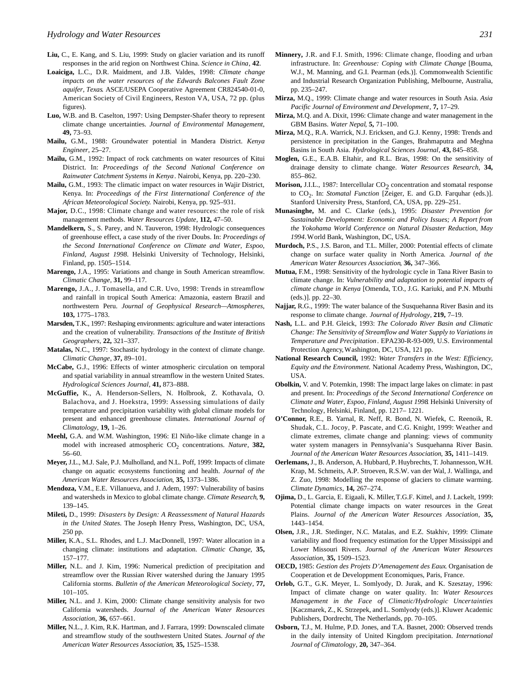- **Liu,** C., E. Kang, and S. Liu, 1999: Study on glacier variation and its runoff responses in the arid region on Northwest China. *Science in China*, **42**.
- **Loaiciga,** L.C., D.R. Maidment, and J.B. Valdes, 1998: *Climate change impacts on the water resources of the Edwards Balcones Fault Zone aquifer, Texas*. ASCE/USEPA Cooperative Agreement CR824540-01-0, American Society of Civil Engineers, Reston VA, USA, 72 pp. (plus figures).
- **Luo,** W.B. and B. Caselton, 1997: Using Dempster-Shafer theory to represent climate change uncertainties. *Journal of Environmental Management*, **49,** 73–93.
- Mailu, G.M., 1988: Groundwater potential in Mandera District. *Kenya Engineer*, 25–27.
- **Mailu,** G.M., 1992: Impact of rock catchments on water resources of Kitui District. In: Proceedings of the Second National Conference on *Rainwater Catchment Systems in Kenya*. Nairobi, Kenya, pp. 220–230.
- **Mailu,** G.M., 1993: The climatic impact on water resources in Wajir District, Kenya. In: *Proceedings of the First Iinternational Conference of the African Meteorological Society.* Nairobi, Kenya, pp. 925–931.
- Major, D.C., 1998: Climate change and water resources: the role of risk management methods. Water Resources Update, 112, 47-50.
- **Mandelkern,** S., S. Parey, and N. Tauveron, 1998: Hydrologic consequences of greenhouse effect, a case study of the river Doubs. In: *Proceedings of the Second International Conference on Climate and Water, Espoo, Finland, August 1998*. Helsinki University of Technology, Helsinki, Finland, pp. 1505–1514.
- **Marengo,** J.A., 1995: Variations and change in South American streamflow. *Climatic Change*, **31,** 99–117.
- **Marengo, J.A., J. Tomasella, and C.R. Uvo, 1998: Trends in streamflow** and rainfall in tropical South America: Amazonia, eastern Brazil and northwestern Peru. *Journal of Geophysical Research—Atmospheres*, **103,** 1775–1783.
- Marsden, T.K., 1997: Reshaping environments: agriculture and water interactions and the creation of vulnerability. *Transactions of the Institute of British Geographers*, **22,** 321–337.
- **Matalas,** N.C., 1997: Stochastic hydrology in the context of climate change. *Climatic Change*, **37,** 89–101.
- **McCabe,** G.J., 1996: Effects of winter atmospheric circulation on temporal and spatial variability in annual streamflow in the western United States. *Hydrological Sciences Journal*, **41,** 873–888.
- McGuffie, K., A. Henderson-Sellers, N. Holbrook, Z. Kothavala, O. Balachova, and J. Hoekstra, 1999: Assessing simulations of daily temperature and precipitation variability with global climate models for present and enhanced greenhouse climates. *International Journal of Climatology*, **19,** 1–26.
- **Meehl,** G.A. and W.M. Washington, 1996: El Niño-like climate change in a model with increased atmospheric CO<sub>2</sub> concentrations. *Nature*, **382**, 56–60.
- Meyer, J.L., M.J. Sale, P.J. Mulholland, and N.L. Poff, 1999: Impacts of climate change on aquatic ecosystems functioning and health. *Journal of the American Water Resources Association*, **35,** 1373–1386.
- **Mendoza,** V.M., E.E. Villanueva, and J. Adem, 1997: Vulnerability of basins and watersheds in Mexico to global climate change. *Climate Research*, **9,** 139–145.
- Mileti, D., 1999: *Disasters by Design: A Reassessment of Natural Hazards in the United States.* The Joseph Henry Press, Washington, DC, USA, 250 pp.
- **Miller,** K.A., S.L. Rhodes, and L.J. MacDonnell, 1997: Water allocation in a changing climate: institutions and adaptation. *Climatic Change*, **35,** 157–177.
- **Miller,** N.L. and J. Kim, 1996: Numerical prediction of precipitation and streamflow over the Russian River watershed during the January 1995 California storms. *Bulletin of the American Meteorological Society*, **77,** 101–105.
- **Miller,** N.L. and J. Kim, 2000: Climate change sensitivity analysis for two California watersheds. *Journal of the American Water Resources Association*, **36,** 657–661.
- **Miller,** N.L., J. Kim, R.K. Hartman, and J. Farrara, 1999: Downscaled climate and streamflow study of the southwestern United States. *Journal of the American Water Resources Association*, **35,** 1525–1538.
- **Minnery, J.R.** and F.I. Smith, 1996: Climate change, flooding and urban infrastructure. In: *Greenhouse: Coping with Climate Change* [Bouma, W.J., M. Manning, and G.I. Pearman (eds.)]. Commonwealth Scientific and Industrial Research Organization Publishing, Melbourne, Australia, pp. 235–247.
- **Mirza,** M.Q., 1999: Climate change and water resources in South Asia. *Asia Pacific Journal of Environment and Development*, **7,** 17–29.
- **Mirza,** M.Q. and A. Dixit, 1996: Climate change and water management in the GBM Basins*. Water Nepal*, **5,** 71–100.
- **Mirza,** M.Q., R.A. Warrick, N.J. Ericksen, and G.J. Kenny, 1998: Trends and persistence in precipitation in the Ganges, Brahmaputra and Meghna Basins in South Asia. *Hydrological Sciences Journal*, **43,** 845–858.
- **Moglen,** G.E., E.A.B. Eltahir, and R.L. Bras, 1998: On the sensitivity of drainage density to climate change. *Water Resources Research*, **34,** 855–862.
- **Morison,** J.I.L., 1987: Intercellular CO<sub>2</sub> concentration and stomatal response to CO<sub>2</sub>. In: *Stomatal Function* [Zeiger, E. and G.D. Farquhar (eds.)]. Stanford University Press, Stanford, CA, USA, pp. 229–251.
- **Munasinghe, M.** and C. Clarke (eds.), 1995: *Disaster Prevention for Sustainable Development: Economic and Policy Issues; A Report from the Yokohama World Conference on Natural Disaster Reduction, May 1994*. World Bank, Washington, DC, USA.
- **Murdoch,** P.S., J.S. Baron, and T.L. Miller, 2000: Potential effects of climate change on surface water quality in North America*. Journal of the American Water Resources Association*, **36,** 347–366.
- **Mutua,** F.M., 1998: Sensitivity of the hydrologic cycle in Tana River Basin to climate change. In: *Vulnerability and adaptation to potential impacts of climate change in Kenya* [Omenda, T.O., J.G. Kariuki, and P.N. Mbuthi (eds.)]. pp. 22–30.
- **Najjar,** R.G., 1999: The water balance of the Susquehanna River Basin and its response to climate change. *Journal of Hydrology*, **219,** 7–19.
- **Nash,** L.L. and P.H. Gleick, 1993: *The Colorado River Basin and Climatic Change: The Sensitivity of Streamflow and Water Supply to Variations in Temperature and Precipitation*. EPA230-R-93-009, U.S. Environmental Protection Agency, Washington, DC, USA, 121 pp.
- **National Research Council,** 1992: *Water Transfers in the West: Efficiency, Equity and the Environment.* National Academy Press, Washington, DC, USA.
- **Obolkin,** V. and V. Potemkin, 1998: The impact large lakes on climate: in past and present. In: *Proceedings of the Second International Conference on Climate and Water, Espoo, Finland, August 1998*. Helsinki University of Technology, Helsinki, Finland, pp. 1217– 1221.
- **O'Connor,** R.E., B. Yarnal, R. Neff, R. Bond, N. Wiefek, C. Reenoik, R. Shudak, C.L. Jocoy, P. Pascate, and C.G. Knight, 1999: Weather and climate extremes, climate change and planning: views of community water system managers in Pennsylvania's Susquehanna River Basin. *Journal of the American Water Resources Association*, **35,** 1411–1419.
- **Oerlemans,** J., B. Anderson, A. Hubbard, P. Huybrechts, T. Johannesson, W.H. Krap, M. Schmeits, A.P. Stroeven, R.S.W. van der Wal, J. Wallinga, and Z. Zuo, 1998: Modelling the response of glaciers to climate warming. *Climate Dynamics*, **14,** 267–274.
- **Ojima,** D., L. Garcia, E. Eigaali, K. Miller,T.G.F. Kittel, and J. Lackelt, 1999: Potential climate change impacts on water resources in the Great Plains. *Journal of the American Water Resources Association*, **35,** 1443–1454.
- **Olsen,** J.R., J.R. Stedinger, N.C. Matalas, and E.Z. Stakhiv, 1999: Climate variability and flood frequency estimation for the Upper Mississippi and Lower Missouri Rivers. *Journal of the American Water Resources Association*, **35,** 1509–1523.
- **OECD,** 1985: *Gestion des Projets D'Amenagement des Eaux*. Organisation de Cooperation et de Developpment Economiques, Paris, France.
- **Orlob,** G.T., G.K. Meyer, L. Somlyody, D. Jurak, and K. Szesztay, 1996: Impact of climate change on water quality. In: Water Resources *Management in the Face of Climatic/Hydrologic Uncertainties* [Kaczmarek, Z., K. Strzepek, and L. Somlyody (eds.)]. Kluwer Academic Publishers, Dordrecht, The Netherlands, pp. 70–105.
- **Osborn,** T.J., M. Hulme, P.D. Jones, and T.A. Basnet, 2000: Observed trends in the daily intensity of United Kingdom precipitation. *International Journal of Climatology*, **20,** 347–364.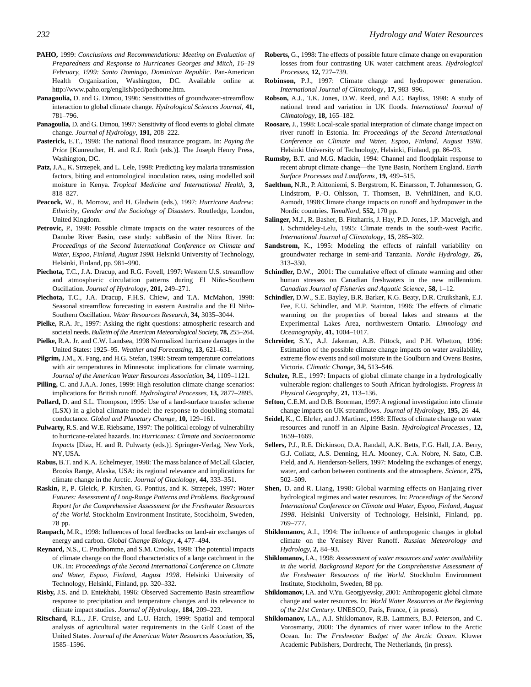- **PAHO,** 1999: *Conclusions and Recommendations: Meeting on Evaluation of Preparedness and Response to Hurricanes Georges and Mitch, 16–19 February, 1999: Santo Domingo, Dominican Republic*. Pan-American Health Organization, Washington, DC. Available online at http://www.paho.org/english/ped/pedhome.htm.
- **Panagoulia,** D. and G. Dimou, 1996: Sensitivities of groundwater-streamflow interaction to global climate change. *Hydrological Sciences Journal*, **41,** 781–796.
- **Panagoulia,** D. and G. Dimou, 1997: Sensitivity of flood events to global climate change*. Journal of Hydrology*, **191,** 208–222.
- **Pasterick,** E.T., 1998: The national flood insurance program. In: *Paying the Price* [Kunreuther, H. and R.J. Roth (eds.)]. The Joseph Henry Press, Washington, DC.
- **Patz,** J.A., K. Strzepek, and L. Lele, 1998: Predicting key malaria transmission factors, biting and entomological inoculation rates, using modelled soil moisture in Kenya. *Tropical Medicine and International Health*, **3,** 818–827.
- **Peacock,** W., B. Morrow, and H. Gladwin (eds.), 1997: *Hurricane Andrew: Ethnicity, Gender and the Sociology of Disasters*. Routledge, London, United Kingdom.
- Petrovic, P., 1998: Possible climate impacts on the water resources of the Danube River Basin, case study: subBasin of the Nitra River. In: *Proceedings of the Second International Conference on Climate and Water, Espoo, Finland, August 1998*. Helsinki University of Technology, Helsinki, Finland, pp. 981–990.
- **Piechota,** T.C., J.A. Dracup, and R.G. Fovell, 1997: Western U.S. streamflow and atmospheric circulation patterns during El Niño-Southern Oscillation. *Journal of Hydrology*, **201,** 249–271.
- **Piechota,** T.C., J.A. Dracup, F.H.S. Chiew, and T.A. McMahon, 1998: Seasonal streamflow forecasting in eastern Australia and the El Niño-Southern Oscillation. *Water Resources Research*, **34,** 3035–3044.
- **Pielke,** R.A. Jr., 1997: Asking the right questions: atmospheric research and societal needs. *Bulletin of the American Meteorological Society*, **78**, 255–264.
- **Pielke,** R.A. Jr. and C.W. Landsea, 1998 Normalized hurricane damages in the United States: 1925–95. *Weather and Forecasting*, **13,** 621–631.
- Pilgrim, J.M., X. Fang, and H.G. Stefan, 1998: Stream temperature correlations with air temperatures in Minnesota: implications for climate warming. *Journal of the American Water Resources Association*, **34,** 1109–1121.
- **Pilling,** C. and J.A.A. Jones, 1999: High resolution climate change scenarios: implications for British runoff. *Hydrological Processes*, **13,** 2877–2895.
- **Pollard,** D. and S.L. Thompson, 1995: Use of a land-surface transfer scheme (LSX) in a global climate model: the response to doubling stomatal conductance. Global and Planetary Change, 10, 129-161.
- Pulwarty, R.S. and W.E. Riebsame, 1997: The political ecology of vulnerability to hurricane-related hazards. In: *Hurricanes: Climate and Socioeconomic Impacts* [Diaz, H. and R. Pulwarty (eds.)]. Springer-Verlag, New York, NY, USA.
- **Rabus,** B.T. and K.A. Echelmeyer, 1998: The mass balance of McCall Glacier, Brooks Range, Alaska, USA: its regional relevance and implications for climate change in the Arctic*. Journal of Glaciology*, **44,** 333–351.
- **Raskin,** P., P. Gleick, P. Kirshen, G. Pontius, and K. Strzepek, 1997: *Water Futures: Assessment of Long-Range Patterns and Problems. Background Report for the Comprehensive Assessment for the Freshwater Resources* of the World. Stockholm Environment Institute, Stockholm, Sweden, 78 pp.
- **Raupach,** M.R., 1998: Influences of local feedbacks on land-air exchanges of energy and carbon. *Global Change Biology*, **4,** 477–494.
- **Reynard,** N.S., C. Prudhomme, and S.M. Crooks, 1998: The potential impacts of climate change on the flood characteristics of a large catchment in the UK. In: *Proceedings of the Second International Conference on Climate* and Water, Espoo, Finland, August 1998. Helsinki University of Technology, Helsinki, Finland, pp. 320–332.
- **Risby,** J.S. and D. Entekhabi, 1996: Observed Sacremento Basin streamflow response to precipitation and temperature changes and its relevance to climate impact studies*. Journal of Hydrology*, **184,** 209–223.
- **Ritschard,** R.L., J.F. Cruise, and L.U. Hatch, 1999: Spatial and temporal analysis of agricultural water requirements in the Gulf Coast of the United States. *Journal of the American Water Resources Association*, **35,** 1585–1596.
- **Roberts, G., 1998: The effects of possible future climate change on evaporation** losses from four contrasting UK water catchment areas. *Hydrological Processes*, **12,** 727–739.
- Robinson, P.J., 1997: Climate change and hydropower generation. *International Journal of Climatology*, **17,** 983–996.
- **Robson,** A.J., T.K. Jones, D.W. Reed, and A.C. Bayliss, 1998: A study of national trend and variation in UK floods. *International Journal of Climatology*, **18,** 165–182.
- **Roosare,** J., 1998: Local-scale spatial interpration of climate change impact on river runoff in Estonia. In: *Proceedings of the Second International* Conference on Climate and Water, Espoo, Finland, August 1998. Helsinki University of Technology, Helsinki, Finland, pp. 86–93.
- **Rumsby,** B.T. and M.G. Mackin, 1994: Channel and floodplain response to recent abrupt climate change—the Tyne Basin, Northern England*. Earth Surface Processes and Landforms*, **19,** 499–515.
- **Saelthun,** N.R., P. Aittoniemi, S. Bergstrom, K. Einarsson, T. Johannesson, G. Lindstrom, P.-O. Ohlsson, T. Thomsen, B. Vehriläinen, and K.O. Aamodt, 1998:Climate change impacts on runoff and hydropower in the Nordic countries. *TemaNord*, **552,** 170 pp.
- **Salinger,** M.J., R. Basher, B. Fitzharris, J. Hay, P.D. Jones, I.P. Macveigh, and I. Schmideley-Lelu, 1995: Climate trends in the south-west Pacific. *International Journal of Climatology*, **15**, 285–302.
- Sandstrom, K., 1995: Modeling the effects of rainfall variability on groundwater recharge in semi-arid Tanzania. *Nordic Hydrology*, 26, 313–330.
- **Schindler,** D.W., 2001: The cumulative effect of climate warming and other human stresses on Canadian freshwaters in the new millennium. *Canadian Journal of Fisheries and Aquatic Science* , **58,** 1–12.
- **Schindler,** D.W., S.E. Bayley, B.R. Barker, K.G. Beaty, D.R. Cruikshank, E.J. Fee, E.U. Schindler, and M.P. Stainton, 1996: The effects of climatic warming on the properties of boreal lakes and streams at the Experimental Lakes Area, northwestern Ontario. *Limnology and Oceanography*, **41,** 1004–1017.
- Schreider, S.Y., A.J. Jakeman, A.B. Pittock, and P.H. Whetton, 1996: Estimation of the possible climate change impacts on water availability, extreme flow events and soil moisture in the Goulburn and Ovens Basins, Victoria. *Climatic Change*, **34,** 513–546.
- **Schulze, R.E., 1997: Impacts of global climate change in a hydrologically** vulnerable region: challenges to South African hydrologists. *Progress in Physical Geography*, **21,** 113–136.
- **Sefton,** C.E.M. and D.B. Boorman, 1997: A regional investigation into climate change impacts on UK streamflows*. Journal of Hydrology*, **195,** 26–44.
- **Seidel,** K., C. Ehrler, and J. Martinec, 1998: Effects of climate change on water resources and runoff in an Alpine Basin. *Hydrological Processes*, **12,** 1659–1669.
- **Sellers,** P.J., R.E. Dickinson, D.A. Randall, A.K. Betts, F.G. Hall, J.A. Berry, G.J. Collatz, A.S. Denning, H.A. Mooney, C.A. Nobre, N. Sato, C.B. Field, and A. Henderson-Sellers, 1997: Modeling the exchanges of energy, water, and carbon between continents and the atmosphere. *Science*, **275,** 502–509.
- **Shen,** D. and R. Liang, 1998: Global warming effects on Hanjaing river hy drological regimes and water resources. In: Proceedings of the Second *International Conference on Climate and Water, Espoo, Finland, August* 1998. Helsinki University of Technology, Helsinki, Finland, pp. 769–777.
- **Shiklomanov,** A.I., 1994: The influence of anthropogenic changes in global climate on the Yenisey River Runoff*. Russian Meteorology and Hydrology*, **2,** 84–93.
- Shiklomanov, I.A., 1998: Asssessment of water resources and water availability *in the world. Background Report for the Comprehensive Assessment of the Freshwater Resources of the World*. Stockholm Environment Institute, Stockholm, Sweden, 88 pp.
- Shiklomanov, I.A. and V.Yu. Georgiyevsky, 2001: Anthropogenic global climate change and water resources. In: *World Water Resources at the Beginning of the 21st Century*. UNESCO, Paris, France, ( in press).
- **Shiklomanov,** I.A., A.I. Shiklomanov, R.B. Lammers, B.J. Peterson, and C. Vorosmarty, 2000: The dynamics of river water inflow to the Arctic Ocean. In: *The Freshwater Budget of the Arctic Ocean*. Kluwer Academic Publishers, Dordrecht, The Netherlands, (in press).